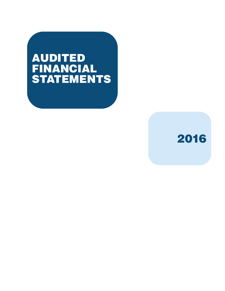# AUDITED FINANCIAL STATEMENTS

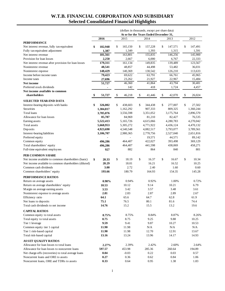# **W.T.B. FINANCIAL CORPORATION AND SUBSIDIARY Selected Consolidated Financial Highlights**

|                                                                  | (dollars in thousands, except per share data) |                     |    |           |    |           |    |           |    |           |
|------------------------------------------------------------------|-----------------------------------------------|---------------------|----|-----------|----|-----------|----|-----------|----|-----------|
|                                                                  | At or for the Years Ended December 31,        |                     |    |           |    |           |    |           |    |           |
|                                                                  |                                               | 2016                |    | 2015      |    | 2014      |    | 2013      |    | 2012      |
| <b>PERFORMANCE</b><br>Net interest revenue, fully tax-equivalent | \$                                            | 182,948             | \$ | 165,150   | \$ | 157,228   | \$ | 147,571   | \$ | 147,491   |
| Fully tax-equivalent adjustment                                  |                                               | 1,387               |    | 1,349     |    | 1,393     |    | 1,315     |    | 1,591     |
| Net interest revenue                                             |                                               | 181,561             |    | 163,801   |    | 155,835   |    | 146,256   |    | 145,900   |
| Provision for loan losses                                        |                                               | 2,250               |    | 2,667     |    | 6,000     |    | 6,767     |    | 22,333    |
| Net interest revenue after provision for loan losses             |                                               | 179,311             |    | 161,134   |    | 149,835   |    | 139,489   |    | 123,567   |
| Noninterest revenue                                              |                                               | 48,541              |    | 48,857    |    | 44,498    |    | 53,482    |    | 36,031    |
| Noninterest expense                                              |                                               | 148,429             |    | 140,369   |    | 130,542   |    | 126,210   |    | 113,633   |
| Income before income taxes                                       |                                               | 79,423              |    | 69,622    |    | 63,791    |    | 66,761    |    | 45,965    |
| Income taxes                                                     |                                               | 27,696              |    | 23,262    |    | 21,927    |    | 22,967    |    | 15,484    |
| Net income                                                       |                                               | $\overline{51,727}$ |    | 46,360    |    | 41,864    |    | 43,794    |    | 30,481    |
| Preferred stock dividends                                        |                                               |                     |    | 142       |    | 418       |    | 1,724     |    | 4,457     |
| Net income available to common                                   |                                               |                     |    |           |    |           |    |           |    |           |
| shareholders                                                     | SS.                                           | 51,727              | \$ | 46,218    | \$ | 41,446    | \$ | 42,070    | \$ | 26,024    |
| <b>SELECTED YEAR-END DATA</b>                                    |                                               |                     |    |           |    |           |    |           |    |           |
| Interest-bearing deposits with banks                             | \$                                            | 326,002             | \$ | 438,603   | \$ | 344,438   | \$ | 277,007   | \$ | 27,502    |
| Securities                                                       |                                               | 1,384,817           |    | 1,162,292 |    | 907,333   |    | 809,325   |    | 1,360,244 |
| Total loans                                                      |                                               | 3,785,076           |    | 3,556,598 |    | 3,351,052 |    | 3,175,764 |    | 2,896,570 |
| Allowance for loan losses                                        |                                               | 85,787              |    | 84,969    |    | 81,210    |    | 82,427    |    | 76,535    |
| Earning assets                                                   |                                               | 5,522,413           |    | 5,165,726 |    | 4,615,066 |    | 4,280,783 |    | 4,270,042 |
| Total assets                                                     |                                               | 5,668,953           |    | 5,305,272 |    | 4,771,922 |    | 4,436,124 |    | 4,470,132 |
| Deposits                                                         |                                               | 4,923,690           |    | 4,540,548 |    | 4,082,517 |    | 3,793,077 |    | 3,789,561 |
| Interest-bearing liabilities                                     |                                               | 3,106,707           |    | 2,980,365 |    | 2,770,756 |    | 2,527,040 |    | 2,651,816 |
| Preferred equity                                                 |                                               |                     |    |           |    | 19,571    |    | 44,571    |    | 89,142    |
| Common equity                                                    |                                               | 496,286             |    | 464,407   |    | 422,027   |    | 393,498   |    | 369,129   |
| Total shareholders' equity                                       |                                               | 496,286             |    | 464,407   |    | 441,598   |    | 438,069   |    | 458,271   |
| Full-time equivalent employees                                   |                                               | 927                 |    | 882       |    | 864       |    | 840       |    | 801       |
| PER COMMON SHARE                                                 |                                               |                     |    |           |    |           |    |           |    |           |
| Net income available to common shareholders (basic)              | \$                                            | 20.33               | \$ | 18.19     | \$ | 16.37     | \$ | 16.67     | \$ | 10.34     |
| Net income available to common shareholders (diluted)            |                                               | 20.29               |    | 18.01     |    | 16.21     |    | 16.52     |    | 10.25     |
| Common cash dividends                                            |                                               | 3.00                |    | 2.72      |    | 2.40      |    | 1.60      |    | 0.60      |
| Common shareholders' equity                                      |                                               | 193.66              |    | 180.79    |    | 164.93    |    | 154.35    |    | 145.28    |
| PERFORMANCE RATIOS                                               |                                               |                     |    |           |    |           |    |           |    |           |
| Return on average assets                                         |                                               | 0.98%               |    | 0.94%     |    | 0.92%     |    | 1.00%     |    | 0.72%     |
| Return on average shareholders' equity                           |                                               | 10.53               |    | 10.12     |    | 9.14      |    | 10.21     |    | 6.79      |
| Margin on average earning assets                                 |                                               | 3.53                |    | 3.42      |    | 3.57      |    | 3.48      |    | 3.61      |
| Noninterest expense to average assets                            |                                               | 2.81                |    | 2.83      |    | 2.87      |    | 2.89      |    | 2.67      |
| Efficiency ratio                                                 |                                               | 64.1                |    | 65.6      |    | 64.7      |    | 62.8      |    | 61.9      |
| Net loans to deposits                                            |                                               | 75.1                |    | 76.5      |    | 80.1      |    | 81.6      |    | 74.4      |
| Total cash dividends to net income                               |                                               | 14.76               |    | 15.2      |    | 15.5      |    | 13.2      |    | 19.6      |
| <b>CAPITAL RATIOS</b>                                            |                                               |                     |    |           |    |           |    |           |    |           |
| Common equity to total assets                                    |                                               | 8.75%               |    | 8.75%     |    | 8.84%     |    | 8.87%     |    | 8.26%     |
| Total equity to total assets                                     |                                               | 8.75                |    | 8.75      |    | 9.25      |    | 9.88      |    | 10.25     |
| Tier 1 leverage                                                  |                                               | 9.59                |    | 9.41      |    | 9.87      |    | 10.27     |    | 10.53     |
| Common equity tier 1 capital                                     |                                               | 11.90               |    | 11.98     |    | N/A       |    | N/A       |    | N/A       |
| Tier 1 risk-based capital                                        |                                               | 11.90               |    | 11.98     |    | 12.70     |    | 12.91     |    | 13.67     |
| Total risk-based capital                                         |                                               | 13.16               |    | 13.24     |    | 13.96     |    | 14.17     |    | 14.93     |
| <b>ASSET QUALITY RATIOS</b>                                      |                                               |                     |    |           |    |           |    |           |    |           |
| Allowance for loan losses to total loans                         |                                               | 2.27%               |    | 2.39%     |    | 2.42%     |    | 2.60%     |    | 2.64%     |
| Allowance for loan losses to noncurrent loans                    |                                               | 597.57              |    | 453.98    |    | 285.36    |    | 260.64    |    | 194.89    |
| Net charge-offs (recoveries) to total average loans              |                                               | 0.04                |    | $-0.03$   |    | 0.22      |    | 0.03      |    | 0.57      |
| Noncurrent loans and ORE to assets                               |                                               | 0.27                |    | 0.36      |    | 0.62      |    | 0.84      |    | 1.06      |
| Noncurrent loans, ORE and TDRs to assets                         |                                               | 0.33                |    | 0.64      |    | 0.95      |    | 1.38      |    | 1.83      |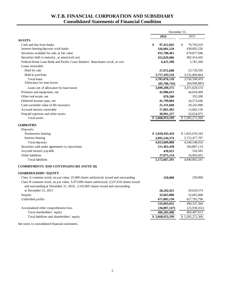# **W.T.B. FINANCIAL CORPORATION AND SUBSIDIARY Consolidated Statements of Financial Condition**

|                                                                                                                                                                           | December 31,     |                  |
|---------------------------------------------------------------------------------------------------------------------------------------------------------------------------|------------------|------------------|
|                                                                                                                                                                           | 2016             | 2015             |
| <b>ASSETS</b>                                                                                                                                                             |                  |                  |
| Cash and due from banks                                                                                                                                                   | \$<br>97,412,042 | \$<br>79,795,019 |
| Interest-bearing deposits with banks                                                                                                                                      | 326,001,529      | 438,603,226      |
| Securities available for sale, at fair value                                                                                                                              | 932,788,461      | 679,877,946      |
| Securities held to maturity, at amortized cost                                                                                                                            | 452,029,006      | 482,414,445      |
| Federal Home Loan Bank and Pacific Coast Bankers' Bancshares stock, at cost                                                                                               | 6,421,500        | 5,781,300        |
| Loans receivable:                                                                                                                                                         |                  |                  |
| Held for sale                                                                                                                                                             | 27,972,608       | 23,728,595       |
| Held in portfolio                                                                                                                                                         | 3,757,103,510    | 3,532,869,864    |
| Total loans                                                                                                                                                               | 3,785,076,118    | 3,556,598,459    |
| Allowance for loan losses                                                                                                                                                 | (85,786,743)     | (84,968,885)     |
| Loans net of allowance for loan losses                                                                                                                                    | 3,699,289,375    | 3,471,629,574    |
| Premises and equipment, net                                                                                                                                               | 42,986,615       | 44,659,499       |
| Other real estate, net                                                                                                                                                    | 870,500          | 355,500          |
| Deferred income taxes, net                                                                                                                                                | 41,799,884       | 34,573,646       |
| Cash surrender value of life insurance                                                                                                                                    | 21,331,668       | 20,245,980       |
| Accrued interest receivable                                                                                                                                               | 17,061,492       | 13,682,150       |
| Prepaid expenses and other assets                                                                                                                                         | 30,961,127       | 33,654,075       |
| Total assets                                                                                                                                                              | \$5,668,953,199  | \$5,305,272,360  |
| <b>LIABILITIES</b><br>Deposits:                                                                                                                                           |                  |                  |
| Noninterest-bearing                                                                                                                                                       | \$2,028,445,434  | \$1,825,070,343  |
| Interest-bearing                                                                                                                                                          | 2,895,244,374    | 2,715,477,707    |
| Total deposits                                                                                                                                                            | 4,923,689,808    | 4,540,548,050    |
| Securities sold under agreements to repurchase                                                                                                                            | 211,462,438      | 264,887,110      |
| Accrued interest payable                                                                                                                                                  | 439,921          | 526,585          |
| Other liabilities                                                                                                                                                         | 37,075,124       | 34,903,602       |
| <b>Total liabilities</b>                                                                                                                                                  | 5,172,667,291    | 4,840,865,347    |
| <b>COMMITMENTS AND CONTINGENCIES (NOTE 18)</b>                                                                                                                            |                  |                  |
| <b>SHAREHOLDERS' EQUITY</b>                                                                                                                                               |                  |                  |
| Class A common stock, no par value, 25,000 shares authorized, issued and outstanding                                                                                      | 250,000          | 250,000          |
| Class B common stock, no par value, 3,475,000 shares authorized; 2,537,618 shares issued<br>and outstanding at December 31, 2016; 2,543,805 shares issued and outstanding |                  |                  |
| at December 31, 2015                                                                                                                                                      | 28,292,925       | 29,629,574       |
| Surplus                                                                                                                                                                   | 32,665,000       | 32,665,000       |
| Undivided profits                                                                                                                                                         | 471,885,130      | 427,792,790      |
|                                                                                                                                                                           | 533,093,055      | 490,337,364      |
| Accumulated other comprehensive loss                                                                                                                                      | (36,807,147)     | (25,930,351)     |
| Total shareholders' equity                                                                                                                                                | 496,285,908      | 464,407,013      |
| Total liabilities and shareholders' equity                                                                                                                                | \$5,668,953,199  | \$5,305,272,360  |
| See notes to consolidated financial statements.                                                                                                                           |                  |                  |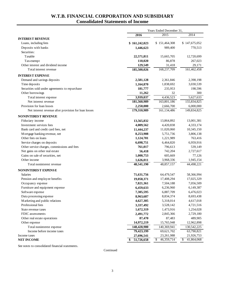# **W.T.B. FINANCIAL CORPORATION AND SUBSIDIARY Consolidated Statements of Income**

|                                                      | Years Ended December 31, |                  |                  |  |
|------------------------------------------------------|--------------------------|------------------|------------------|--|
|                                                      | 2016                     | 2015             | 2014             |  |
| <b>INTEREST REVENUE</b>                              |                          |                  |                  |  |
| Loans, including fees                                | \$161,242,023            | \$151,464,308    | \$147,675,052    |  |
| Deposits with banks                                  | 1,446,623                | 989,400          | 770,513          |  |
| Securities:                                          |                          |                  |                  |  |
| Taxable                                              | 22,571,811               | 15,665,705       | 12,720,699       |  |
| Tax-exempt                                           | 110,020                  | 86,878           | 267,023          |  |
| Other interest and dividend income                   | 129,549                  | 31,418           | 29,171           |  |
| Total interest revenue                               | 185,500,026              | 168,237,709      | 161,462,458      |  |
| <b>INTEREST EXPENSE</b>                              |                          |                  |                  |  |
| Demand and savings deposits                          | 2,581,128                | 2,361,846        | 2,398,198        |  |
| Time deposits                                        | 1,164,870                | 1,838,692        | 3,030,539        |  |
| Securities sold under agreements to repurchase       | 181,777                  | 235,953          | 198,596          |  |
| Other borrowings                                     | 11,262                   | 32               | 300              |  |
| Total interest expense                               | 3,939,037                | 4,436,523        | 5,627,633        |  |
| Net interest revenue                                 | 181,560,989              | 163,801,186      | 155,834,825      |  |
| Provision for loan losses                            | 2,250,000                | 2,666,700        | 6,000,000        |  |
| Net interest revenue after provision for loan losses | 179,310,989              | 161,134,486      | 149,834,825      |  |
| <b>NONINTEREST REVENUE</b>                           |                          |                  |                  |  |
| Fiduciary income                                     | 13,565,832               | 13,864,892       | 13,001,381       |  |
| Investment services fees                             | 4,009,562                | 4,420,838        | 4,333,174        |  |
| Bank card and credit card fees, net                  | 11,444,237               | 11,020,060       | 10,345,150       |  |
| Mortgage banking revenue, net                        | 8,253,908                | 5,751,736        | 3,806,138        |  |
| Other fees on loans                                  | 1,124,701                | 1,221,989        | 763,416          |  |
| Service charges on deposits                          | 6,698,751                | 6,464,820        | 6,959,916        |  |
| Other service charges, commissions and fees          | 761,017                  | 796,613          | 539,149          |  |
| Net gains on other real estate                       | 56,418                   | 742,204          | 2,727,617        |  |
| Gains on sale of securities, net                     | 1,000,753                | 605,669          | 77,126           |  |
| Other income                                         | 1,626,011                | 3,968,336        | 1,945,154        |  |
| Total noninterest revenue                            | 48,541,190               | 48,857,157       | 44,498,221       |  |
| NONINTEREST EXPENSE                                  |                          |                  |                  |  |
| Salaries                                             | 71,631,756               | 64,479,547       | 58,366,994       |  |
| Pension and employee benefits                        | 19,058,371               | 17,408,294       | 17,025,329       |  |
| Occupancy expense                                    | 7,821,361                | 7,504,188        | 7,056,509        |  |
| Furniture and equipment expense                      | 6,459,633                | 6,236,960        | 6,149,387        |  |
| Software expense                                     | 7,305,595                | 6,887,709        | 6,476,023        |  |
| Data processing expense                              | 8,963,687                | 8,834,374        | 8,693,438        |  |
| Marketing and public relations                       | 4,627,305                | 5,318,014        | 4,617,018        |  |
| Professional fees                                    | 3,337,492                | 3,528,142        | 4,721,516        |  |
| State revenue taxes                                  | 1,672,319                | 1,473,916        | 1,254,028        |  |
| FDIC assessments                                     | 2,491,772                | 2,845,366        | 2,729,180        |  |
| Other real estate operations                         | 87,470                   | 87,483           | 489,905          |  |
| Other expense                                        | 14,972,219               | 15,765,948       | 12,962,898       |  |
| Total noninterest expense                            | 148,428,980              | 140,369,941      | 130,542,225      |  |
| Income before income taxes                           | 79,423,199               | 69,621,702       | 63,790,821       |  |
| Income taxes                                         | 27,696,541               | 23,261,988       | 21,926,753       |  |
| <b>NET INCOME</b>                                    | 51,726,658<br>\$         | \$<br>46,359,714 | 41,864,068<br>\$ |  |

See notes to consolidated financial statements.

Continued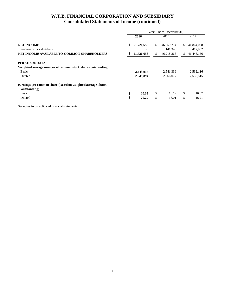# **W.T.B. FINANCIAL CORPORATION AND SUBSIDIARY Consolidated Statements of Income (continued)**

|                                                                             | Years Ended December 31, |            |    |            |     |            |
|-----------------------------------------------------------------------------|--------------------------|------------|----|------------|-----|------------|
|                                                                             |                          | 2016       |    | 2015       |     | 2014       |
| <b>NET INCOME</b>                                                           | \$                       | 51,726,658 | \$ | 46,359,714 | \$. | 41,864,068 |
| Preferred stock dividends                                                   |                          |            |    | 141,346    |     | 417,932    |
| NET INCOME AVAILABLE TO COMMON SHAREHOLDERS                                 |                          | 51,726,658 |    | 46,218,368 | \$  | 41,446,136 |
|                                                                             |                          |            |    |            |     |            |
| PER SHARE DATA                                                              |                          |            |    |            |     |            |
| Weighted average number of common stock shares outstanding                  |                          |            |    |            |     |            |
| <b>Basic</b>                                                                |                          | 2,543,917  |    | 2,541,339  |     | 2,532,116  |
| Diluted                                                                     |                          | 2,549,894  |    | 2,566,077  |     | 2,556,515  |
| Earnings per common share (based on weighted average shares<br>outstanding) |                          |            |    |            |     |            |
| <b>Basic</b>                                                                | \$                       | 20.33      | \$ | 18.19      | \$  | 16.37      |
| Diluted                                                                     | \$                       | 20.29      | \$ | 18.01      | \$  | 16.21      |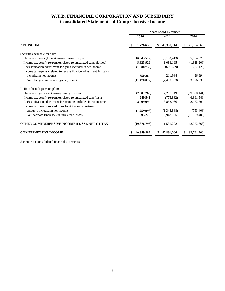# **W.T.B. FINANCIAL CORPORATION AND SUBSIDIARY Consolidated Statements of Comprehensive Income**

|                                                                     | Years Ended December 31, |                   |                  |  |  |
|---------------------------------------------------------------------|--------------------------|-------------------|------------------|--|--|
|                                                                     | 2016                     | 2015              | 2014             |  |  |
| <b>NET INCOME</b>                                                   | 51,726,658               | 46,359,714<br>\$. | \$<br>41,864,068 |  |  |
| Securities available for sale:                                      |                          |                   |                  |  |  |
| Unrealized gains (losses) arising during the year                   | (16, 645, 512)           | (3,103,413)       | 5,194,876        |  |  |
| Income tax benefit (expense) related to unrealized gains (losses)   | 5,825,929                | 1,086,195         | (1,818,206)      |  |  |
| Reclassification adjustment for gains included in net income        | (1,000,753)              | (605, 669)        | (77, 126)        |  |  |
| Income tax expense related to reclassification adjustment for gains |                          |                   |                  |  |  |
| included in net income                                              | 350,264                  | 211,984           | 26,994           |  |  |
| Net change in unrealized gains (losses)                             | (11, 470, 072)           | (2,410,903)       | 3,326,538        |  |  |
| Defined benefit pension plan:                                       |                          |                   |                  |  |  |
| Unrealized gain (loss) arising during the year                      | (2,687,260)              | 2,210,949         | (19,690,141)     |  |  |
| Income tax benefit (expense) related to unrealized gain (loss)      | 940,541                  | (773, 832)        | 6,891,549        |  |  |
| Reclassification adjustment for amounts included in net income      | 3,599,993                | 3,853,966         | 2,152,594        |  |  |
| Income tax benefit related to reclassification adjustment for       |                          |                   |                  |  |  |
| amounts included in net income                                      | (1,259,998)              | (1,348,888)       | (753, 408)       |  |  |
| Net decrease (increase) in unrealized losses                        | 593,276                  | 3,942,195         | (11,399,406)     |  |  |
| OTHER COMPREHENSIVE INCOME (LOSS), NET OF TAX                       | (10, 876, 796)           | 1,531,292         | (8,072,868)      |  |  |
| <b>COMPREHENSIVE INCOME</b>                                         | 40,849,862               | 47,891,006        | 33,791,200       |  |  |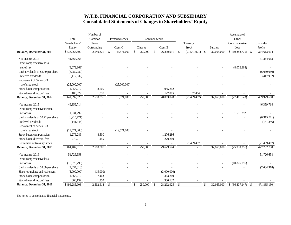# **W.T.B. FINANCIAL CORPORATION AND SUBSIDIARY Consolidated Statements of Changes in Shareholders' Equity**

|                                               | Total<br>Shareholders' | Number of<br>Common<br><b>Shares</b> | Preferred Stock |                                    | Common Stock                | Treasury                                 |                            | Accumulated<br>Other<br>Comprehensive | Undivided                   |
|-----------------------------------------------|------------------------|--------------------------------------|-----------------|------------------------------------|-----------------------------|------------------------------------------|----------------------------|---------------------------------------|-----------------------------|
|                                               | Equity                 | Outstanding                          | Class C         | Class A                            | Class B                     | Stock                                    | Surplus                    | Loss                                  | Profits                     |
| Balance, December 31, 2013                    | \$438,068,899          | $\mathcal{S}$<br>2,549,321           | 44,571,000      | $\sqrt[6]{\frac{1}{2}}$<br>250,000 | $\mathbb{S}$<br>26,899,991  | $\mathbb{S}$<br>(21, 541, 921)           | \$<br>32,665,000           | (19,388,775)                          | 374,613,604<br><b>S</b>     |
| Net income, 2014<br>Other comprehensive loss, | 41,864,068             |                                      |                 |                                    |                             |                                          |                            |                                       | 41,864,068                  |
| net of tax                                    | (8,072,868)            |                                      |                 |                                    |                             |                                          |                            | (8,072,868)                           |                             |
| Cash dividends of \$2.40 per share            | (6,080,080)            |                                      |                 |                                    |                             |                                          |                            |                                       | (6,080,080)                 |
| Preferred dividends                           | (417,932)              |                                      |                 |                                    |                             |                                          |                            |                                       | (417,932)                   |
| Repayment of Series C-3                       |                        |                                      |                 |                                    |                             |                                          |                            |                                       |                             |
| preferred stock                               | (25,000,000)           |                                      | (25,000,000)    |                                    |                             |                                          |                            |                                       |                             |
| Stock-based compensation                      | 1,055,212              | 8,500                                |                 |                                    | 1,055,212                   |                                          |                            |                                       |                             |
| Stock-based directors' fees                   | 180,329                | 1,035                                |                 |                                    | 127,875                     | 52,454                                   |                            |                                       |                             |
| Balance, December 31, 2014                    | 441,597,628            | 2,558,856                            | 19,571,000      | 250,000                            | 28,083,078                  | (21, 489, 467)                           | 32,665,000                 | (27, 461, 643)                        | 409,979,660                 |
| Net income, 2015                              | 46,359,714             |                                      |                 |                                    |                             |                                          |                            |                                       | 46,359,714                  |
| Other comprehensive income,                   |                        |                                      |                 |                                    |                             |                                          |                            |                                       |                             |
| net of tax                                    | 1,531,292              |                                      |                 |                                    |                             |                                          |                            | 1,531,292                             |                             |
| Cash dividends of \$2.72 per share            | (6,915,771)            |                                      |                 |                                    |                             |                                          |                            |                                       | (6,915,771)                 |
| Preferred dividends                           | (141, 346)             |                                      |                 |                                    |                             |                                          |                            |                                       | (141, 346)                  |
| Repayment of Series C-3                       |                        |                                      |                 |                                    |                             |                                          |                            |                                       |                             |
| preferred stock                               | (19,571,000)           |                                      | (19,571,000)    |                                    |                             |                                          |                            |                                       |                             |
| Stock-based compensation                      | 1,276,286              | 8,500                                |                 |                                    | 1,276,286                   |                                          |                            |                                       |                             |
| Stock-based directors' fees                   | 270,210                | 1,449                                |                 |                                    | 270,210                     |                                          |                            |                                       |                             |
| Retirement of treasury stock                  |                        |                                      |                 |                                    |                             | 21,489,467                               |                            |                                       | (21, 489, 467)              |
| Balance, December 31, 2015                    | 464,407,013            | 2,568,805                            | $\sim$          | 250,000                            | 29,629,574                  | $\tilde{\phantom{a}}$                    | 32,665,000                 | (25,930,351)                          | 427,792,790                 |
| Net income, 2016                              | 51,726,658             |                                      |                 |                                    |                             |                                          |                            |                                       | 51,726,658                  |
| Other comprehensive loss,                     |                        |                                      |                 |                                    |                             |                                          |                            |                                       |                             |
| net of tax                                    | (10, 876, 796)         |                                      |                 |                                    |                             |                                          |                            | (10, 876, 796)                        |                             |
| Cash dividends of \$3.00 per share            | (7,634,318)            |                                      |                 |                                    |                             |                                          |                            |                                       | (7,634,318)                 |
| Share repurchase and retirement               | (3,000,000)            | (15,000)                             |                 |                                    | (3,000,000)                 |                                          |                            |                                       |                             |
| Stock-based compensation                      | 1,363,219              | 7,463                                |                 |                                    | 1,363,219                   |                                          |                            |                                       |                             |
| Stock-based directors' fees                   | 300,132                | 1,350                                |                 |                                    | 300,132                     |                                          |                            |                                       |                             |
| Balance, December 31, 2016                    | \$496,285,908          | 2,562,618<br>$\mathcal{S}$           | $\blacksquare$  | 250,000<br>$\mathbb{S}$            | 28,292,925<br>$\mathcal{S}$ | $\mathbb{S}$<br>$\overline{\phantom{a}}$ | $\mathbb{S}$<br>32,665,000 | \$ (36,807,147)                       | 471,885,130<br>$\mathbb{S}$ |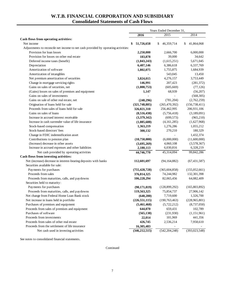# **W.T.B. FINANCIAL CORPORATION AND SUBSIDIARY Consolidated Statements of Cash Flows**

|                                                                                   | Years Ended December 31, |                  |                  |  |
|-----------------------------------------------------------------------------------|--------------------------|------------------|------------------|--|
|                                                                                   | 2016                     | 2015             | 2014             |  |
| Cash flows from operating activities:                                             |                          |                  |                  |  |
| Net income                                                                        | 51,726,658               | 46,359,714<br>\$ | 41,864,068<br>\$ |  |
| Adjustments to reconcile net income to net cash provided by operating activities: |                          |                  |                  |  |
| Provision for loan losses                                                         | 2,250,000                | 2,666,700        | 6,000,000        |  |
| Provision for losses on other real estate                                         | 183,878                  | 39,000           | 34,642           |  |
| Deferred income taxes (benefit)                                                   | (1,043,243)              | (1,615,251)      | 5,671,045        |  |
| Depreciation                                                                      | 6,407,146                | 6,386,618        | 6,337,769        |  |
| Amortization of software                                                          | 1,802,075                | 1,755,875        | 1,684,939        |  |
| Amortization of intangibles                                                       |                          | 543,045          | 13,450           |  |
| Net premium amortization of securities                                            | 3,824,015                | 4,276,157        | 3,753,449        |  |
| Change in mortgage servicing rights                                               | 146,991                  | 207,423          | (281, 372)       |  |
| Gains on sales of securities, net                                                 | (1,000,753)              | (605, 669)       | (77, 126)        |  |
| (Gains) losses on sales of premises and equipment                                 | 1,147                    | 68,939           | (56,207)         |  |
| Gains on sales of investments                                                     |                          |                  | (568, 305)       |  |
| Gains on sale of other real estate, net                                           | (240, 296)               | (781, 204)       | (2,762,259)      |  |
| Origination of loans held for sale                                                | (321, 748, 885)          | (265, 470, 392)  | (156, 738, 411)  |  |
| Proceeds from sales of loans held for sale                                        | 326,021,310              | 256,462,995      | 206,931,106      |  |
| Gains on sales of loans                                                           | (8,516,438)              | (5,756,418)      | (3,189,091)      |  |
| Increase in accrued interest receivable                                           | (3,379,342)              | (699, 573)       | (965, 210)       |  |
| Increase in cash surrender value of life insurance                                | (1,085,688)              | (4,161,285)      | (1,627,968)      |  |
| Stock-based compensation                                                          | 1,363,219                | 1,276,286        | 1,055,212        |  |
| Stock-based directors' fees                                                       | 300,132                  | 270,210          | 180,329          |  |
| Change in FDIC indemnification asset                                              |                          |                  | 1,432,374        |  |
| Contributions to pension plan                                                     | (10,750,000)             | (6,000,000)      | (11,600,000)     |  |
| (Increase) decrease in other assets                                               | (3,695,269)              | 4,060,108        | (3,578,367)      |  |
| Increase in accrued expenses and other liabilities                                | 2,180,113                | 6,030,816        | 6,328,219        |  |
| Net cash provided by operating activities                                         | 44,746,770               | 45,314,094       | 99,842,286       |  |
| Cash flows from investing activities:                                             |                          |                  |                  |  |
| Net (increase) decrease in interest-bearing deposits with banks                   | 112,601,697              | (94, 164, 882)   | (67, 431, 587)   |  |
| Securities available for sale:                                                    |                          |                  |                  |  |
| Payments for purchases                                                            | (755, 428, 728)          | (365, 604, 858)  | (155, 052, 661)  |  |
| Proceeds from sales                                                               | 376,814,325              | 74,244,982       | 132,301,398      |  |
| Proceeds from maturities, calls, and paydowns                                     | 106,228,294              | 82,065,456       | 64,082,409       |  |
| Securities held to maturity:                                                      |                          |                  |                  |  |
| Payments for purchases                                                            | (90, 171, 819)           | (128, 899, 292)  | (165, 803, 892)  |  |
| Proceeds from maturities, calls, and paydowns                                     | 119,563,325              | 75,854,737       | 27,906,142       |  |
| Net change from Federal Home Loan Bank stock                                      | (640, 200)               | 7,719,600        | 1,326,700        |  |
| Net increase in loans held in portfolio                                           | (226, 551, 115)          | (190, 763, 463)  | (228, 965, 801)  |  |
| Purchases of premises and equipment                                               | (5,461,468)              | (5,722,212)      | (8,737,050)      |  |
| Proceeds from sales of premises and equipment                                     | 644,070                  | 659,431          | 102,789          |  |
| Purchases of software                                                             | (565, 138)               | (231,930)        | (1,151,961)      |  |
| Proceeds from investments                                                         | 22,014                   | 101,969          | 441,356          |  |
| Proceeds from sales of other real estate                                          | 426,745                  | 2,536,214        | 7,958,610        |  |
| Proceeds from the settlement of life insurance                                    | 16,305,483               |                  |                  |  |
| Net cash used in investing activities                                             | (346, 212, 515)          | (542, 204, 248)  | (393,023,548)    |  |

See notes to consolidated financial statements.

Continued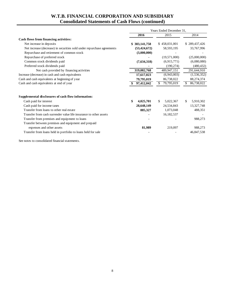# **W.T.B. FINANCIAL CORPORATION AND SUBSIDIARY Consolidated Statements of Cash Flows (continued)**

|                                                                        | Years Ended December 31, |                 |                  |  |  |
|------------------------------------------------------------------------|--------------------------|-----------------|------------------|--|--|
|                                                                        | 2016                     | 2015            | 2014             |  |  |
| Cash flows from financing activities:                                  |                          |                 |                  |  |  |
| Net increase in deposits                                               | \$383,141,758            | \$458,031,001   | \$289,437,426    |  |  |
| Net increase (decrease) in securities sold under repurchase agreements | (53, 424, 672)           | 58,593,195      | 33,767,996       |  |  |
| Repurchase and retirement of common stock                              | (3,000,000)              |                 |                  |  |  |
| Repurchase of preferred stock                                          |                          | (19,571,000)    | (25,000,000)     |  |  |
| Common stock dividends paid                                            | (7,634,318)              | (6,915,771)     | (6,080,080)      |  |  |
| Preferred stock dividends paid                                         |                          | (190, 274)      | (480, 432)       |  |  |
| Net cash provided by financing activities                              | 319,082,768              | 489,947,151     | 291,644,910      |  |  |
| Increase (decrease) in cash and cash equivalents                       | 17,617,023               | (6,943,003)     | (1, 536, 352)    |  |  |
| Cash and cash equivalents at beginning of year                         | 79,795,019               | 86,738,022      | 88,274,374       |  |  |
| Cash and cash equivalents at end of year                               | 97,412,042               | 79,795,019<br>S | 86,738,022<br>S  |  |  |
| Supplemental disclosures of cash flow information:                     |                          |                 |                  |  |  |
| Cash paid for interest                                                 | \$<br>4,025,701          | \$<br>5,022,367 | \$.<br>5,910,302 |  |  |
| Cash paid for income taxes                                             | 28,648,149               | 24,534,843      | 13,327,748       |  |  |
| Transfer from loans to other real estate                               | 885,327                  | 1,073,048       | 488,351          |  |  |
| Transfer from cash surrender value life insurance to other assets      |                          | 16,182,537      |                  |  |  |
| Transfer from premises and equipment to loans                          |                          |                 | 988,273          |  |  |
| Transfer between premises and equipment and prepaid                    |                          |                 |                  |  |  |
| expenses and other assets                                              | 81,989                   | 219,097         | 988,273          |  |  |
| Transfer from loans held in portfolio to loans held for sale           |                          |                 | 46,847,538       |  |  |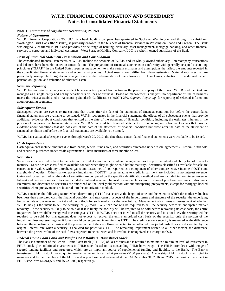### **Note 1: Summary of Significant Accounting Policies**

#### *Nature of Operations*

 services to corporate and individual customers. West Sprague Holding Company, LLC is a wholly-owned subsidiary of the Bank. W.T.B. Financial Corporation ("W.T.B.") is a bank holding company headquartered in Spokane, Washington, and through its subsidiary, Washington Trust Bank (the "Bank"), is primarily engaged in the business of financial services in Washington, Idaho and Oregon. The Bank was originally chartered in 1902 and provides a wide range of banking, fiduciary, asset management, mortgage banking, and other financial

#### *Basis of Financial Statement Presentation and Consolidation*

The consolidated financial statements of W.T.B. include the accounts of W.T.B. and its wholly-owned subsidiary. Intercompany transactions and balances have been eliminated in consolidation. The preparation of financial statements in conformity with generally accepted accounting principles ("GAAP") in the United States requires management to make certain estimates and assumptions that affect the amounts reported in the consolidated financial statements and accompanying notes. Actual results could differ from those estimates. Material estimates that are particularly susceptible to significant change relate to the determination of the allowance for loan losses, valuation of the defined benefit pension obligation, and valuation of other real estate.

#### *Segment Reporting*

 W.T.B. has not established any independent business activity apart from acting as the parent company of the Bank. W.T.B. and the Bank are managed as a single entity and not by departments or lines of business. Based on management's analysis, no department or line of business meets the criteria established in Accounting Standards Codification ("ASC") 280, *Segment Reporting*, for reporting of selected information about operating segments.

#### *Subsequent Events*

Subsequent events are events or transactions that occur after the date of the statement of financial condition but before the consolidated financial statements are available to be issued. W.T.B. recognizes in the financial statements the effects of all subsequent events that provide additional evidence about conditions that existed at the date of the statement of financial condition, including the estimates inherent in the process of preparing the financial statements. W.T.B.'s consolidated financial statements do not recognize subsequent events that provide evidence about conditions that did not exist at the date of the statement of financial condition but arose after the date of the statement of financial condition and before the financial statements are available to be issued.

W.T.B. has evaluated subsequent events through March 20, 2017, the date these consolidated financial statements were available to be issued.

#### *Cash Equivalents*

Cash equivalents include amounts due from banks, federal funds sold, and securities purchased under resale agreements. Federal funds sold and securities purchased under resale agreements all have maturities of three months or less.

#### *Securities*

 Gains and losses realized on the sale of securities are computed on the specific-identification method and are included in noninterest revenue. Interest and dividends on securities are included in interest revenue. Interest revenue includes amortization of purchase premiums or discounts. Securities are classified as held to maturity and carried at amortized cost when management has the positive intent and ability to hold them to maturity. Securities are classified as available for sale when they might be sold before maturity. Securities classified as available for sale are carried at fair value, with any unrealized gains and losses, net of tax, reported as a component of other comprehensive income ("OCI") and shareholders' equity. Other-than-temporary impairment ("OTTI") losses relating to credit impairment are included in noninterest revenue. Premiums and discounts on securities are amortized on the level-yield method without anticipating prepayments, except for mortgage backed securities where prepayments are factored into the amortization method.

 between the present value of the cash flows expected to be collected and fair value, is recognized as a charge to OCI. W.T.B. considers the following factors when determining OTTI for a security: the length of time and the extent to which the market value has been less than amortized cost, the financial condition and near-term prospects of the issuer, terms and structure of the security, the underlying fundamentals of the relevant market and the outlook for such market for the near future. Management also makes an assessment of whether W.T.B. has (1) the intent to sell the security, or (2) more likely than not will be required to sell the security before its anticipated market recovery. If the security is likely to be sold or if it is likely the security will be required to be sold before recovering its cost basis, the entire impairment loss would be recognized in earnings as OTTI. If W.T.B. does not intend to sell the security and it is not likely the security will be required to be sold, but management does not expect to recover the entire amortized cost basis of the security, only the portion of the impairment loss representing credit losses would be recognized in earnings as OTTI. The credit loss on a security is measured as the difference between the amortized cost basis and the present value of the cash flows expected to be collected. Projected cash flows are discounted by the original interest rate when a security is analyzed for potential OTTI. The remaining impairment related to all other factors, the difference

#### *Federal Home Loan Bank and Pacific Coast Bankers' Bancshares Stock*

The Bank is a member of the Federal Home Loan Bank ("FHLB") of Des Moines and is required to maintain a minimum level of investment in FHLB stock, plus additional investments in FHLB stock based on its outstanding FHLB borrowings. The FHLB provides a wide range of secured lending facilities and structures, which are an important source of supplemental funding and liquidity to the Bank. The Bank's investment in FHLB stock has no quoted market value and is carried at par value (\$100 per share). Ownership of FHLB stock is restricted to members and former members of the FHLB, and is purchased and redeemed at par. At December 31, 2016 and 2015, the Bank's investment in FHLB stock was \$6,361,500 and \$5,721,300, respectively.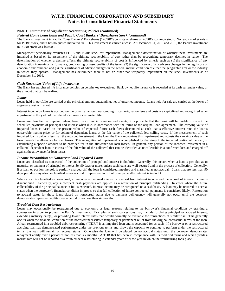#### *Federal Home Loan Bank and Pacific Coast Bankers' Bancshares Stock (continued)*

The Bank's investment in Pacific Coast Bankers' Bancshares ("PCBB") consists of shares of PCBB's common stock. No ready market exists for PCBB stock, and it has no quoted market value. This investment is carried at cost. At December 31, 2016 and 2015, the Bank's investment in PCBB stock was \$60,000.

 deterioration in earnings performance, credit rating or asset quality of the issuer, (2) the significance of any adverse changes in the regulatory or Management periodically evaluates FHLB and PCBB stock for impairment. Management's determination of whether these investments are impaired is based on its assessment of the ultimate recoverability of cost rather than by recognizing temporary declines in value. The determination of whether a decline affects the ultimate recoverability of cost is influenced by criteria such as (1) the significance of any economic environment, and (3) the significance of adverse changes in the general market condition of either the geographic area or the industry in which they operate. Management has determined there is not an other-than-temporary impairment on the stock investments as of December 31, 2016.

#### *Cash Surrender Value of Life Insurance*

The Bank has purchased life insurance policies on certain key executives. Bank owned life insurance is recorded at its cash surrender value, or the amount that can be realized.

#### *Loans*

Loans held in portfolio are carried at the principal amount outstanding, net of unearned income. Loans held for sale are carried at the lower of aggregate cost or market.

Interest income on loans is accrued on the principal amount outstanding. Loan origination fees and costs are capitalized and recognized as an adjustment to the yield of the related loan over its estimated life.

 observable market price, or for collateral dependent loans, at the fair value of the collateral, less selling costs. If the measurement of each Loans are classified as impaired when, based on current information and events, it is probable that the Bank will be unable to collect the scheduled payments of principal and interest when due, in accordance with the terms of the original loan agreement. The carrying value of impaired loans is based on the present value of expected future cash flows discounted at each loan's effective interest rate, the loan's impaired loan's value is less than the recorded investment in the loan, the Bank recognizes this impairment and adjusts the carrying value of the loan through the allowance for loan losses. This recognition of impairment is accomplished by charging-off the impaired portion of the loan, or establishing a specific amount to be provided for in the allowance for loan losses. In general, any portion of the recorded investment in a collateral dependent loan in excess of the fair value of the collateral that can be identified as uncollectible is a confirmed loss and charged-off against the allowance for loan losses.

#### *Income Recognition on Nonaccrual and Impaired Loans*

Loans are classified as nonaccrual if the collection of principal and interest is doubtful. Generally, this occurs when a loan is past due as to maturity, or payment of principal or interest by 90 days or more, unless such loans are well-secured and in the process of collection. Generally, if a loan, or portion thereof, is partially charged-off, the loan is considered impaired and classified as nonaccrual. Loans that are less than 90 days past due may also be classified as nonaccrual if repayment in full of principal and/or interest is in doubt.

When a loan is classified as nonaccrual, all uncollected accrued interest is reversed from interest income and the accrual of interest income is discontinued. Generally, any subsequent cash payments are applied as a reduction of principal outstanding. In cases where the future collectability of the principal balance in full is expected, interest income may be recognized on a cash basis. A loan may be restored to accrual status when the borrower's financial condition improves so that full collection of future contractual payments is considered likely. Restoration to accrual status for those loans placed on nonaccrual status due to payment delinquency will generally not occur until the borrower demonstrates repayment ability over a period of not less than six months.

#### *Troubled Debt Restructuring*

.

occurs when the financial condition of the borrower necessitates temporary or permanent relief from the original contractual terms of the loan. terms, the loan will remain on accrual status. Otherwise the loan will be placed on nonaccrual status until the borrower demonstrates Loans may occasionally be restructured due to economic or legal reasons relating to the borrower's financial condition by granting a concession in order to protect the Bank's investment. Examples of such concessions may include forgiving principal or accrued interest, extending maturity date(s), or providing lower interest rates than would normally be available for transactions of similar risk. This generally A loan restructured in a troubled debt restructuring ("TDR") is an impaired loan and is accounted for as such. If a borrower on a restructured accruing loan has demonstrated performance under the previous terms and shows the capacity to continue to perform under the restructured repayment ability over a period of not less than six months. A TDR that has been in compliance with its modified terms and which yields a market rate will not be reported as a troubled debt restructuring in calendar years after the year in which the restructuring took place.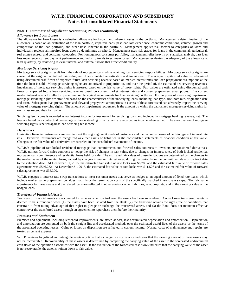#### *Allowance for Loan Losses*

 least quarterly, by reviewing relevant internal and external factors that affect credit quality. The allowance for loan losses is a valuation allowance for known and inherent losses in the portfolio. Management's determination of the allowance is based on an evaluation of the loan portfolio, impaired loans, past loan loss experience, economic conditions, volume, growth and composition of the loan portfolio, and other risks inherent in the portfolio. Management applies risk factors to categories of loans and individually reviews all impaired loans above a de minimus threshold. Management uses risk grades for loans in the commercial, agricultural, real estate secured, and consumer categories. For homogenous consumer portfolios, management relies heavily on statistical analysis, past loan loss experience, current payment performance and industry trends to estimate losses. Management evaluates the adequacy of the allowance at

#### *Mortgage Servicing Rights*

Mortgage servicing rights result from the sale of mortgage loans while retaining loan servicing responsibilities. Mortgage servicing rights are carried at the original capitalized fair value, net of accumulated amortization and impairment. The original capitalized value is determined using discounted cash flows of expected future loan servicing revenue based on market interest rates and loan prepayment assumptions at the time the loan is sold. Mortgage servicing rights are amortized in proportion to, and over the period of, the estimated net servicing revenues. Impairment of mortgage servicing rights is assessed based on the fair value of those rights. Fair values are estimated using discounted cash flows of expected future loan servicing revenue based on current market interest rates and current prepayment assumptions. The current market interest rate is to reflect expected marketplace yield requirements for loan servicing portfolios. For purposes of measuring impairment, mortgage servicing rights are stratified based on the characteristics of the underlying loans, including loan type, size, note rate, origination date and term. Subsequent loan prepayments and elevated prepayment assumptions in excess of those forecasted can adversely impact the carrying value of mortgage servicing rights. The amount of impairment recognized is the amount by which the capitalized mortgage servicing rights for each class exceed their fair value.

Servicing fee income is recorded as noninterest income for fees earned for servicing loans and included in mortgage banking revenue, net. The fees are based on a contractual percentage of the outstanding principal and are recorded as income when earned. The amortization of mortgage servicing rights is netted against loan servicing fee income.

#### *Derivatives*

Derivative financial instruments are used to meet the ongoing credit needs of customers and the market exposure of certain types of interest rate risk. Derivative instruments are recognized as either assets or liabilities in the consolidated statements of financial condition at fair value. Changes in the fair value of a derivative are recorded in the consolidated statements of income.

W.T.B.'s pipeline of rate-locked residential mortgage loan commitments and forward sales contracts to investors are considered derivatives. W.T.B. utilizes forward sales contracts to hedge the risk of changes in fair value, due to changes in interest rates, of both locked residential mortgage loan commitments and residential loans held for sale. The estimated fair values of these derivatives are determined by the changes in the market value of the related loans, caused by changes in market interest rates, during the period from the commitment date or contract date to the valuation date. At December 31, 2016, the estimated fair value of rate locks was \$6,786 and the estimated fair value of forward sales agreements was \$546,232. At December 31, 2015, the estimated fair value of rate locks was \$11,526 and the estimated fair value of forward sales agreements was \$36,300.

W.T.B. engages in interest rate swap transactions to meet customer needs that serve as hedges to an equal amount of fixed rate loans, which include market value prepayment penalties that mirror the termination costs of the specifically matched interest rate swaps. The fair value adjustments for these swaps and the related loans are reflected in other assets or other liabilities, as appropriate, and in the carrying value of the hedged loans.

#### *Transfers of Financial Assets*

 Transfers of financial assets are accounted for as sales when control over the assets has been surrendered. Control over transferred assets is deemed to be surrendered when (1) the assets have been isolated from the Bank, (2) the transferee obtains the right (free of conditions that constrain it from taking advantage of that right) to pledge or exchange the transferred assets, and (3) the Bank does not maintain effective control over the transferred assets through an agreement to repurchase them before their maturity.

#### *Premises and Equipment*

 Premises and equipment, including leasehold improvements, are stated at cost, less accumulated depreciation and amortization. Depreciation and amortization are computed on both the straight-line and accelerated methods over the estimated useful lives of the assets, or the terms of the associated operating leases. Gains or losses on disposition are reflected in current income. Normal costs of maintenance and repairs are treated as current expenses.

W.T.B. reviews long-lived and intangible assets any time that a change in circumstance indicates that the carrying amount of these assets may not be recoverable. Recoverability of these assets is determined by comparing the carrying value of the asset to the forecasted undiscounted cash flows of the operation associated with the asset. If the evaluation of the forecasted cash flows indicates that the carrying value of the asset is not recoverable, the asset is written down to fair value.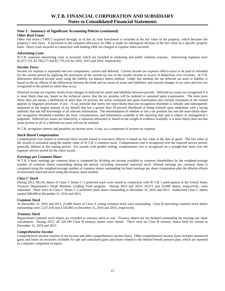#### *Other Real Estate*

Other real estate ("ORE") acquired through, or in lieu of, loan foreclosure is recorded at the fair value of the property, which becomes the property's new basis. A provision to the valuation allowance on ORE is made for subsequent declines in the fair value on a specific property basis. Direct costs incurred in connection with holding ORE are charged to expense when incurred.

#### *Advertising Costs*

W.T.B. expenses advertising costs as incurred, which are included in marketing and public relations expense. Advertising expenses were \$1,671,753, \$1,706,577 and \$1,770,216 for 2016, 2015 and 2014, respectively.

#### *Income Taxes*

Income tax expense is separated into two components: current and deferred. Current income tax expense reflects taxes to be paid or refunded for the current period by applying the provisions of the current tax law to the taxable income or excess of deductions over revenues. W.T.B. determines deferred income taxes using the liability (or balance sheet) method. Under this method, the net deferred tax asset or liability is based on the tax effects of the differences between the book and tax bases of assets and liabilities, and enacted changes in tax rates and laws are recognized in the period in which they occur.

 is more likely than not, based on the technical merits, that the tax position will be realized or sustained upon examination. The term more Deferred income tax expense results from changes in deferred tax assets and liabilities between periods. Deferred tax assets are recognized if it likely than not means a likelihood of more than 50 percent; the terms examined and upon examination also include resolution of the related appeals or litigation processes, if any. A tax position that meets the more-likely-than-not recognition threshold is initially and subsequently measured as the largest amount of tax benefit that has a greater than 50 percent likelihood of being realized upon settlement with a taxing authority that has full knowledge of all relevant information. The determination of whether or not a tax position has met the more-likely-thannot recognition threshold considers the facts, circumstances, and information available at the reporting date and is subject to management's judgment. Deferred tax assets are reduced by a valuation allowance if, based on the weight of evidence available, it is more likely than not that some portion or all of a deferred tax asset will not be realized.

W.T.B. recognizes interest and penalties on income taxes, if any, as a component of income tax expense.

#### *Stock-Based Compensation*

Compensation cost related to restricted stock awards issued to executive officers is based on fair value at the date of grant. The fair value of the awards is estimated using the market value of W.T.B.'s common stock. Compensation cost is recognized over the required service period, generally defined as the vesting period. For awards with graded vesting, compensation cost is recognized on a straight-line basis over the requisite service period for the entire award.

#### *Earnings per Common Share*

W.T.B.'s basic earnings per common share is computed by dividing net income available to common shareholders by the weighted-average number of common shares outstanding during the period, excluding nonvested restricted stock. Diluted earnings per common share is computed using the weighted-average number of common shares outstanding for basic earnings per share computation plus the dilutive effects of nonvested restricted stock using the treasury stock method.

#### *Class C Stock*

During 2011, 89,142 shares of Class C Series C-3 preferred stock were issued in connection with W.T.B.'s participation in the United States Treasury Department's Small Business Lending Fund program. During 2015 and 2014, 19,571 and 25,000 shares, respectively, were redeemed. There were no Class C Series C-3 preferred stock shares outstanding at December 31, 2016 and 2015. Authorized Class C shares totaled 500,000 at December 31, 2016 and 2015.

#### *Common Stock*

At December 31, 2016 and 2015, 25,000 shares of Class A voting common stock were outstanding. Class B nonvoting common stock shares outstanding were 2,537,618 and 2,543,805 at December 31, 2016 and 2015, respectively.

#### *Treasury Stock*

Repurchased common stock shares are recorded as treasury stock at cost. Treasury shares are not deemed outstanding for earnings per share calculations. During 2015, all 126,190 Class B treasury shares were retired. There were no Class B treasury shares held for reissue at December 31, 2016 and 2015.

#### *Comprehensive Income*

Comprehensive income consists of net income and other comprehensive income (loss). Other comprehensive income (loss) includes unrealized gains and losses on securities available for sale and unrealized gains and losses related to the defined benefit pension plan, which are reported as a separate component of equity.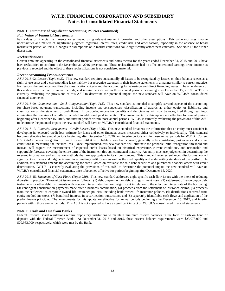#### *Fair Value of Financial Instruments*

 markets for particular items. Changes in assumptions or in market conditions could significantly affect these estimates. See Note 16 for further Fair values of financial instruments are estimated using relevant market information and other assumptions. Fair value estimates involve uncertainties and matters of significant judgment regarding interest rates, credit risk, and other factors, especially in the absence of broad discussion.

#### *Reclassifications*

 been reclassified to conform to the December 31, 2016 presentation. These reclassifications had no effect on retained earnings or net income as previously reported and the effect of these reclassifications is not considered material. Certain amounts appearing in the consolidated financial statements and notes thereto for the years ended December 31, 2015 and 2014 have

#### *Recent Accounting Pronouncements*

ASU 2016-02, *Leases (Topic 842)*. This new standard requires substantially all leases to be recognized by lessees on their balance sheets as a right-of-use asset and a corresponding lease liability but recognize expenses in their income statements in a manner similar to current practice. For lessors, the guidance modifies the classification criteria and the accounting for sales-type and direct financing leases. The amendments of this update are effective for annual periods, and interim periods within those annual periods, beginning after December 15, 2018. W.T.B. is currently evaluating the provisions of this ASU to determine the potential impact the new standard will have on W.T.B.'s consolidated financial statements.

ASU 2016-09, *Compensation – Stock Compensation (Topic 718)*. This new standard is intended to simplify several aspects of the accounting for share-based payment transactions, including income tax consequences, classification of awards as either equity or liabilities, and classification on the statement of cash flows. In particular, excess tax benefits and deficiencies will now be recognized through earnings, eliminating the tracking of windfalls recorded in additional paid in capital. The amendments for this update are effective for annual periods beginning after December 15, 2016, and interim periods within those annual periods. W.T.B. is currently evaluating the provisions of this ASU to determine the potential impact the new standard will have on W.T.B.'s consolidated financial statements.

ASU 2016-13, *Financial Instruments – Credit Losses (Topic 326)*. This new standard broadens the information that an entity must consider in developing its expected credit loss estimate for loans and other financial assets measured either collectively or individually. This standard becomes effective for annual periods beginning after December 15, 2020, and interim periods within those annual periods for W.T.B. Current U.S. GAAP delays recognition of credit losses until it is probable a loss has occurred, generally only considering past events and current conditions in measuring the incurred loss. Once implemented, this new standard will eliminate the probable initial recognition threshold and instead, will require the measurement of expected credit losses based on historical experience, current conditions, and reasonable and supportable forecasts covering the entire term of the instrument through contractual maturity. An entity must use judgement in determining the relevant information and estimation methods that are appropriate in its circumstances. This standard requires enhanced disclosures around significant estimates and judgments used in estimating credit losses, as well as the credit quality and underwriting standards of the portfolio. In addition, this standard amends the accounting for credit losses on available-for-sale debt securities and purchased financial assets with credit deterioration. W.T.B. is currently evaluating the provisions of this ASU to determine the potential impact the new standard will have on W.T.B.'s consolidated financial statements, once it becomes effective for periods beginning after December 15, 2020.

ASU 2016-15, *Statement of Cash Flows (Topic 230)*. This new standard addresses eight specific cash flow issues with the intent of reducing diversity in practice. Those eight issues are as follows: (1) debt prepayment or debt extinguishment costs, (2) settlement of zero-coupon debt instruments or other debt instruments with coupon interest rates that are insignificant in relation to the effective interest rate of the borrowing, (3) contingent consideration payments made after a business combination, (4) proceeds from the settlement of insurance claims, (5) proceeds from the settlement of corporate-owned life insurance policies, including bank-owned life insurance policies, (6) distributions received from equity method investees, (7) beneficial interests in securitization transactions, and (8) separately identifiable cash flows and application of the predominance principle. The amendments for this update are effective for annual periods beginning after December 15, 2017, and interim periods within those annual periods. This ASU is not expected to have a significant impact on W.T.B.'s consolidated financial statements.

#### **Note 2: Cash and Due from Banks**

Federal Reserve Board regulations require depository institutions to maintain minimum reserve balances in the form of cash on hand or deposits with the Federal Reserve Bank. At December 31, 2016 and 2015, these reserve balance requirements were \$23,073,000 and \$20,953,000, respectively, which were met by the Bank.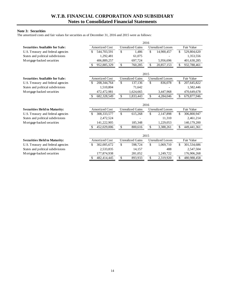#### **Note 3: Securities**

The amortized costs and fair values for securities as of December 31, 2016 and 2015 were as follows:

| <b>Securities Available for Sale:</b> | <b>Amortized Cost</b>        | <b>Unrealized Gains</b> | <b>Unrealized Losses</b>  | Fair Value          |
|---------------------------------------|------------------------------|-------------------------|---------------------------|---------------------|
| U.S. Treasury and federal agencies    | 544,703,591<br>\$            | \$<br>1,486             | \$<br>14,900,457          | \$.<br>529,804,620  |
| States and political subdivisions     | 1,292,481                    | 61,075                  |                           | 1,353,556           |
| M ortgage-backed securities           | 406,889,257                  | 697,724                 | 5,956,696                 | 401,630,285         |
|                                       | 952,885,329<br>\$            | \$<br>760,285           | \$<br>20,857,153          | \$<br>932,788,461   |
|                                       |                              |                         | 2015                      |                     |
| <b>Securities Available for Sale:</b> | <b>Amortized Cost</b>        | <b>Unrealized Gains</b> | <b>Unrealized Losses</b>  | Fair Value          |
| U.S. Treasury and federal agencies    | 208, 344, 764<br>\$          | $\mathbb{S}$<br>137,136 | \$<br>836,078             | \$<br>207, 645, 822 |
| States and political subdivisions     | 1,510,804                    | 71,642                  |                           | 1,582,446           |
| M ortgage-backed securities           | 472,472,981                  | 1,624,665               | 3,447,968                 | 470,649,678         |
|                                       | 682,328,549<br>S             | \$<br>1,833,443         | $\mathbb{S}$<br>4,284,046 | \$<br>679,877,946   |
|                                       |                              |                         | 2016                      |                     |
| <b>Securities Held to Maturity:</b>   | <b>Amortized Cost</b>        | <b>Unrealized Gains</b> | <b>Unrealized Losses</b>  | Fair Value          |
| U.S. Treasury and federal agencies    | 308, 333, 577<br>S           | \$<br>615,268           | \$<br>2,147,898           | \$<br>306,800,947   |
| States and political subdivisions     | 2,472,524                    |                         | 11.310                    | 2,461,214           |
| Mortgage-backed securities            | 141,222,905                  | 185,348                 | 1,229,053                 | 140,179,200         |
|                                       | <sup>\$</sup><br>452,029,006 | $\mathbb{S}$<br>800,616 | \$<br>3,388,261           | \$<br>449, 441, 361 |
|                                       |                              |                         | 2015                      |                     |
| <b>Securities Held to Maturity:</b>   | <b>Amortized Cost</b>        | <b>Unrealized Gains</b> | <b>Unrealized Losses</b>  | Fair Value          |
| U.S. Treasury and federal agencies    | 302,005,672<br>S             | \$<br>598,724           | \$<br>1,069,710           | \$<br>301,534,686   |
| States and political subdivisions     | 2,533,835                    | 14,157                  | 488                       | 2,547,504           |
| Mortgage-backed securities            | 177,874,938                  | 281,052                 | 1,249,722                 | 176,906,268         |
|                                       | 482,414,445                  | \$<br>893,933           | 2,319,920<br>\$           | 480,988,458<br>\$   |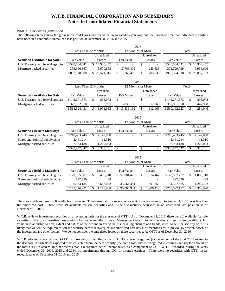### **Note 3: Securities (continued)**

The following tables show the gross unrealized losses and fair value, aggregated by category and the length of time that individual securities have been in a continuous unrealized loss position at December 31, 2016 and 2015.

|                                       |               |                     |                          | 2016                 |               |                 |  |  |  |  |  |
|---------------------------------------|---------------|---------------------|--------------------------|----------------------|---------------|-----------------|--|--|--|--|--|
|                                       |               | Less Than 12 Months |                          | 12 Months or More    | Total         |                 |  |  |  |  |  |
|                                       |               | Unrealized          |                          | Unrealized           |               | Unrealized      |  |  |  |  |  |
| <b>Securities Available for Sale:</b> | Fair Value    | Losses              | Fair Value               | Losses               | Fair Value    | Losses          |  |  |  |  |  |
| U.S. Treasury and federal agencies    | \$528,804,541 | 14,900,457<br>\$    | \$                       | \$                   | \$528,804,541 | \$14,900,457    |  |  |  |  |  |
| M ortgage-backed securities           | 353,966,367   | 5,670,858           | 17,763,402               | 285,838              | 371,729,769   | 5,956,696       |  |  |  |  |  |
|                                       | \$882,770,908 | \$ 20,571,315       | \$17,763,402             | \$<br>285,838        | \$900,534,310 | \$20,857,153    |  |  |  |  |  |
|                                       |               |                     |                          | 2015                 |               |                 |  |  |  |  |  |
|                                       |               | Less Than 12 Months |                          | 12 Months or More    |               | Total           |  |  |  |  |  |
|                                       |               | Unrealized          |                          | Unrealized           |               | Unrealized      |  |  |  |  |  |
| <b>Securities Available for Sale:</b> | Fair Value    | Losses              | Fair Value               | Losses               | Fair Value    | Losses          |  |  |  |  |  |
| U.S. Treasury and federal agencies    | \$142,271,573 | \$<br>836,078       | $\overline{\mathcal{S}}$ | \$<br>$\overline{a}$ | \$142,271,573 | \$<br>836,078   |  |  |  |  |  |
| Mortgage-backed securities            | 372,052,858   | 3,135,905           | 15,838,192               | 312,063              | 387,891,050   | 3,447,968       |  |  |  |  |  |
|                                       | \$514,324,431 | \$<br>3,971,983     | \$15,838,192             | \$<br>312,063        | \$530,162,623 | \$<br>4,284,046 |  |  |  |  |  |
|                                       | 2016          |                     |                          |                      |               |                 |  |  |  |  |  |
|                                       |               | Less Than 12 Months |                          | 12 Months or More    |               | Total           |  |  |  |  |  |
|                                       |               | Unrealized          |                          | Unrealized           |               | Unrealized      |  |  |  |  |  |
| <b>Securities Held to Maturity:</b>   | Fair Value    | Losses              | Fair Value               | Losses               | Fair Value    | Losses          |  |  |  |  |  |
| U.S. Treasury and federal agencies    | \$210,453,245 | 2,147,898           | $\overline{\mathcal{S}}$ | $\overline{\$}$      | \$210,453,245 | \$<br>2,147,898 |  |  |  |  |  |
| States and political subdivisions     | 2,461,214     | 11,310              |                          |                      | 2,461,214     | 11,310          |  |  |  |  |  |
| Mortgage-backed securities            | 107,933,188   | 1,229,053           |                          |                      | 107,933,188   | 1,229,053       |  |  |  |  |  |
|                                       | \$320,847,647 | \$<br>3,388,261     | \$                       | \$<br>$\sim$         | \$320,847,647 | \$<br>3,388,261 |  |  |  |  |  |
|                                       |               |                     |                          | 2015                 |               |                 |  |  |  |  |  |
|                                       |               | Less Than 12 Months |                          | 12 Months or More    |               | Total           |  |  |  |  |  |
|                                       |               | Unrealized          |                          | Unrealized           |               | Unrealized      |  |  |  |  |  |
| <b>Securities Held to Maturity:</b>   | Fair Value    | Losses              | Fair Value               | Losses               | Fair Value    | Losses          |  |  |  |  |  |
| U.S. Treasury and federal agencies    | \$70,795,807  | \$<br>455,248       | \$57,301,470             | \$<br>614,462        | \$128,097,277 | \$<br>1,069,710 |  |  |  |  |  |
| States and political subdivisions     | 597,230       | 488                 |                          |                      | 597,230       | 488             |  |  |  |  |  |
| Mortgage-backed securities            | 100,833,184   | 658,072             | 33,564,481               | 591,650              | 134,397,665   | 1,249,722       |  |  |  |  |  |
|                                       | \$172,226,221 | \$<br>1,113,808     | \$90,865,951             | \$<br>1,206,112      | \$263,092,172 | \$<br>2,319,920 |  |  |  |  |  |

The above table represents 60 available-for-sale and 36 held-to-maturity securities for which the fair value at December 31, 2016, was less than the amortized cost. There were 49 available-for-sale securities and 25 held-to-maturity securities in an unrealized loss position as of December 31, 2015.

W.T.B. reviews investment securities on an ongoing basis for the presence of OTTI. As of December 31, 2016, there were 2 available-for-sale securities in the gross unrealized loss position for twelve months or more. Management takes into consideration current market conditions, fair value in relationship to cost, extent and nature of the decline in fair value, issuer rating changes and trends, intent to sell the security or if it is likely that we will be required to sell the security before recovery of our amortized cost basis, or recorded cost if previously written down, of the investment and other factors. We do not consider the unrealized losses on these securities to be OTTI as of December 31, 2016.

 the decrease in cash flows expected to be collected from the debt security (the credit loss) that is recognized in earnings and (b) the amount of W.T.B. adopted a provision of GAAP that provides for the bifurcation of OTTI into two categories: (a) the amount of the total OTTI related to the total OTTI related to all other factors that is recognized net of income taxes, as a component of OCI. W.T.B. recorded, during the years ended December 31, 2016, 2015 and 2014, no impairments through OCI or through earnings. There were no securities with OTTI losses recognized as of December 31, 2016 and 2015.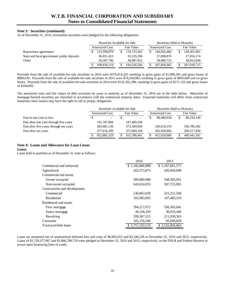### **Note 3: Securities (continued)**

As of December 31, 2016, investment securities were pledged for the following obligations:

|                                            | Securities Available for Sale |              |            |             |                       | Securities Held to Maturity |  |             |
|--------------------------------------------|-------------------------------|--------------|------------|-------------|-----------------------|-----------------------------|--|-------------|
|                                            | <b>Amortized Cost</b>         |              | Fair Value |             | <b>Amortized Cost</b> |                             |  | Fair Value  |
| Repurchase agreements                      |                               | 123,390,870  |            | 119,733,362 |                       | 140,956,466                 |  | 140,361,901 |
| State and local government public deposits |                               | 36,051,453   |            | 35,535,290  |                       | 27,898,876                  |  | 27,816,174  |
| Other                                      |                               | 39, 387, 796 |            | 38.987.912  |                       | 38,980,723                  |  | 38,852,640  |
|                                            |                               | 198,830,119  |            | 194,256,564 |                       | 207,836,065                 |  | 207,030,715 |

Proceeds from the sale of available-for-sale securities in 2016 were \$376,814,325 resulting in gross gains of \$1,890,392 and gross losses of \$889,639. Proceeds from the sale of available-for-sale securities in 2015 were \$74,244,982, resulting in gross gains of \$605,669 and no gross losses. Proceeds from the sale of available-for-sale securities in 2014 were \$132,301,398, resulting in gross gains of \$271,129 and gross losses of \$194,003.

The amortized costs and fair values of debt securities by years to maturity as of December 31, 2016 are in the table below. Maturities of mortgage-backed securities are classified in accordance with the contractual maturity dates. Expected maturities will differ from contractual maturities since issuers may have the right to call or prepay obligations.

|                                        | Securities Available for Sale |                          |            |             | Securities Held to Maturity |             |            |               |
|----------------------------------------|-------------------------------|--------------------------|------------|-------------|-----------------------------|-------------|------------|---------------|
|                                        | <b>Amortized Cost</b>         |                          | Fair Value |             | <b>Amortized Cost</b>       |             | Fair Value |               |
| Due in one year or less                |                               | $\overline{\phantom{0}}$ |            |             |                             | 88.460.634  |            | 88,334,149    |
| Due after one year through five years  |                               | 191,787,894              |            | 187,409,296 |                             |             |            |               |
| Due after five years through ten years |                               | 383,481,136              |            | 373,369,969 |                             | 160,610,370 |            | 160,789,382   |
| Due after ten years                    |                               | 377.616.299              |            | 372,009,196 |                             | 202,958,002 |            | 200, 317, 830 |
|                                        |                               | 952,885,329              |            | 932,788,461 |                             | 452,029,006 |            | 449, 441, 361 |

# **Note 4: Loans and Allowance for Loan Losses**

*Loans* 

Loans held in portfolio as of December 31 were as follows:

|                              | 2016             | 2015            |
|------------------------------|------------------|-----------------|
| Commercial and industrial    | \$1,182,806,988  | \$1,107,661,571 |
| Agricultural                 | 203, 373, 873    | 205,604,698     |
| Commercial real estate       |                  |                 |
| Owner occupied               | 589,880,088      | 548,585,051     |
| Non-owner occupied           | 643,024,655      | 587,725,001     |
| Construction and development |                  |                 |
| Commercial                   | 230,863,039      | 221.231.546     |
| Residential                  | 165,083,605      | 167,483,319     |
| Residential real estate      |                  |                 |
| First mortgage               | 394,217,072      | 356, 365, 041   |
| Junior mortgage              | 36,336,329       | 30,633,446      |
| Revolving                    | 209, 367, 515    | 211,930,363     |
| Consumer                     | 102,150,346      | 95,649,828      |
| Total portfolio loans        | \$ 3,757,103,510 | \$3.532,869,864 |

 Loans are presented net of unamortized deferred fees and costs of \$6,963,653 and \$5,346,239 at December 31, 2016 and 2015, respectively. Loans of \$1,729,377,067 and \$1,866,780,759 were pledged at December 31, 2016 and 2015, respectively, to the FHLB and Federal Reserve to secure open borrowing lines of credit.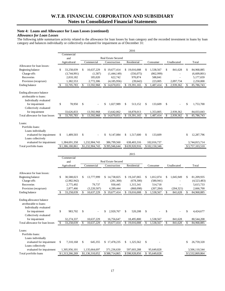# **Note 4: Loans and Allowance for Loan Losses (continued)**

# *Allowance for Loan Losses*

The following table summarizes activity related to the allowance for loan losses by loan category and the recorded investment in loans by loan category and balances individually or collectively evaluated for impairment as of December 31:

| Commercial<br><b>Real Estate Secured</b><br>and<br>Residential<br>Agricultural<br>Commercial<br>Construction<br>Unallocated<br>Consumer<br>Total<br>Allowance for loan losses:<br>Beginning balance<br>33,258,039<br>1,538,567<br>\$<br>\$<br>10,637,229<br>\$19,677,414<br>\$19,016,008<br>841,628<br>\$<br>84,968,885<br>S<br>\$<br>(1,587)<br>(862,999)<br>Charge-offs<br>(3,744,991)<br>(1,444,149)<br>(556, 075)<br>(6,609,801)<br>Recoveries<br>185,020<br>622,742<br>970,874<br>588,841<br>5,177,659<br>2,810,182<br>Provision (recapture)<br>2,097,734<br>1,382,553<br>2,772,306<br>(4,185,956)<br>(39, 642)<br>223,005<br>2,250,000<br>13,592,968<br>33,705,783<br>\$<br>14,670,051<br>19,391,165<br>\$<br>1,487,414<br>2,939,362<br>85,786,743<br>Ending balance<br>\$<br>\$<br>\$<br>\$<br>Ending allowance balance<br>attributable to loans:<br>Individually evaluated<br>\$<br>78,950<br>\$<br>1,027,989<br>\$<br>513,152<br>\$<br>133,609<br>\$<br>1,753,700<br>for impairment<br>\$<br>\$<br>Collectively evaluated<br>for impairment<br>33,626,833<br>13,592,968<br>13,642,062<br>18,878,013<br>1,353,805<br>2,939,362<br>84,033,043<br>$\mathbb{S}$<br>33,705,783<br><sup>\$</sup><br>13,592,968<br>\$14,670,051<br>19,391,165<br>$\mathbb{S}$<br>1,487,414<br>\$<br>2,939,362<br>\$<br>85,786,743<br>Total allowance for loan losses<br>\$<br>Loans:<br>Portfolio loans:<br>Loans individually<br>evaluated for impairment<br>\$<br>1,489,503<br>\$<br>9,147,084<br>1,517,600<br>\$<br>133,609<br>12,287,796<br>\$<br>\$<br>\$<br>Loans collectively<br>evaluated for impairment<br>1,384,691,358<br>386,799,560<br>638,403,316<br>102,016,737<br>3,744,815,714<br>1,232,904,743<br>\$1,232,904,743<br>\$102,150,346<br>\$3,757,103,510<br>Total portfolio loans<br>\$1,386,180,861<br>\$395,946,644<br>\$639,920,916<br>2015<br>Commercial<br><b>Real Estate Secured</b><br>and |
|----------------------------------------------------------------------------------------------------------------------------------------------------------------------------------------------------------------------------------------------------------------------------------------------------------------------------------------------------------------------------------------------------------------------------------------------------------------------------------------------------------------------------------------------------------------------------------------------------------------------------------------------------------------------------------------------------------------------------------------------------------------------------------------------------------------------------------------------------------------------------------------------------------------------------------------------------------------------------------------------------------------------------------------------------------------------------------------------------------------------------------------------------------------------------------------------------------------------------------------------------------------------------------------------------------------------------------------------------------------------------------------------------------------------------------------------------------------------------------------------------------------------------------------------------------------------------------------------------------------------------------------------------------------------------------------------------------------------------------------------------------------------------------------------------------------------------------------------------------------------------------------------------|
|                                                                                                                                                                                                                                                                                                                                                                                                                                                                                                                                                                                                                                                                                                                                                                                                                                                                                                                                                                                                                                                                                                                                                                                                                                                                                                                                                                                                                                                                                                                                                                                                                                                                                                                                                                                                                                                                                                    |
|                                                                                                                                                                                                                                                                                                                                                                                                                                                                                                                                                                                                                                                                                                                                                                                                                                                                                                                                                                                                                                                                                                                                                                                                                                                                                                                                                                                                                                                                                                                                                                                                                                                                                                                                                                                                                                                                                                    |
|                                                                                                                                                                                                                                                                                                                                                                                                                                                                                                                                                                                                                                                                                                                                                                                                                                                                                                                                                                                                                                                                                                                                                                                                                                                                                                                                                                                                                                                                                                                                                                                                                                                                                                                                                                                                                                                                                                    |
|                                                                                                                                                                                                                                                                                                                                                                                                                                                                                                                                                                                                                                                                                                                                                                                                                                                                                                                                                                                                                                                                                                                                                                                                                                                                                                                                                                                                                                                                                                                                                                                                                                                                                                                                                                                                                                                                                                    |
|                                                                                                                                                                                                                                                                                                                                                                                                                                                                                                                                                                                                                                                                                                                                                                                                                                                                                                                                                                                                                                                                                                                                                                                                                                                                                                                                                                                                                                                                                                                                                                                                                                                                                                                                                                                                                                                                                                    |
|                                                                                                                                                                                                                                                                                                                                                                                                                                                                                                                                                                                                                                                                                                                                                                                                                                                                                                                                                                                                                                                                                                                                                                                                                                                                                                                                                                                                                                                                                                                                                                                                                                                                                                                                                                                                                                                                                                    |
|                                                                                                                                                                                                                                                                                                                                                                                                                                                                                                                                                                                                                                                                                                                                                                                                                                                                                                                                                                                                                                                                                                                                                                                                                                                                                                                                                                                                                                                                                                                                                                                                                                                                                                                                                                                                                                                                                                    |
|                                                                                                                                                                                                                                                                                                                                                                                                                                                                                                                                                                                                                                                                                                                                                                                                                                                                                                                                                                                                                                                                                                                                                                                                                                                                                                                                                                                                                                                                                                                                                                                                                                                                                                                                                                                                                                                                                                    |
|                                                                                                                                                                                                                                                                                                                                                                                                                                                                                                                                                                                                                                                                                                                                                                                                                                                                                                                                                                                                                                                                                                                                                                                                                                                                                                                                                                                                                                                                                                                                                                                                                                                                                                                                                                                                                                                                                                    |
|                                                                                                                                                                                                                                                                                                                                                                                                                                                                                                                                                                                                                                                                                                                                                                                                                                                                                                                                                                                                                                                                                                                                                                                                                                                                                                                                                                                                                                                                                                                                                                                                                                                                                                                                                                                                                                                                                                    |
|                                                                                                                                                                                                                                                                                                                                                                                                                                                                                                                                                                                                                                                                                                                                                                                                                                                                                                                                                                                                                                                                                                                                                                                                                                                                                                                                                                                                                                                                                                                                                                                                                                                                                                                                                                                                                                                                                                    |
|                                                                                                                                                                                                                                                                                                                                                                                                                                                                                                                                                                                                                                                                                                                                                                                                                                                                                                                                                                                                                                                                                                                                                                                                                                                                                                                                                                                                                                                                                                                                                                                                                                                                                                                                                                                                                                                                                                    |
|                                                                                                                                                                                                                                                                                                                                                                                                                                                                                                                                                                                                                                                                                                                                                                                                                                                                                                                                                                                                                                                                                                                                                                                                                                                                                                                                                                                                                                                                                                                                                                                                                                                                                                                                                                                                                                                                                                    |
|                                                                                                                                                                                                                                                                                                                                                                                                                                                                                                                                                                                                                                                                                                                                                                                                                                                                                                                                                                                                                                                                                                                                                                                                                                                                                                                                                                                                                                                                                                                                                                                                                                                                                                                                                                                                                                                                                                    |
|                                                                                                                                                                                                                                                                                                                                                                                                                                                                                                                                                                                                                                                                                                                                                                                                                                                                                                                                                                                                                                                                                                                                                                                                                                                                                                                                                                                                                                                                                                                                                                                                                                                                                                                                                                                                                                                                                                    |
|                                                                                                                                                                                                                                                                                                                                                                                                                                                                                                                                                                                                                                                                                                                                                                                                                                                                                                                                                                                                                                                                                                                                                                                                                                                                                                                                                                                                                                                                                                                                                                                                                                                                                                                                                                                                                                                                                                    |
|                                                                                                                                                                                                                                                                                                                                                                                                                                                                                                                                                                                                                                                                                                                                                                                                                                                                                                                                                                                                                                                                                                                                                                                                                                                                                                                                                                                                                                                                                                                                                                                                                                                                                                                                                                                                                                                                                                    |
|                                                                                                                                                                                                                                                                                                                                                                                                                                                                                                                                                                                                                                                                                                                                                                                                                                                                                                                                                                                                                                                                                                                                                                                                                                                                                                                                                                                                                                                                                                                                                                                                                                                                                                                                                                                                                                                                                                    |
|                                                                                                                                                                                                                                                                                                                                                                                                                                                                                                                                                                                                                                                                                                                                                                                                                                                                                                                                                                                                                                                                                                                                                                                                                                                                                                                                                                                                                                                                                                                                                                                                                                                                                                                                                                                                                                                                                                    |
|                                                                                                                                                                                                                                                                                                                                                                                                                                                                                                                                                                                                                                                                                                                                                                                                                                                                                                                                                                                                                                                                                                                                                                                                                                                                                                                                                                                                                                                                                                                                                                                                                                                                                                                                                                                                                                                                                                    |
|                                                                                                                                                                                                                                                                                                                                                                                                                                                                                                                                                                                                                                                                                                                                                                                                                                                                                                                                                                                                                                                                                                                                                                                                                                                                                                                                                                                                                                                                                                                                                                                                                                                                                                                                                                                                                                                                                                    |
|                                                                                                                                                                                                                                                                                                                                                                                                                                                                                                                                                                                                                                                                                                                                                                                                                                                                                                                                                                                                                                                                                                                                                                                                                                                                                                                                                                                                                                                                                                                                                                                                                                                                                                                                                                                                                                                                                                    |
|                                                                                                                                                                                                                                                                                                                                                                                                                                                                                                                                                                                                                                                                                                                                                                                                                                                                                                                                                                                                                                                                                                                                                                                                                                                                                                                                                                                                                                                                                                                                                                                                                                                                                                                                                                                                                                                                                                    |
|                                                                                                                                                                                                                                                                                                                                                                                                                                                                                                                                                                                                                                                                                                                                                                                                                                                                                                                                                                                                                                                                                                                                                                                                                                                                                                                                                                                                                                                                                                                                                                                                                                                                                                                                                                                                                                                                                                    |
|                                                                                                                                                                                                                                                                                                                                                                                                                                                                                                                                                                                                                                                                                                                                                                                                                                                                                                                                                                                                                                                                                                                                                                                                                                                                                                                                                                                                                                                                                                                                                                                                                                                                                                                                                                                                                                                                                                    |
|                                                                                                                                                                                                                                                                                                                                                                                                                                                                                                                                                                                                                                                                                                                                                                                                                                                                                                                                                                                                                                                                                                                                                                                                                                                                                                                                                                                                                                                                                                                                                                                                                                                                                                                                                                                                                                                                                                    |
|                                                                                                                                                                                                                                                                                                                                                                                                                                                                                                                                                                                                                                                                                                                                                                                                                                                                                                                                                                                                                                                                                                                                                                                                                                                                                                                                                                                                                                                                                                                                                                                                                                                                                                                                                                                                                                                                                                    |
| Agricultural<br>Commercial<br>Construction<br>Residential<br>Unallocated<br>Total<br>Consumer                                                                                                                                                                                                                                                                                                                                                                                                                                                                                                                                                                                                                                                                                                                                                                                                                                                                                                                                                                                                                                                                                                                                                                                                                                                                                                                                                                                                                                                                                                                                                                                                                                                                                                                                                                                                      |
|                                                                                                                                                                                                                                                                                                                                                                                                                                                                                                                                                                                                                                                                                                                                                                                                                                                                                                                                                                                                                                                                                                                                                                                                                                                                                                                                                                                                                                                                                                                                                                                                                                                                                                                                                                                                                                                                                                    |
| Allowance for loan losses:                                                                                                                                                                                                                                                                                                                                                                                                                                                                                                                                                                                                                                                                                                                                                                                                                                                                                                                                                                                                                                                                                                                                                                                                                                                                                                                                                                                                                                                                                                                                                                                                                                                                                                                                                                                                                                                                         |
| \$19,247,065<br>81,209,935<br>\$<br>30,588,023<br>\$<br>13,777,999<br>\$14,738,825<br>\$<br>1,812,074<br>1,045,949<br>\$<br>Beginning balance<br>\$                                                                                                                                                                                                                                                                                                                                                                                                                                                                                                                                                                                                                                                                                                                                                                                                                                                                                                                                                                                                                                                                                                                                                                                                                                                                                                                                                                                                                                                                                                                                                                                                                                                                                                                                                |
| Charge-offs<br>(2,982,942)<br>(281,300)<br>(678, 300)<br>(580, 941)<br>(4,523,483)                                                                                                                                                                                                                                                                                                                                                                                                                                                                                                                                                                                                                                                                                                                                                                                                                                                                                                                                                                                                                                                                                                                                                                                                                                                                                                                                                                                                                                                                                                                                                                                                                                                                                                                                                                                                                 |
| Recoveries<br>2,775,492<br>79,737<br>930,445<br>1,315,341<br>514,718<br>5,615,733<br>$\overline{a}$                                                                                                                                                                                                                                                                                                                                                                                                                                                                                                                                                                                                                                                                                                                                                                                                                                                                                                                                                                                                                                                                                                                                                                                                                                                                                                                                                                                                                                                                                                                                                                                                                                                                                                                                                                                                |
| Provision (recapture)<br>(3,220,507)<br>2,666,700<br>2,877,466<br>4,289,444<br>(868,098)<br>(207, 284)<br>(204, 321)                                                                                                                                                                                                                                                                                                                                                                                                                                                                                                                                                                                                                                                                                                                                                                                                                                                                                                                                                                                                                                                                                                                                                                                                                                                                                                                                                                                                                                                                                                                                                                                                                                                                                                                                                                               |
| 33,258,039<br>$\mathcal{S}$<br>10,637,229<br>\$<br>19,677,414<br>\$<br>\$<br>$\mathcal{S}$<br>\$<br>19,016,008<br>1,538,567<br>841,628<br>84,968,885<br><b>Ending balance</b><br>S                                                                                                                                                                                                                                                                                                                                                                                                                                                                                                                                                                                                                                                                                                                                                                                                                                                                                                                                                                                                                                                                                                                                                                                                                                                                                                                                                                                                                                                                                                                                                                                                                                                                                                                 |
|                                                                                                                                                                                                                                                                                                                                                                                                                                                                                                                                                                                                                                                                                                                                                                                                                                                                                                                                                                                                                                                                                                                                                                                                                                                                                                                                                                                                                                                                                                                                                                                                                                                                                                                                                                                                                                                                                                    |
| Ending allowance balance                                                                                                                                                                                                                                                                                                                                                                                                                                                                                                                                                                                                                                                                                                                                                                                                                                                                                                                                                                                                                                                                                                                                                                                                                                                                                                                                                                                                                                                                                                                                                                                                                                                                                                                                                                                                                                                                           |
| attributable to loans:                                                                                                                                                                                                                                                                                                                                                                                                                                                                                                                                                                                                                                                                                                                                                                                                                                                                                                                                                                                                                                                                                                                                                                                                                                                                                                                                                                                                                                                                                                                                                                                                                                                                                                                                                                                                                                                                             |
| Individually evaluated                                                                                                                                                                                                                                                                                                                                                                                                                                                                                                                                                                                                                                                                                                                                                                                                                                                                                                                                                                                                                                                                                                                                                                                                                                                                                                                                                                                                                                                                                                                                                                                                                                                                                                                                                                                                                                                                             |
| \$<br>983,702<br>\$<br>\$<br>\$<br>520,208<br>\$<br>\$<br>\$<br>4,424,677<br>for impairment<br>2.920.767                                                                                                                                                                                                                                                                                                                                                                                                                                                                                                                                                                                                                                                                                                                                                                                                                                                                                                                                                                                                                                                                                                                                                                                                                                                                                                                                                                                                                                                                                                                                                                                                                                                                                                                                                                                           |
| Collectively evaluated                                                                                                                                                                                                                                                                                                                                                                                                                                                                                                                                                                                                                                                                                                                                                                                                                                                                                                                                                                                                                                                                                                                                                                                                                                                                                                                                                                                                                                                                                                                                                                                                                                                                                                                                                                                                                                                                             |
| 32,274,337<br>10,637,229<br>16,756,647<br>18,495,800<br>1,538,567<br>80,544,208<br>for impairment<br>841,628                                                                                                                                                                                                                                                                                                                                                                                                                                                                                                                                                                                                                                                                                                                                                                                                                                                                                                                                                                                                                                                                                                                                                                                                                                                                                                                                                                                                                                                                                                                                                                                                                                                                                                                                                                                       |
| \$<br>Total allowance for loan losses<br>33,258,039<br>10,637,229<br>\$19,677,414<br>\$19,016,008<br>\$<br>1,538,567<br>\$<br>841,628<br>\$<br>84,968,885<br>\$                                                                                                                                                                                                                                                                                                                                                                                                                                                                                                                                                                                                                                                                                                                                                                                                                                                                                                                                                                                                                                                                                                                                                                                                                                                                                                                                                                                                                                                                                                                                                                                                                                                                                                                                    |
|                                                                                                                                                                                                                                                                                                                                                                                                                                                                                                                                                                                                                                                                                                                                                                                                                                                                                                                                                                                                                                                                                                                                                                                                                                                                                                                                                                                                                                                                                                                                                                                                                                                                                                                                                                                                                                                                                                    |
|                                                                                                                                                                                                                                                                                                                                                                                                                                                                                                                                                                                                                                                                                                                                                                                                                                                                                                                                                                                                                                                                                                                                                                                                                                                                                                                                                                                                                                                                                                                                                                                                                                                                                                                                                                                                                                                                                                    |
| Loans:                                                                                                                                                                                                                                                                                                                                                                                                                                                                                                                                                                                                                                                                                                                                                                                                                                                                                                                                                                                                                                                                                                                                                                                                                                                                                                                                                                                                                                                                                                                                                                                                                                                                                                                                                                                                                                                                                             |
| Portfolio loans:                                                                                                                                                                                                                                                                                                                                                                                                                                                                                                                                                                                                                                                                                                                                                                                                                                                                                                                                                                                                                                                                                                                                                                                                                                                                                                                                                                                                                                                                                                                                                                                                                                                                                                                                                                                                                                                                                   |
| Loans individually                                                                                                                                                                                                                                                                                                                                                                                                                                                                                                                                                                                                                                                                                                                                                                                                                                                                                                                                                                                                                                                                                                                                                                                                                                                                                                                                                                                                                                                                                                                                                                                                                                                                                                                                                                                                                                                                                 |
| 26,759,320<br>evaluated for impairment<br>\$<br>7,310,168<br>\$<br>645,355<br>\$17,478,235<br>1,325,562<br>\$<br>\$<br>\$                                                                                                                                                                                                                                                                                                                                                                                                                                                                                                                                                                                                                                                                                                                                                                                                                                                                                                                                                                                                                                                                                                                                                                                                                                                                                                                                                                                                                                                                                                                                                                                                                                                                                                                                                                          |
| Loans collectively<br>evaluated for impairment<br>1,305,956,101<br>1,135,664,697<br>371,236,630<br>597,603,288<br>95,649,828<br>3,506,110,544                                                                                                                                                                                                                                                                                                                                                                                                                                                                                                                                                                                                                                                                                                                                                                                                                                                                                                                                                                                                                                                                                                                                                                                                                                                                                                                                                                                                                                                                                                                                                                                                                                                                                                                                                      |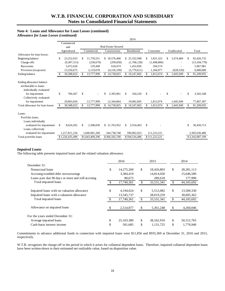### **Note 4: Loans and Allowance for Loan Losses (continued)**

 *Allowance for Loan Losses (continued)* 

|                                                                              | 2014 |                 |              |                 |    |                            |             |               |     |               |    |             |    |                 |
|------------------------------------------------------------------------------|------|-----------------|--------------|-----------------|----|----------------------------|-------------|---------------|-----|---------------|----|-------------|----|-----------------|
|                                                                              |      | Commercial      |              |                 |    |                            |             |               |     |               |    |             |    |                 |
|                                                                              |      | and             |              |                 |    | <b>Real Estate Secured</b> |             |               |     |               |    |             |    |                 |
|                                                                              |      | Agricultural    |              | Commercial      |    | Construction               | Residential |               |     | Consumer      |    | Unallocated |    | Total           |
| Allowance for loan losses:                                                   |      |                 |              |                 |    |                            |             |               |     |               |    |             |    |                 |
| Beginning balance                                                            | \$   | 23,252,033      | -S           | 11.759.551      |    | \$18,576,408               |             | \$25,332,948  | S   | 1,831,323     | S. | 1,674,469   | S. | 82,426,732      |
| Charge-offs                                                                  |      | (9, 387, 313)   |              | (230,679)       |    | (299, 858)                 |             | (1,768,128)   |     | (1,498,800)   |    |             |    | (13, 184, 778)  |
| Recoveries                                                                   |      | 3,472,628       |              | 129.449         |    | 618.474                    |             | 1,452,856     |     | 294,574       |    |             |    | 5,967,981       |
| Provision (recapture)                                                        |      | 13,250,675      |              | 2.119.678       |    | (4, 156, 199)              |             | (5.770.611)   |     | 1,184,977     |    | (628, 520)  |    | 6,000,000       |
| Ending balance                                                               |      | 30,588,023      |              | 13,777,999      |    | 14,738,825                 | \$          | 19,247,065    |     | 1,812,074     |    | 1,045,949   | \$ | 81,209,935      |
|                                                                              |      |                 |              |                 |    |                            |             |               |     |               |    |             |    |                 |
| Ending allowance balance<br>attributable to loans:<br>Individually evaluated |      |                 |              |                 |    |                            |             |               |     |               |    |             |    |                 |
| for impairment<br>Collectively evaluated                                     | \$   | 784,367         | $\mathbb{S}$ |                 | \$ | 2,393,961                  | \$          | 164,220       | \$  |               | \$ |             | \$ | 3,342,548       |
| for impairment                                                               |      | 29,803,656      |              | 13,777,999      |    | 12.344.864                 |             | 19.082.845    |     | 1,812,074     |    | 1.045.949   |    | 77,867,387      |
| Total allowance for loan losses                                              | -S   | 30,588,023      | \$.          | 13,777,999      | \$ | 14,738,825                 |             | \$19,247,065  | \$. | 1,812,074     |    | 1,045,949   |    | 81,209,935      |
| Loans:<br>Portfolio loans:                                                   |      |                 |              |                 |    |                            |             |               |     |               |    |             |    |                 |
| Loans individually<br>evaluated for impairment<br>Loans collectively         | \$   | 8,624,262       | \$           | 2.508.036       |    | \$21,763,952               | \$.         | 3.554.463     | \$  |               |    |             | \$ | 36,450,713      |
| evaluated for impairment                                                     |      | 1,217,811,234   |              | 1,040,901,260   |    | 344,738,748                |             | 590,962,023   |     | 111,223,221   |    |             |    | 3,305,636,486   |
| Total portfolio loans                                                        |      | \$1,226,435,496 |              | \$1,043,409,296 |    | \$366,502,700              |             | \$594,516,486 |     | \$111,223,221 |    |             |    | \$3,342,087,199 |

### *Impaired Loans*

The following table presents impaired loans and the related valuation allowance.

|                                                   | 2016          |            | 2015             |                    | 2014         |
|---------------------------------------------------|---------------|------------|------------------|--------------------|--------------|
| December 31:                                      |               |            |                  |                    |              |
| Nonaccrual loans                                  | \$            | 14,275,269 | \$<br>18,426,803 | \$                 | 28, 281, 113 |
| Accruing troubled debt restructurings             |               | 3,384,419  | 14,814,920       |                    | 15,646,589   |
| Loans past due 90 days or more and still accruing |               | 80,673     | 289,618          |                    | 177,990      |
| Total impaired loans                              |               | 17.740.361 | \$<br>33,531,341 | $\mathbf{\hat{s}}$ | 44, 105, 692 |
|                                                   |               |            |                  |                    |              |
| Impaired loans with no valuation allowance        | \$            | 4,194,624  | \$<br>5,512,082  | \$                 | 13,500,330   |
| Impaired loans with a valuation allowance         |               | 13,545,737 | 28,019,259       |                    | 30,605,362   |
| Total impaired loans                              | $\mathcal{S}$ | 17,740,361 | \$<br>33,531,341 | \$                 | 44, 105, 692 |
| Allowance on impaired loans                       |               | 2,514,877  | \$<br>5,361,248  | \$.                | 4,260,046    |
| For the years ended December 31:                  |               |            |                  |                    |              |
| Average impaired loans                            | \$            | 25,103,380 | \$<br>38,162,910 | \$                 | 50,312,765   |
| Cash-basis interest income                        | \$            | 501,685    | \$<br>1,131,725  | \$                 | 1.770.940    |

Commitments to advance additional funds in connection with impaired loans were \$11,856 and \$935,369 at December 31, 2016 and 2015, respectively.

 W.T.B. recognizes the charge-off in the period in which it arises for collateral dependent loans. Therefore, impaired collateral dependent loans have been written-down to their estimated net realizable value, based on disposition value.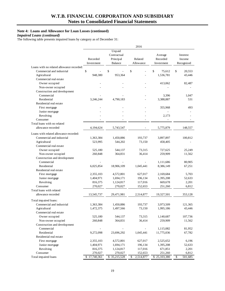# **Note 4: Loans and Allowance for Loan Losses (continued)**

*Impaired Loans (continued)* 

The following table presents impaired loans by category as of December 31:

| Unpaid<br>Contractual<br>Average<br>Interest<br>Recorded<br>Principal<br>Related<br>Recorded<br>Income<br><b>Balance</b><br>Allowance<br>Recognized<br>Investment<br>Investment<br>Loans with no related allowance recorded:<br>\$<br>\$<br>\$<br>\$<br>\$<br>Commercial and industrial<br>75,612<br>20,553<br>948,380<br>Agricultural<br>953,364<br>1,536,781<br>43,446<br>Commercial real estate<br>Owner occupied<br>413,062<br>82,487<br>Non-owner occupied<br>Construction and development<br>Commercial<br>3,396<br>1,047<br>Residential<br>3,246,244<br>4,790,183<br>3,388,887<br>531<br>Residential real estate<br>355,968<br>First mortgage<br>493<br>Junior mortgage<br>2,173<br>Revolving<br>Consumer<br>Total loans with no related<br>allowance recorded<br>4,194,624<br>5.743.547<br>5,775,879<br>148,557<br>Loans with related allowance recorded:<br>Commercial and industrial<br>193,737<br>100,812<br>1,363,384<br>1,450,886<br>3,897,897<br>Agricultural<br>523,995<br>544,202<br>73,150<br>458,405<br>Commercial real estate<br>Owner occupied<br>525,180<br>73,315<br>25,249<br>544,137<br>727,625<br>Non-owner occupied<br>36,414<br>259,909<br>11,562<br>260,848<br>364,831<br>Construction and development<br>Commercial<br>80,905<br>1,111,686<br>6,025,854<br>18,906,109<br>1,045,441<br>Residential<br>8,386,149<br>67,251<br>Residential real estate<br>2,355,103<br>4,572,801<br>627,017<br>2,169,684<br>5,703<br>First mortgage<br>Junior mortgage<br>1,404,971<br>196,134<br>52,633<br>1,694,171<br>1,395,208<br>Revolving<br>117,016<br>669,678<br>816,375<br>1,124,817<br>2,201<br>Consumer<br>270,027<br>270,027<br>152,653<br>251,260<br>6,812<br>Total loans with related<br>allowance recorded<br>13,545,737<br>353,128<br>29,471,981<br>2,514,877<br>19,327,501<br>Total impaired loans:<br>Commercial and industrial<br>1,363,384<br>1,450,886<br>193,737<br>3,973,509<br>121,365<br>Agricultural<br>1,472,375<br>1,497,566<br>73,150<br>1,995,186<br>43,446<br>Commercial real estate<br>Owner occupied<br>525,180<br>544,137<br>73,315<br>1,140,687<br>107,736<br>Non-owner occupied<br>36,414<br>260,848<br>364,831<br>259,909<br>11,562<br>Construction and development<br>Commercial<br>1,115,082<br>81,952<br>Residential<br>9,272,098<br>23,696,292<br>1,045,441<br>11,775,036<br>67,782<br>Residential real estate<br>4,572,801<br>627,017<br>6,196<br>First mortgage<br>2,355,103<br>2,525,652<br>Junior mortgage<br>196,134<br>52,633<br>1,404,971<br>1,694,171<br>1,395,208<br>Revolving<br>816,375<br>1,124,817<br>117,016<br>671,851<br>2,201<br>Consumer<br>270,027<br>270,027<br>152,653<br>251,260<br>6,812<br>Total impaired loans<br>\$17,740,361<br>$\mathbb{S}$<br>\$35,215,528<br>\$<br>2,514,877<br>\$25,103,380<br>501,685 |  | 2016 |  |
|------------------------------------------------------------------------------------------------------------------------------------------------------------------------------------------------------------------------------------------------------------------------------------------------------------------------------------------------------------------------------------------------------------------------------------------------------------------------------------------------------------------------------------------------------------------------------------------------------------------------------------------------------------------------------------------------------------------------------------------------------------------------------------------------------------------------------------------------------------------------------------------------------------------------------------------------------------------------------------------------------------------------------------------------------------------------------------------------------------------------------------------------------------------------------------------------------------------------------------------------------------------------------------------------------------------------------------------------------------------------------------------------------------------------------------------------------------------------------------------------------------------------------------------------------------------------------------------------------------------------------------------------------------------------------------------------------------------------------------------------------------------------------------------------------------------------------------------------------------------------------------------------------------------------------------------------------------------------------------------------------------------------------------------------------------------------------------------------------------------------------------------------------------------------------------------------------------------------------------------------------------------------------------------------------------------------------------------------------------------------------------------------------------------------------------------------------------------------------------------------------------------------------------------------------------------------------------------------------------------------------------------------------------------------------------------------------------------------------------------------------------------------------------------|--|------|--|
|                                                                                                                                                                                                                                                                                                                                                                                                                                                                                                                                                                                                                                                                                                                                                                                                                                                                                                                                                                                                                                                                                                                                                                                                                                                                                                                                                                                                                                                                                                                                                                                                                                                                                                                                                                                                                                                                                                                                                                                                                                                                                                                                                                                                                                                                                                                                                                                                                                                                                                                                                                                                                                                                                                                                                                                          |  |      |  |
|                                                                                                                                                                                                                                                                                                                                                                                                                                                                                                                                                                                                                                                                                                                                                                                                                                                                                                                                                                                                                                                                                                                                                                                                                                                                                                                                                                                                                                                                                                                                                                                                                                                                                                                                                                                                                                                                                                                                                                                                                                                                                                                                                                                                                                                                                                                                                                                                                                                                                                                                                                                                                                                                                                                                                                                          |  |      |  |
|                                                                                                                                                                                                                                                                                                                                                                                                                                                                                                                                                                                                                                                                                                                                                                                                                                                                                                                                                                                                                                                                                                                                                                                                                                                                                                                                                                                                                                                                                                                                                                                                                                                                                                                                                                                                                                                                                                                                                                                                                                                                                                                                                                                                                                                                                                                                                                                                                                                                                                                                                                                                                                                                                                                                                                                          |  |      |  |
|                                                                                                                                                                                                                                                                                                                                                                                                                                                                                                                                                                                                                                                                                                                                                                                                                                                                                                                                                                                                                                                                                                                                                                                                                                                                                                                                                                                                                                                                                                                                                                                                                                                                                                                                                                                                                                                                                                                                                                                                                                                                                                                                                                                                                                                                                                                                                                                                                                                                                                                                                                                                                                                                                                                                                                                          |  |      |  |
|                                                                                                                                                                                                                                                                                                                                                                                                                                                                                                                                                                                                                                                                                                                                                                                                                                                                                                                                                                                                                                                                                                                                                                                                                                                                                                                                                                                                                                                                                                                                                                                                                                                                                                                                                                                                                                                                                                                                                                                                                                                                                                                                                                                                                                                                                                                                                                                                                                                                                                                                                                                                                                                                                                                                                                                          |  |      |  |
|                                                                                                                                                                                                                                                                                                                                                                                                                                                                                                                                                                                                                                                                                                                                                                                                                                                                                                                                                                                                                                                                                                                                                                                                                                                                                                                                                                                                                                                                                                                                                                                                                                                                                                                                                                                                                                                                                                                                                                                                                                                                                                                                                                                                                                                                                                                                                                                                                                                                                                                                                                                                                                                                                                                                                                                          |  |      |  |
|                                                                                                                                                                                                                                                                                                                                                                                                                                                                                                                                                                                                                                                                                                                                                                                                                                                                                                                                                                                                                                                                                                                                                                                                                                                                                                                                                                                                                                                                                                                                                                                                                                                                                                                                                                                                                                                                                                                                                                                                                                                                                                                                                                                                                                                                                                                                                                                                                                                                                                                                                                                                                                                                                                                                                                                          |  |      |  |
|                                                                                                                                                                                                                                                                                                                                                                                                                                                                                                                                                                                                                                                                                                                                                                                                                                                                                                                                                                                                                                                                                                                                                                                                                                                                                                                                                                                                                                                                                                                                                                                                                                                                                                                                                                                                                                                                                                                                                                                                                                                                                                                                                                                                                                                                                                                                                                                                                                                                                                                                                                                                                                                                                                                                                                                          |  |      |  |
|                                                                                                                                                                                                                                                                                                                                                                                                                                                                                                                                                                                                                                                                                                                                                                                                                                                                                                                                                                                                                                                                                                                                                                                                                                                                                                                                                                                                                                                                                                                                                                                                                                                                                                                                                                                                                                                                                                                                                                                                                                                                                                                                                                                                                                                                                                                                                                                                                                                                                                                                                                                                                                                                                                                                                                                          |  |      |  |
|                                                                                                                                                                                                                                                                                                                                                                                                                                                                                                                                                                                                                                                                                                                                                                                                                                                                                                                                                                                                                                                                                                                                                                                                                                                                                                                                                                                                                                                                                                                                                                                                                                                                                                                                                                                                                                                                                                                                                                                                                                                                                                                                                                                                                                                                                                                                                                                                                                                                                                                                                                                                                                                                                                                                                                                          |  |      |  |
|                                                                                                                                                                                                                                                                                                                                                                                                                                                                                                                                                                                                                                                                                                                                                                                                                                                                                                                                                                                                                                                                                                                                                                                                                                                                                                                                                                                                                                                                                                                                                                                                                                                                                                                                                                                                                                                                                                                                                                                                                                                                                                                                                                                                                                                                                                                                                                                                                                                                                                                                                                                                                                                                                                                                                                                          |  |      |  |
|                                                                                                                                                                                                                                                                                                                                                                                                                                                                                                                                                                                                                                                                                                                                                                                                                                                                                                                                                                                                                                                                                                                                                                                                                                                                                                                                                                                                                                                                                                                                                                                                                                                                                                                                                                                                                                                                                                                                                                                                                                                                                                                                                                                                                                                                                                                                                                                                                                                                                                                                                                                                                                                                                                                                                                                          |  |      |  |
|                                                                                                                                                                                                                                                                                                                                                                                                                                                                                                                                                                                                                                                                                                                                                                                                                                                                                                                                                                                                                                                                                                                                                                                                                                                                                                                                                                                                                                                                                                                                                                                                                                                                                                                                                                                                                                                                                                                                                                                                                                                                                                                                                                                                                                                                                                                                                                                                                                                                                                                                                                                                                                                                                                                                                                                          |  |      |  |
|                                                                                                                                                                                                                                                                                                                                                                                                                                                                                                                                                                                                                                                                                                                                                                                                                                                                                                                                                                                                                                                                                                                                                                                                                                                                                                                                                                                                                                                                                                                                                                                                                                                                                                                                                                                                                                                                                                                                                                                                                                                                                                                                                                                                                                                                                                                                                                                                                                                                                                                                                                                                                                                                                                                                                                                          |  |      |  |
|                                                                                                                                                                                                                                                                                                                                                                                                                                                                                                                                                                                                                                                                                                                                                                                                                                                                                                                                                                                                                                                                                                                                                                                                                                                                                                                                                                                                                                                                                                                                                                                                                                                                                                                                                                                                                                                                                                                                                                                                                                                                                                                                                                                                                                                                                                                                                                                                                                                                                                                                                                                                                                                                                                                                                                                          |  |      |  |
|                                                                                                                                                                                                                                                                                                                                                                                                                                                                                                                                                                                                                                                                                                                                                                                                                                                                                                                                                                                                                                                                                                                                                                                                                                                                                                                                                                                                                                                                                                                                                                                                                                                                                                                                                                                                                                                                                                                                                                                                                                                                                                                                                                                                                                                                                                                                                                                                                                                                                                                                                                                                                                                                                                                                                                                          |  |      |  |
|                                                                                                                                                                                                                                                                                                                                                                                                                                                                                                                                                                                                                                                                                                                                                                                                                                                                                                                                                                                                                                                                                                                                                                                                                                                                                                                                                                                                                                                                                                                                                                                                                                                                                                                                                                                                                                                                                                                                                                                                                                                                                                                                                                                                                                                                                                                                                                                                                                                                                                                                                                                                                                                                                                                                                                                          |  |      |  |
|                                                                                                                                                                                                                                                                                                                                                                                                                                                                                                                                                                                                                                                                                                                                                                                                                                                                                                                                                                                                                                                                                                                                                                                                                                                                                                                                                                                                                                                                                                                                                                                                                                                                                                                                                                                                                                                                                                                                                                                                                                                                                                                                                                                                                                                                                                                                                                                                                                                                                                                                                                                                                                                                                                                                                                                          |  |      |  |
|                                                                                                                                                                                                                                                                                                                                                                                                                                                                                                                                                                                                                                                                                                                                                                                                                                                                                                                                                                                                                                                                                                                                                                                                                                                                                                                                                                                                                                                                                                                                                                                                                                                                                                                                                                                                                                                                                                                                                                                                                                                                                                                                                                                                                                                                                                                                                                                                                                                                                                                                                                                                                                                                                                                                                                                          |  |      |  |
|                                                                                                                                                                                                                                                                                                                                                                                                                                                                                                                                                                                                                                                                                                                                                                                                                                                                                                                                                                                                                                                                                                                                                                                                                                                                                                                                                                                                                                                                                                                                                                                                                                                                                                                                                                                                                                                                                                                                                                                                                                                                                                                                                                                                                                                                                                                                                                                                                                                                                                                                                                                                                                                                                                                                                                                          |  |      |  |
|                                                                                                                                                                                                                                                                                                                                                                                                                                                                                                                                                                                                                                                                                                                                                                                                                                                                                                                                                                                                                                                                                                                                                                                                                                                                                                                                                                                                                                                                                                                                                                                                                                                                                                                                                                                                                                                                                                                                                                                                                                                                                                                                                                                                                                                                                                                                                                                                                                                                                                                                                                                                                                                                                                                                                                                          |  |      |  |
|                                                                                                                                                                                                                                                                                                                                                                                                                                                                                                                                                                                                                                                                                                                                                                                                                                                                                                                                                                                                                                                                                                                                                                                                                                                                                                                                                                                                                                                                                                                                                                                                                                                                                                                                                                                                                                                                                                                                                                                                                                                                                                                                                                                                                                                                                                                                                                                                                                                                                                                                                                                                                                                                                                                                                                                          |  |      |  |
|                                                                                                                                                                                                                                                                                                                                                                                                                                                                                                                                                                                                                                                                                                                                                                                                                                                                                                                                                                                                                                                                                                                                                                                                                                                                                                                                                                                                                                                                                                                                                                                                                                                                                                                                                                                                                                                                                                                                                                                                                                                                                                                                                                                                                                                                                                                                                                                                                                                                                                                                                                                                                                                                                                                                                                                          |  |      |  |
|                                                                                                                                                                                                                                                                                                                                                                                                                                                                                                                                                                                                                                                                                                                                                                                                                                                                                                                                                                                                                                                                                                                                                                                                                                                                                                                                                                                                                                                                                                                                                                                                                                                                                                                                                                                                                                                                                                                                                                                                                                                                                                                                                                                                                                                                                                                                                                                                                                                                                                                                                                                                                                                                                                                                                                                          |  |      |  |
|                                                                                                                                                                                                                                                                                                                                                                                                                                                                                                                                                                                                                                                                                                                                                                                                                                                                                                                                                                                                                                                                                                                                                                                                                                                                                                                                                                                                                                                                                                                                                                                                                                                                                                                                                                                                                                                                                                                                                                                                                                                                                                                                                                                                                                                                                                                                                                                                                                                                                                                                                                                                                                                                                                                                                                                          |  |      |  |
|                                                                                                                                                                                                                                                                                                                                                                                                                                                                                                                                                                                                                                                                                                                                                                                                                                                                                                                                                                                                                                                                                                                                                                                                                                                                                                                                                                                                                                                                                                                                                                                                                                                                                                                                                                                                                                                                                                                                                                                                                                                                                                                                                                                                                                                                                                                                                                                                                                                                                                                                                                                                                                                                                                                                                                                          |  |      |  |
|                                                                                                                                                                                                                                                                                                                                                                                                                                                                                                                                                                                                                                                                                                                                                                                                                                                                                                                                                                                                                                                                                                                                                                                                                                                                                                                                                                                                                                                                                                                                                                                                                                                                                                                                                                                                                                                                                                                                                                                                                                                                                                                                                                                                                                                                                                                                                                                                                                                                                                                                                                                                                                                                                                                                                                                          |  |      |  |
|                                                                                                                                                                                                                                                                                                                                                                                                                                                                                                                                                                                                                                                                                                                                                                                                                                                                                                                                                                                                                                                                                                                                                                                                                                                                                                                                                                                                                                                                                                                                                                                                                                                                                                                                                                                                                                                                                                                                                                                                                                                                                                                                                                                                                                                                                                                                                                                                                                                                                                                                                                                                                                                                                                                                                                                          |  |      |  |
|                                                                                                                                                                                                                                                                                                                                                                                                                                                                                                                                                                                                                                                                                                                                                                                                                                                                                                                                                                                                                                                                                                                                                                                                                                                                                                                                                                                                                                                                                                                                                                                                                                                                                                                                                                                                                                                                                                                                                                                                                                                                                                                                                                                                                                                                                                                                                                                                                                                                                                                                                                                                                                                                                                                                                                                          |  |      |  |
|                                                                                                                                                                                                                                                                                                                                                                                                                                                                                                                                                                                                                                                                                                                                                                                                                                                                                                                                                                                                                                                                                                                                                                                                                                                                                                                                                                                                                                                                                                                                                                                                                                                                                                                                                                                                                                                                                                                                                                                                                                                                                                                                                                                                                                                                                                                                                                                                                                                                                                                                                                                                                                                                                                                                                                                          |  |      |  |
|                                                                                                                                                                                                                                                                                                                                                                                                                                                                                                                                                                                                                                                                                                                                                                                                                                                                                                                                                                                                                                                                                                                                                                                                                                                                                                                                                                                                                                                                                                                                                                                                                                                                                                                                                                                                                                                                                                                                                                                                                                                                                                                                                                                                                                                                                                                                                                                                                                                                                                                                                                                                                                                                                                                                                                                          |  |      |  |
|                                                                                                                                                                                                                                                                                                                                                                                                                                                                                                                                                                                                                                                                                                                                                                                                                                                                                                                                                                                                                                                                                                                                                                                                                                                                                                                                                                                                                                                                                                                                                                                                                                                                                                                                                                                                                                                                                                                                                                                                                                                                                                                                                                                                                                                                                                                                                                                                                                                                                                                                                                                                                                                                                                                                                                                          |  |      |  |
|                                                                                                                                                                                                                                                                                                                                                                                                                                                                                                                                                                                                                                                                                                                                                                                                                                                                                                                                                                                                                                                                                                                                                                                                                                                                                                                                                                                                                                                                                                                                                                                                                                                                                                                                                                                                                                                                                                                                                                                                                                                                                                                                                                                                                                                                                                                                                                                                                                                                                                                                                                                                                                                                                                                                                                                          |  |      |  |
|                                                                                                                                                                                                                                                                                                                                                                                                                                                                                                                                                                                                                                                                                                                                                                                                                                                                                                                                                                                                                                                                                                                                                                                                                                                                                                                                                                                                                                                                                                                                                                                                                                                                                                                                                                                                                                                                                                                                                                                                                                                                                                                                                                                                                                                                                                                                                                                                                                                                                                                                                                                                                                                                                                                                                                                          |  |      |  |
|                                                                                                                                                                                                                                                                                                                                                                                                                                                                                                                                                                                                                                                                                                                                                                                                                                                                                                                                                                                                                                                                                                                                                                                                                                                                                                                                                                                                                                                                                                                                                                                                                                                                                                                                                                                                                                                                                                                                                                                                                                                                                                                                                                                                                                                                                                                                                                                                                                                                                                                                                                                                                                                                                                                                                                                          |  |      |  |
|                                                                                                                                                                                                                                                                                                                                                                                                                                                                                                                                                                                                                                                                                                                                                                                                                                                                                                                                                                                                                                                                                                                                                                                                                                                                                                                                                                                                                                                                                                                                                                                                                                                                                                                                                                                                                                                                                                                                                                                                                                                                                                                                                                                                                                                                                                                                                                                                                                                                                                                                                                                                                                                                                                                                                                                          |  |      |  |
|                                                                                                                                                                                                                                                                                                                                                                                                                                                                                                                                                                                                                                                                                                                                                                                                                                                                                                                                                                                                                                                                                                                                                                                                                                                                                                                                                                                                                                                                                                                                                                                                                                                                                                                                                                                                                                                                                                                                                                                                                                                                                                                                                                                                                                                                                                                                                                                                                                                                                                                                                                                                                                                                                                                                                                                          |  |      |  |
|                                                                                                                                                                                                                                                                                                                                                                                                                                                                                                                                                                                                                                                                                                                                                                                                                                                                                                                                                                                                                                                                                                                                                                                                                                                                                                                                                                                                                                                                                                                                                                                                                                                                                                                                                                                                                                                                                                                                                                                                                                                                                                                                                                                                                                                                                                                                                                                                                                                                                                                                                                                                                                                                                                                                                                                          |  |      |  |
|                                                                                                                                                                                                                                                                                                                                                                                                                                                                                                                                                                                                                                                                                                                                                                                                                                                                                                                                                                                                                                                                                                                                                                                                                                                                                                                                                                                                                                                                                                                                                                                                                                                                                                                                                                                                                                                                                                                                                                                                                                                                                                                                                                                                                                                                                                                                                                                                                                                                                                                                                                                                                                                                                                                                                                                          |  |      |  |
|                                                                                                                                                                                                                                                                                                                                                                                                                                                                                                                                                                                                                                                                                                                                                                                                                                                                                                                                                                                                                                                                                                                                                                                                                                                                                                                                                                                                                                                                                                                                                                                                                                                                                                                                                                                                                                                                                                                                                                                                                                                                                                                                                                                                                                                                                                                                                                                                                                                                                                                                                                                                                                                                                                                                                                                          |  |      |  |
|                                                                                                                                                                                                                                                                                                                                                                                                                                                                                                                                                                                                                                                                                                                                                                                                                                                                                                                                                                                                                                                                                                                                                                                                                                                                                                                                                                                                                                                                                                                                                                                                                                                                                                                                                                                                                                                                                                                                                                                                                                                                                                                                                                                                                                                                                                                                                                                                                                                                                                                                                                                                                                                                                                                                                                                          |  |      |  |
|                                                                                                                                                                                                                                                                                                                                                                                                                                                                                                                                                                                                                                                                                                                                                                                                                                                                                                                                                                                                                                                                                                                                                                                                                                                                                                                                                                                                                                                                                                                                                                                                                                                                                                                                                                                                                                                                                                                                                                                                                                                                                                                                                                                                                                                                                                                                                                                                                                                                                                                                                                                                                                                                                                                                                                                          |  |      |  |
|                                                                                                                                                                                                                                                                                                                                                                                                                                                                                                                                                                                                                                                                                                                                                                                                                                                                                                                                                                                                                                                                                                                                                                                                                                                                                                                                                                                                                                                                                                                                                                                                                                                                                                                                                                                                                                                                                                                                                                                                                                                                                                                                                                                                                                                                                                                                                                                                                                                                                                                                                                                                                                                                                                                                                                                          |  |      |  |
|                                                                                                                                                                                                                                                                                                                                                                                                                                                                                                                                                                                                                                                                                                                                                                                                                                                                                                                                                                                                                                                                                                                                                                                                                                                                                                                                                                                                                                                                                                                                                                                                                                                                                                                                                                                                                                                                                                                                                                                                                                                                                                                                                                                                                                                                                                                                                                                                                                                                                                                                                                                                                                                                                                                                                                                          |  |      |  |
|                                                                                                                                                                                                                                                                                                                                                                                                                                                                                                                                                                                                                                                                                                                                                                                                                                                                                                                                                                                                                                                                                                                                                                                                                                                                                                                                                                                                                                                                                                                                                                                                                                                                                                                                                                                                                                                                                                                                                                                                                                                                                                                                                                                                                                                                                                                                                                                                                                                                                                                                                                                                                                                                                                                                                                                          |  |      |  |
|                                                                                                                                                                                                                                                                                                                                                                                                                                                                                                                                                                                                                                                                                                                                                                                                                                                                                                                                                                                                                                                                                                                                                                                                                                                                                                                                                                                                                                                                                                                                                                                                                                                                                                                                                                                                                                                                                                                                                                                                                                                                                                                                                                                                                                                                                                                                                                                                                                                                                                                                                                                                                                                                                                                                                                                          |  |      |  |
|                                                                                                                                                                                                                                                                                                                                                                                                                                                                                                                                                                                                                                                                                                                                                                                                                                                                                                                                                                                                                                                                                                                                                                                                                                                                                                                                                                                                                                                                                                                                                                                                                                                                                                                                                                                                                                                                                                                                                                                                                                                                                                                                                                                                                                                                                                                                                                                                                                                                                                                                                                                                                                                                                                                                                                                          |  |      |  |
|                                                                                                                                                                                                                                                                                                                                                                                                                                                                                                                                                                                                                                                                                                                                                                                                                                                                                                                                                                                                                                                                                                                                                                                                                                                                                                                                                                                                                                                                                                                                                                                                                                                                                                                                                                                                                                                                                                                                                                                                                                                                                                                                                                                                                                                                                                                                                                                                                                                                                                                                                                                                                                                                                                                                                                                          |  |      |  |
|                                                                                                                                                                                                                                                                                                                                                                                                                                                                                                                                                                                                                                                                                                                                                                                                                                                                                                                                                                                                                                                                                                                                                                                                                                                                                                                                                                                                                                                                                                                                                                                                                                                                                                                                                                                                                                                                                                                                                                                                                                                                                                                                                                                                                                                                                                                                                                                                                                                                                                                                                                                                                                                                                                                                                                                          |  |      |  |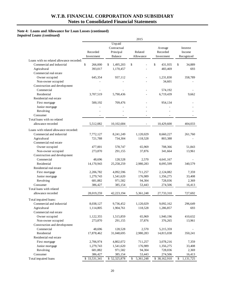# **Note 4: Loans and Allowance for Loan Losses (continued)**

*Impaired Loans (continued)* 

|                                           |               |                 | 2015            |               |                 |
|-------------------------------------------|---------------|-----------------|-----------------|---------------|-----------------|
|                                           |               | Unpaid          |                 |               |                 |
|                                           |               | Contractual     |                 | Average       | Interest        |
|                                           | Recorded      | Principal       | Related         | Recorded      | Income          |
|                                           | Investment    | <b>Balance</b>  | Allowance       | Investment    | Recognized      |
| Loans with no related allowance recorded: |               |                 |                 |               |                 |
| Commercial and industrial                 | \$<br>266,000 | \$<br>1,495,203 | \$              | \$<br>431,935 | \$<br>34,889    |
| Agricultural                              | 393,017       | 1,170,457       |                 | 483,469       | 693             |
| Commercial real estate                    |               |                 |                 |               |                 |
| Owner occupied                            | 645,354       | 937,112         |                 | 1,231,830     | 358,789         |
| Non-owner occupied                        |               |                 |                 | 34,601        |                 |
| Construction and development              |               |                 |                 |               |                 |
| Commercial                                |               |                 |                 | 574,192       |                 |
| Residential                               | 3,707,519     | 5,790,436       |                 | 6,719,439     | 9,662           |
| Residential real estate                   |               |                 |                 |               |                 |
| First mortgage                            | 500,192       | 709,476         |                 | 954,134       |                 |
| Junior mortgage                           |               |                 |                 |               |                 |
| Revolving                                 |               |                 |                 |               |                 |
| Consumer                                  |               |                 |                 |               |                 |
| Total loans with no related               |               |                 |                 |               |                 |
| allowance recorded                        | 5,512,082     | 10,102,684      |                 | 10,429,600    | 404.033         |
| Loans with related allowance recorded:    |               |                 |                 |               |                 |
| Commercial and industrial                 | 7,772,127     | 8,241,249       | 1,120,029       | 8,660,227     | 261,760         |
| Agricultural                              | 721,788       | 734,304         | 118,528         | 803,388       |                 |
| Commercial real estate                    |               |                 |                 |               |                 |
| Owner occupied                            | 477,001       | 578,747         | 65,969          | 708,366       | 51,843          |
| Non-owner occupied                        | 273,870       | 291,155         | 37,876          | 341,664       | 13,961          |
| Construction and development              |               |                 |                 |               |                 |
| Commercial                                | 48,696        | 128,528         | 2,570           | 4,641,167     |                 |
| Residential                               | 14,170,943    | 25,258,259      | 2,980,283       | 8,095,599     | 340,579         |
| Residential real estate                   |               |                 |                 |               |                 |
| First mortgage                            | 2,206,782     | 4,092,596       | 711,257         | 2,124,082     | 7,359           |
| Junior mortgage                           | 1,279,743     | 1,541,620       | 176,989         | 1,356,275     | 33,408          |
| Revolving                                 | 681,882       | 971,582         | 94,304          | 728,036       | 2,369           |
| Consumer                                  | 386,427       | 385,154         | 53,443          | 274,506       | 16,413          |
| Total loans with related                  |               |                 |                 |               |                 |
| allowance recorded                        | 28,019,259    | 42,223,194      | 5,361,248       | 27,733,310    | 727,692         |
| Total impaired loans:                     |               |                 |                 |               |                 |
| Commercial and industrial                 | 8,038,127     | 9,736,452       | 1,120,029       | 9,092,162     | 296,649         |
| Agricultural                              | 1,114,805     | 1,904,761       | 118,528         | 1,286,857     | 693             |
| Commercial real estate                    |               |                 |                 |               |                 |
| Owner occupied                            | 1,122,355     | 1,515,859       | 65,969          | 1,940,196     | 410,632         |
| Non-owner occupied                        | 273,870       | 291,155         | 37,876          | 376,265       | 13,961          |
| Construction and development              |               |                 |                 |               |                 |
| Commercial                                | 48,696        | 128,528         | 2,570           | 5,215,359     |                 |
| Residential                               | 17,878,462    | 31,048,695      | 2,980,283       | 14,815,038    | 350,241         |
| Residential real estate                   |               |                 |                 |               |                 |
| First mortgage                            | 2,706,974     | 4,802,072       | 711,257         | 3,078,216     | 7,359           |
| Junior mortgage                           | 1,279,743     | 1,541,620       | 176,989         | 1,356,275     | 33,408          |
| Revolving                                 | 681,882       | 971,582         | 94,304          | 728,036       | 2,369           |
| Consumer                                  | 386,427       | 385,154         | 53,443          | 274,506       | 16,413          |
| Total impaired loans                      | \$33,531,341  | \$52,325,878    | 5,361,248<br>\$ | \$38,162,910  | \$<br>1,131,725 |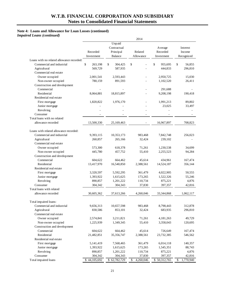# **Note 4: Loans and Allowance for Loan Losses (continued)**

*Impaired Loans (continued)* 

|                                           |                        |                                                      | 2014                 |                                   |                                  |
|-------------------------------------------|------------------------|------------------------------------------------------|----------------------|-----------------------------------|----------------------------------|
|                                           | Recorded<br>Investment | Unpaid<br>Contractual<br>Principal<br><b>Balance</b> | Related<br>Allowance | Average<br>Recorded<br>Investment | Interest<br>Income<br>Recognized |
| Loans with no related allowance recorded: |                        |                                                      |                      |                                   |                                  |
| Commercial and industrial                 | \$<br>263,198          | \$<br>304,425                                        | \$                   | \$<br>955,695                     | \$<br>56,855                     |
| Agricultural                              | 569,729                | 587,935                                              |                      | 444,833                           | 296,810                          |
| Commercial real estate                    |                        |                                                      |                      |                                   |                                  |
| Owner occupied                            | 2,001,541              | 2,593,443                                            |                      | 2,950,725                         | 15,030                           |
| Non-owner occupied                        | 780,159                | 891,593                                              |                      | 1,102,520                         | 26,411                           |
| Construction and development              |                        |                                                      |                      |                                   |                                  |
| Commercial                                |                        |                                                      |                      | 291,688                           |                                  |
| Residential                               | 8,064,881              | 18,815,897                                           |                      | 9,208,198                         | 190,418                          |
| Residential real estate                   |                        |                                                      |                      |                                   |                                  |
| First mortgage                            | 1,820,822              | 1,976,170                                            |                      | 1,991,213                         | 89,802                           |
| Junior mortgage                           |                        |                                                      |                      | 23,025                            | 33,497                           |
| Revolving                                 |                        |                                                      |                      |                                   |                                  |
| Consumer                                  |                        |                                                      |                      |                                   |                                  |
| Total loans with no related               |                        |                                                      |                      |                                   |                                  |
| allowance recorded                        | 13,500,330             | 25,169,463                                           |                      | 16,967,897                        | 708,823                          |
| Loans with related allowance recorded:    |                        |                                                      |                      |                                   |                                  |
| Commercial and industrial                 | 9,393,115              | 10,353,173                                           | 983,468              | 7,842,748                         | 256,023                          |
| Agricultural                              | 260,857                | 265,166                                              | 32,424               | 239,102                           |                                  |
| Commercial real estate                    |                        |                                                      |                      |                                   |                                  |
| Owner occupied                            | 573,300                | 618,378                                              | 71,261               | 1,230,538                         | 34,699                           |
| Non-owner occupied                        | 445,780                | 457,752                                              | 55,410               | 2,255,523                         | 94,284                           |
| Construction and development              |                        |                                                      |                      |                                   |                                  |
| Commercial                                | 604,622                | 664,462                                              | 45,614               | 434,961                           | 167,474                          |
| Residential                               | 13,417,970             | 16,540,850                                           | 2,388,561            | 14,524,187                        | 356,144                          |
| Residential real estate                   |                        |                                                      |                      |                                   |                                  |
| First mortgage                            | 3,320,597              | 5,592,295                                            | 361,479              | 4,022,905                         | 50,555                           |
| Junior mortgage                           | 1,393,922              | 1,615,625                                            | 173,265              | 1,522,326                         | 55,246                           |
| Revolving                                 | 890,857                | 1,201,222                                            | 110,734              | 875,221                           | 4,876                            |
| Consumer                                  | 304,342                | 304,343                                              | 37,830               | 397,357                           | 42,816                           |
| Total loans with related                  |                        |                                                      |                      |                                   |                                  |
| allowance recorded                        | 30,605,362             | 37,613,266                                           | 4,260,046            | 33,344,868                        | 1,062,117                        |
| Total impaired loans:                     |                        |                                                      |                      |                                   |                                  |
| Commercial and industrial                 | 9,656,313              | 10,657,598                                           | 983,468              | 8,798,443                         | 312,878                          |
| Agricultural                              | 830,586                | 853,101                                              | 32,424               | 683,935                           | 296,810                          |
| Commercial real estate                    |                        |                                                      |                      |                                   |                                  |
| Owner occupied                            | 2,574,841              | 3,211,821                                            | 71,261               | 4,181,263                         | 49,729                           |
| Non-owner occupied                        | 1,225,939              | 1,349,345                                            | 55,410               | 3,358,043                         | 120,695                          |
| Construction and development              |                        |                                                      |                      |                                   |                                  |
| Commercial                                | 604,622                | 664,462                                              | 45,614               | 726,649                           | 167,474                          |
| Residential                               | 21,482,851             | 35,356,747                                           | 2,388,561            | 23,732,385                        | 546,562                          |
| Residential real estate                   |                        |                                                      |                      |                                   |                                  |
| First mortgage                            | 5, 141, 419            | 7,568,465                                            | 361,479              | 6,014,118                         | 140,357                          |
| Junior mortgage                           | 1,393,922              | 1,615,625                                            | 173,265              | 1,545,351                         | 88,743                           |
| Revolving                                 | 890,857                | 1,201,222                                            | 110,734              | 875,221                           | 4,876                            |
| Consumer                                  | 304,342                | 304,343                                              | 37,830               | 397,357                           | 42,816                           |
| Total impaired loans                      | \$44,105,692           | \$62,782,729                                         | \$<br>4,260,046      | \$50,312,765                      | \$<br>1,770,940                  |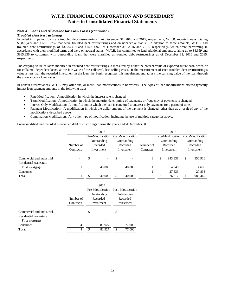### **Note 4: Loans and Allowance for Loan Losses (continued)**

#### *Troubled Debt Restructurings*

 \$8,878,409 and \$12,019,757 that were troubled debt restructurings and on nonaccrual status. In addition to these amounts, W.T.B. had Included in impaired loans are troubled debt restructurings. At December 31, 2016 and 2015, respectively, W.T.B. reported loans totaling troubled debt restructurings of \$3,384,419 and \$14,814,920 at December 31, 2016 and 2015, respectively, which were performing in accordance with their modified terms and were on accrual status. W.T.B. has committed to lend additional amounts totaling up to \$4,959 and \$865,836 to customers with outstanding loans that were classified as troubled debt restructurings as of December 31, 2016 and 2015, respectively.

The carrying value of loans modified in troubled debt restructurings is measured by either the present value of expected future cash flows, or for collateral dependent loans, at the fair value of the collateral, less selling costs. If the measurement of each troubled debt restructuring's value is less than the recorded investment in the loan, the Bank recognizes this impairment and adjusts the carrying value of the loan through the allowance for loan losses.

In certain circumstances, W.T.B. may offer one, or more, loan modifications to borrowers. The types of loan modifications offered typically impact loan payment amounts in the following ways:

- Rate Modification: A modification in which the interest rate is changed.
- Term Modification: A modification in which the maturity date, timing of payments, or frequency of payments is changed.
- Interest Only Modification: A modification in which the loan is converted to interest only payments for a period of time.
- Payment Modification: A modification in which the dollar amount of the payment is changed, other than as a result of any of the modifications described above.
- Combination Modification: Any other type of modification, including the use of multiple categories above. Loans modified and recorded as troubled debt restructurings during the years ended December 31:

4

\$ 81,927

|                           |           |            | 2016             |                                    | 2015              |           |    |                  |                         |                   |  |  |
|---------------------------|-----------|------------|------------------|------------------------------------|-------------------|-----------|----|------------------|-------------------------|-------------------|--|--|
|                           |           |            | Pre-Modification |                                    | Post-Modification |           |    | Pre-Modification |                         | Post-Modification |  |  |
|                           |           |            | Outstanding      |                                    | Outstanding       |           |    | Outstanding      | Outstanding<br>Recorded |                   |  |  |
|                           | Number of |            | Recorded         |                                    | Recorded          | Number of |    | Recorded         |                         |                   |  |  |
|                           | Contracts |            | Investment       |                                    | Investment        | Contracts |    | Investment       |                         | Investment        |  |  |
| Commercial and industrial |           | S          |                  | \$                                 |                   | 3         | \$ | 943,831          | \$                      | 950,916           |  |  |
| Residential real estate   |           |            |                  |                                    |                   |           |    |                  |                         |                   |  |  |
| First mortgage            | 1         |            | 340,000          |                                    | 340,000           |           |    | 4,948            |                         | 4,698             |  |  |
| Consumer                  |           |            |                  |                                    |                   |           |    | 27,833           |                         | 27,833            |  |  |
| Total                     |           | \$.        | 340,000          | \$                                 | 340,000           | 5         | \$ | 976,612          | \$                      | 983,447           |  |  |
|                           |           |            | 2014             |                                    |                   |           |    |                  |                         |                   |  |  |
|                           |           |            |                  | Pre-Modification Post-Modification |                   |           |    |                  |                         |                   |  |  |
|                           |           |            | Outstanding      | Outstanding                        |                   |           |    |                  |                         |                   |  |  |
|                           | Number of |            | Recorded         | Recorded                           |                   |           |    |                  |                         |                   |  |  |
|                           | Contracts | Investment |                  |                                    | Investment        |           |    |                  |                         |                   |  |  |
| Commercial and industrial |           | \$         |                  | \$                                 |                   |           |    |                  |                         |                   |  |  |
| Residential real estate   |           |            |                  |                                    |                   |           |    |                  |                         |                   |  |  |
| First mortgage            |           |            |                  |                                    |                   |           |    |                  |                         |                   |  |  |
| Consumer                  | 4         |            | 81,927           |                                    | 77,000            |           |    |                  |                         |                   |  |  |

\$ 77,000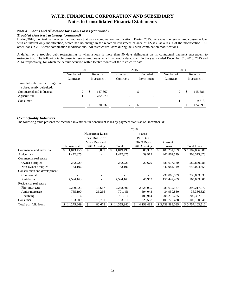### **Note 4: Loans and Allowance for Loan Losses (continued)**

### *Troubled Debt Restructurings (continued)*

During 2016, the Bank had one restructured loan that was a combination modification. During 2015, there was one restructured consumer loan with an interest only modification, which had no change in the recorded investment balance of \$27,833 as a result of the modification. All other loans in 2015 were combination modifications. All restructured loans during 2014 were combination modifications.

A default on a troubled debt restructuring is when a loan is more than 90 days delinquent on its contractual payment subsequent to restructuring. The following table presents restructured loans which incurred a default within the years ended December 31, 2016, 2015 and 2014, respectively, for which the default occurred within twelve months of the restructure date.

|                                   | 2016      |            |                          |                          | 2015 |                          | 2014      |            |         |  |
|-----------------------------------|-----------|------------|--------------------------|--------------------------|------|--------------------------|-----------|------------|---------|--|
|                                   | Number of |            | Recorded                 | Number of                |      | Recorded                 | Number of | Recorded   |         |  |
|                                   | Contracts | Investment |                          | Contracts                |      | Investment               | Contracts | Investment |         |  |
| Troubled debt restructurings that |           |            |                          |                          |      |                          |           |            |         |  |
| subsequently defaulted:           |           |            |                          |                          |      |                          |           |            |         |  |
| Commercial and industrial         |           | \$         | 147,867                  |                          | D    |                          | 2         |            | 115,586 |  |
| Agricultural                      |           |            | 782,970                  |                          |      |                          |           |            |         |  |
| Consumer                          |           |            | $\overline{\phantom{0}}$ | $\overline{\phantom{a}}$ |      | $\overline{\phantom{a}}$ |           |            | 9,313   |  |
|                                   |           |            | 930.837                  | $\overline{\phantom{0}}$ |      |                          |           |            | 124,899 |  |

#### *Credit Quality Indicators*

The following table presents the recorded investment in noncurrent loans by payment status as of December 31:

|                              |            | 2016             |                  |                |                 |                    |  |  |  |  |  |  |
|------------------------------|------------|------------------|------------------|----------------|-----------------|--------------------|--|--|--|--|--|--|
|                              |            | Noncurrent Loans |                  | Loans          |                 |                    |  |  |  |  |  |  |
|                              |            | Past Due 90 or   |                  | Past Due       |                 |                    |  |  |  |  |  |  |
|                              |            | More Days and    |                  | 30-89 Days     | Current         |                    |  |  |  |  |  |  |
|                              | Nonaccrual | Still Accruing   | Total            | Still Accruing | Loans           | <b>Total Loans</b> |  |  |  |  |  |  |
| Commercial and industrial    | .043,458   | \$<br>6,039      | \$.<br>1,049,497 | \$<br>506,382  | \$1,181,251,109 | \$1,182,806,988    |  |  |  |  |  |  |
| Agricultural                 | 1,472,375  |                  | 1,472,375        | 39,919         | 201,861,579     | 203, 373, 873      |  |  |  |  |  |  |
| Commercial real estate       |            |                  |                  |                |                 |                    |  |  |  |  |  |  |
| Owner occupied               | 242,229    |                  | 242,229          | 20,679         | 589,617,180     | 589,880,088        |  |  |  |  |  |  |
| Non-owner occupied           | 43,106     |                  | 43,106           |                | 642,981,549     | 643,024,655        |  |  |  |  |  |  |
| Construction and development |            |                  |                  |                |                 |                    |  |  |  |  |  |  |
| Commercial                   |            |                  |                  |                | 230,863,039     | 230,863,039        |  |  |  |  |  |  |
| Residential                  | 7,594,163  |                  | 7,594,163        | 46,953         | 157,442,489     | 165,083,605        |  |  |  |  |  |  |
| Residential real estate      |            |                  |                  |                |                 |                    |  |  |  |  |  |  |
| First mortgage               | 2,239,823  | 18,667           | 2,258,490        | 2,325,995      | 389,632,587     | 394,217,072        |  |  |  |  |  |  |
| Junior mortgage              | 755,190    | 36,266           | 791,456          | 594,043        | 34,950,830      | 36,336,329         |  |  |  |  |  |  |
| Revolving                    | 751,316    |                  | 751,316          | 400,914        | 208, 215, 285   | 209, 367, 515      |  |  |  |  |  |  |
| Consumer                     | 133,609    | 19,701           | 153,310          | 223,598        | 101,773,438     | 102,150,346        |  |  |  |  |  |  |
| Total portfolio loans        | 14,275,269 | 80,673<br>\$     | 14,355,942       | 4,158,483      | \$3,738,589,085 | \$ 3,757,103,510   |  |  |  |  |  |  |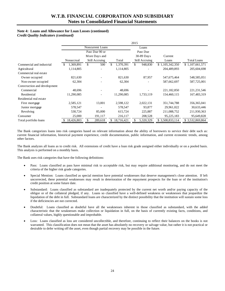# **Note 4: Loans and Allowance for Loan Losses (continued)**

*Credit Quality Indicators (continued)* 

|                              |            | 2015             |                 |                |                 |                    |  |  |  |  |  |  |
|------------------------------|------------|------------------|-----------------|----------------|-----------------|--------------------|--|--|--|--|--|--|
|                              |            | Noncurrent Loans |                 | Loans          |                 |                    |  |  |  |  |  |  |
|                              |            | Past Due 90 or   |                 | Past Due       |                 |                    |  |  |  |  |  |  |
|                              |            | More Days and    |                 | 30-89 Days     | Current         |                    |  |  |  |  |  |  |
|                              | Nonaccrual | Still Accruing   | Total           | Still Accruing | Loans           | <b>Total Loans</b> |  |  |  |  |  |  |
| Commercial and industrial    | 1,369,891  | 500<br>\$        | \$<br>1,370,391 | \$<br>948,830  | \$1,105,342,350 | \$1,107,661,571    |  |  |  |  |  |  |
| Agricultural                 | 1,114,805  |                  | 1,114,805       |                | 204,489,893     | 205,604,698        |  |  |  |  |  |  |
| Commercial real estate       |            |                  |                 |                |                 |                    |  |  |  |  |  |  |
| Owner occupied               | 821,630    |                  | 821,630         | 87,957         | 547,675,464     | 548,585,051        |  |  |  |  |  |  |
| Non-owner occupied           | 62,304     |                  | 62,304          |                | 587,662,697     | 587,725,001        |  |  |  |  |  |  |
| Construction and development |            |                  |                 |                |                 |                    |  |  |  |  |  |  |
| Commercial                   | 48,696     |                  | 48,696          |                | 221,182,850     | 221, 231, 546      |  |  |  |  |  |  |
| Residential                  | 11,290,085 |                  | 11,290,085      | 1,733,119      | 154,460,115     | 167,483,319        |  |  |  |  |  |  |
| Residential real estate      |            |                  |                 |                |                 |                    |  |  |  |  |  |  |
| First mortgage               | 2,585,121  | 13,001           | 2,598,122       | 2,022,131      | 351,744,788     | 356, 365, 041      |  |  |  |  |  |  |
| Junior mortgage              | 578,547    |                  | 578,547         | 93,877         | 29,961,022      | 30,633,446         |  |  |  |  |  |  |
| Revolving                    | 530,724    | 85,000           | 615,724         | 225,887        | 211,088,752     | 211,930,363        |  |  |  |  |  |  |
| Consumer                     | 25,000     | 191,117          | 216,117         | 208,528        | 95,225,183      | 95,649,828         |  |  |  |  |  |  |
| Total portfolio loans        | 18,426,803 | \$<br>289,618    | 18,716,421      | 5,320,329      | \$3,508,833,114 | \$3,532,869,864    |  |  |  |  |  |  |

 The Bank categorizes loans into risk categories based on relevant information about the ability of borrowers to service their debt such as: current financial information, historical payment experience, credit documentation, public information, and current economic trends, among other factors.

The Bank analyzes all loans as to credit risk. All extensions of credit have a loan risk grade assigned either individually or on a pooled basis. This analysis is performed on a monthly basis.

The Bank uses risk categories that have the following definitions:

- Pass: Loans classified as pass have minimal risk to acceptable risk, but may require additional monitoring, and do not meet the criteria of the higher risk grade categories.
- Special Mention: Loans classified as special mention have potential weaknesses that deserve management's close attention. If left uncorrected, these potential weaknesses may result in deterioration of the repayment prospects for the loan or of the institution's credit position at some future date.
- Substandard: Loans classified as substandard are inadequately protected by the current net worth and/or paying capacity of the obligor or of the collateral pledged, if any. Loans so classified have a well-defined weakness or weaknesses that jeopardize the liquidation of the debt in full. Substandard loans are characterized by the distinct possibility that the institution will sustain some loss if the deficiencies are not corrected.
- Doubtful: Loans classified as doubtful have all the weaknesses inherent in those classified as substandard, with the added characteristic that the weaknesses make collection or liquidation in full, on the basis of currently existing facts, conditions, and collateral values, highly questionable and improbable.
- warranted. This classification does not mean that the asset has absolutely no recovery or salvage value, but rather it is not practical or Loss: Loans classified as loss are considered uncollectible, and therefore, continuing to reflect their balances on the books is not desirable to defer writing off the asset, even though partial recovery may be possible in the future.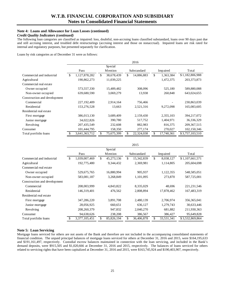### **Note 4: Loans and Allowance for Loan Losses (continued)**

# *Credit Quality Indicators (continued)*

The following loan categories are classified as impaired: loss, doubtful, non-accruing loans classified substandard, loans over 90 days past due and still accruing interest, and troubled debt restructurings (accruing interest and those on nonaccrual). Impaired loans are risk rated for internal and regulatory purposes, but presented separately for clarification.

Loans by risk categories as of December 31 were as follows:

|                              | 2016                |    |            |    |             |    |                 |                 |  |  |
|------------------------------|---------------------|----|------------|----|-------------|----|-----------------|-----------------|--|--|
|                              |                     |    | Special    |    |             |    |                 |                 |  |  |
|                              | Pass                |    | Mention    |    | Substandard |    | <b>Impaired</b> | Total           |  |  |
| Commercial and industrial    | \$<br>1,127,878,282 | \$ | 38,678,439 | \$ | 14,886,883  | \$ | 1,363,384       | \$1,182,806,988 |  |  |
| Agricultural                 | 190,862,273         |    | 11,039,225 |    |             |    | 1,472,375       | 203, 373, 873   |  |  |
| Commercial real estate       |                     |    |            |    |             |    |                 |                 |  |  |
| Owner occupied               | 573,557,330         |    | 15,489,482 |    | 308,096     |    | 525,180         | 589,880,088     |  |  |
| Non-owner occupied           | 639,680,590         |    | 3,069,279  |    | 13,938      |    | 260,848         | 643,024,655     |  |  |
| Construction and development |                     |    |            |    |             |    |                 |                 |  |  |
| Commercial                   | 227, 192, 409       |    | 2,914,164  |    | 756,466     |    |                 | 230,863,039     |  |  |
| Residential                  | 153,276,528         |    | 13,663     |    | 2,521,316   |    | 9,272,098       | 165,083,605     |  |  |
| Residential real estate      |                     |    |            |    |             |    |                 |                 |  |  |
| First mortgage               | 386,013,130         |    | 3,689,409  |    | 2,159,430   |    | 2,355,103       | 394,217,072     |  |  |
| Junior mortgage              | 34,022,826          |    | 390,780    |    | 517,752     |    | 1,404,971       | 36,336,329      |  |  |
| Revolving                    | 207,435,549         |    | 232,608    |    | 882,983     |    | 816,375         | 209, 367, 515   |  |  |
| Consumer                     | 101,444,795         |    | 158,350    |    | 277,174     |    | 270,027         | 102,150,346     |  |  |
| Total portfolio loans        | 3,641,363,712       |    | 75,675,399 |    | 22,324,038  | \$ | 17,740,361      | \$3,757,103,510 |  |  |

|                              | 2015 |               |    |            |    |             |    |            |                 |
|------------------------------|------|---------------|----|------------|----|-------------|----|------------|-----------------|
|                              |      |               |    | Special    |    |             |    |            |                 |
|                              |      | Pass          |    | Mention    |    | Substandard |    | Impaired   | Total           |
| Commercial and industrial    | \$   | 1,039,007,469 | \$ | 45,273,136 | \$ | 15,342,839  | \$ | 8,038,127  | \$1,107,661,571 |
| Agricultural                 |      | 192,775,480   |    | 9,344,432  |    | 2,369,981   |    | 1,114,805  | 205,604,698     |
| Commercial real estate       |      |               |    |            |    |             |    |            |                 |
| Owner occupied               |      | 529,675,765   |    | 16,880,994 |    | 905,937     |    | 1,122,355  | 548,585,051     |
| Non-owner occupied           |      | 583,081,187   |    | 3,268,849  |    | 1,101,095   |    | 273,870    | 587,725,001     |
| Construction and development |      |               |    |            |    |             |    |            |                 |
| Commercial                   |      | 208,003,999   |    | 4,843,822  |    | 8,335,029   |    | 48,696     | 221, 231, 546   |
| Residential                  |      | 146,319,401   |    | 476,562    |    | 2,808,894   |    | 17,878,462 | 167,483,319     |
| Residential real estate      |      |               |    |            |    |             |    |            |                 |
| First mortgage               |      | 347,286,220   |    | 3,891,708  |    | 2,480,139   |    | 2,706,974  | 356, 365, 041   |
| Junior mortgage              |      | 28,056,925    |    | 660,651    |    | 636,127     |    | 1,279,743  | 30,633,446      |
| Revolving                    |      | 208,260,379   |    | 947,832    |    | 2,040,270   |    | 681,882    | 211,930,363     |
| Consumer                     |      | 94,638,626    |    | 238,208    |    | 386,567     |    | 386,427    | 95,649,828      |
| Total portfolio loans        |      | 3,377,105,451 | \$ | 85,826,194 | \$ | 36,406,878  | \$ | 33,531,341 | \$3,532,869,864 |

### **Note 5: Loan Servicing**

Mortgage loans serviced for others are not assets of the Bank and therefore are not included in the accompanying consolidated statements of financial condition. The unpaid principal balances of mortgage loans serviced for others at December 31, 2016 and 2015, were \$164,195,633 and \$191,161,497, respectively. Custodial escrow balances maintained in connection with the loan servicing, and included in the Bank's demand deposits, were \$915,505 and \$1,020,666 at December 31, 2016 and 2015, respectively. The balances of loans serviced for others related to servicing rights that have been capitalized at December 31, 2016 and 2015, were \$163,745,924 and \$190,403,907, respectively.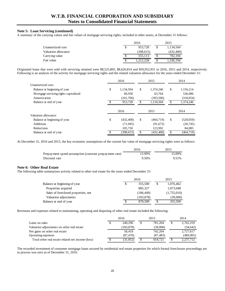#### **Note 5: Loan Servicing (continued)**

A summary of the carrying values and fair values of mortgage servicing rights, included in other assets, at December 31 follows:

|                     | 2016 |            |  | 2015       |  |  |
|---------------------|------|------------|--|------------|--|--|
| Unamortized cost    |      | 953.728    |  | 1,134,504  |  |  |
| Valuation allowance |      | (398, 615) |  | (432, 400) |  |  |
| Carry ing value     |      | 555.113    |  | 702.104    |  |  |
| Fair value          |      | .212.228   |  | 1.336.194  |  |  |

 Originated loans that were sold with servicing retained were \$8,525,805, \$8,626,814 and \$59,952,951 in 2016, 2015 and 2014, respectively. Following is an analysis of the activity for mortgage servicing rights and the related valuation allowance for the years ended December 31:

|                                        | 2016             | 2015            |     | 2014       |
|----------------------------------------|------------------|-----------------|-----|------------|
| Unamortized cost:                      |                  |                 |     |            |
| Balance at beginning of year           | \$<br>1,134,504  | \$<br>1.374.246 | \$  | 1,156,214  |
| M ortgage servicing rights capitalized | 60,930           | 63.764          |     | 536,086    |
| Amortization                           | (241,706)        | (303, 506)      |     | (318, 054) |
| Balance at end of year                 | 953.728          | \$<br>1.134.504 | \$. | 1,374,246  |
|                                        | 2016             | 2015            |     | 2014       |
| Valuation allowance:                   |                  |                 |     |            |
| Balance at beginning of year           | \$<br>(432, 400) | \$<br>(464,719) | \$  | (528,059)  |
| <b>Additions</b>                       | (71, 945)        | (91,673)        |     | (20, 745)  |
| Reductions                             | 105,730          | 123,992         |     | 84,085     |
| Balance at end of year                 | (398, 615)       | \$<br>(432.400) | \$  | (464, 719) |

At December 31, 2016 and 2015, the key economic assumptions of the current fair value of mortgage servicing rights were as follows:

|                                                        | 2016   | 2015   |
|--------------------------------------------------------|--------|--------|
| Prepayment speed assumption (constant prepayment rate) | 13.99% | 15.09% |
| Discount rate                                          | 9.50%  | 9.51%  |

#### **Note 6: Other Real Estate**

The following table summarizes activity related to other real estate for the years ended December 31:

|                                     |   | 2016       |  | 2015        |
|-------------------------------------|---|------------|--|-------------|
| Balance at beginning of year        | S | 355,500    |  | 1,076,462   |
| Properties acquired                 |   | 885,327    |  | 1,073,048   |
| Sales of foreclosed properties, net |   | (186, 449) |  | (1,755,010) |
| Valuation adjustments               |   | (183, 878) |  | (39,000)    |
| Balance at end of year              | S | 870,500    |  | 355,500     |

Revenues and expenses related to maintaining, operating and disposing of other real estate included the following:

|                                                   |   | 2016       |   | 2015      | 2014            |
|---------------------------------------------------|---|------------|---|-----------|-----------------|
| Gains on sales                                    | S | 240,296    | S | 781.204   | \$<br>2,762,259 |
| Valuation adjustments on other real estate        |   | (183, 878) |   | (39,000)  | (34, 642)       |
| Net gains on other real estate                    |   | 56,418     |   | 742.204   | 2,727,617       |
| Operating expenses                                |   | (87, 470)  |   | (87, 483) | (489,905)       |
| Total other real estate related net income (loss) |   | (31,052)   |   | 654.721   | 2,237,712       |

The recorded investment of consumer mortgage loans secured by residential real estate properties for which formal foreclosure proceedings are in process was zero as of December 31, 2016.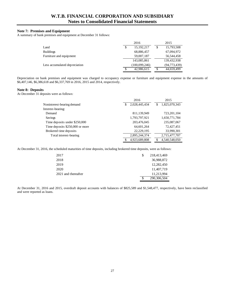### **Note 7: Premises and Equipment**

A summary of bank premises and equipment at December 31 follows:

|                               |   | 2016          | 2015           |
|-------------------------------|---|---------------|----------------|
| Land                          | S | 15, 192, 217  | 15,793,508     |
| <b>Buildings</b>              |   | 68,886,457    | 67,094,972     |
| Furniture and equipment       |   | 59,007,187    | 56,544,458     |
|                               |   | 143,085,861   | 139,432,938    |
| Less accumulated depreciation |   | (100,099,246) | (94, 773, 439) |
|                               | S | 42,986,615    | 44,659,499     |

Depreciation on bank premises and equipment was charged to occupancy expense or furniture and equipment expense in the amounts of \$6,407,146, \$6,386,618 and \$6,337,769 in 2016, 2015 and 2014, respectively.

#### **Note 8: Deposits**

At December 31 deposits were as follows:

|                                 | 2016               | 2015                |
|---------------------------------|--------------------|---------------------|
| Noninterest-bearing demand      | 2,028,445,434<br>S | 1,825,070,343<br>\$ |
| Interest-bearing:               |                    |                     |
| Demand                          | 811,139,949        | 723, 201, 104       |
| Savings                         | 1,793,797,921      | 1,650,771,784       |
| Time deposits under \$250,000   | 203,476,045        | 235,087,067         |
| Time deposits \$250,000 or more | 64,601,264         | 72,427,451          |
| Brokered time deposits          | 22,229,195         | 33,990,301          |
| Total interest-bearing          | 2,895,244,374      | 2,715,477,707       |
|                                 | 4,923,689,808      | 4.540.548.050       |

At December 31, 2016, the scheduled maturities of time deposits, including brokered time deposits, were as follows:

| 2017                | 218,413,469 |
|---------------------|-------------|
| 2018                | 36,988,872  |
| 2019                | 12,282,450  |
| 2020                | 11,407,719  |
| 2021 and thereafter | 11,213,994  |
|                     | 290,306,504 |

At December 31, 2016 and 2015, overdraft deposit accounts with balances of \$825,589 and \$1,548,477, respectively, have been reclassified and were reported as loans.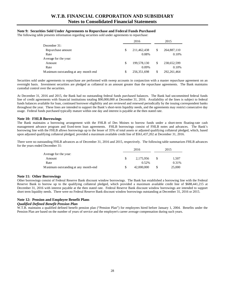### **Note 9: Securities Sold Under Agreements to Repurchase and Federal Funds Purchased**

The following table presents information regarding securities sold under agreements to repurchase:

|                                       | 2016 |               |    | 2015          |
|---------------------------------------|------|---------------|----|---------------|
| December 31:                          |      |               |    |               |
| Repurchase amount                     | S    | 211,462,438   | S  | 264,887,110   |
| Rate                                  |      | 0.08%         |    | 0.10%         |
| Average for the year:                 |      |               |    |               |
| Amount                                | S    | 199,578,130   | \$ | 238,652,599   |
| Rate                                  |      | 0.09%         |    | 0.10%         |
| Maximum outstanding at any month end. | \$.  | 256, 351, 698 | \$ | 292, 261, 464 |

Securities sold under agreements to repurchase are performed with sweep accounts in conjunction with a master repurchase agreement on an overnight basis. Investment securities are pledged as collateral in an amount greater than the repurchase agreements. The Bank maintains custodial control over the securities.

At December 31, 2016 and 2015, the Bank had no outstanding federal funds purchased balances. The Bank had uncommitted federal funds line of credit agreements with financial institutions totaling \$90,000,000 at December 31, 2016. Availability of the lines is subject to federal funds balances available for loan, continued borrower eligibility and are reviewed and renewed periodically by the issuing correspondent banks throughout the year. These lines are intended to support the Bank's short-term liquidity needs, and the agreements may restrict consecutive day usage. Federal funds purchased typically mature within one day and interest is payable at the then stated rate.

#### **Note 10: FHLB Borrowings**

The Bank maintains a borrowing arrangement with the FHLB of Des Moines to borrow funds under a short-term floating-rate cash management advance program and fixed-term loan agreements. FHLB borrowings consist of FHLB notes and advances. The Bank's borrowing line with the FHLB allows borrowings up to the lesser of 35% of total assets or adjusted qualifying collateral pledged, which, based upon adjusted qualifying collateral pledged, provided a maximum available credit line of \$561,437,202 at December 31, 2016.

There were no outstanding FHLB advances as of December 31, 2016 and 2015, respectively. The following table summarizes FHLB advances for the years ended December 31:

|                                       | 2016       | 2015 |        |
|---------------------------------------|------------|------|--------|
| Average for the year:                 |            |      |        |
| Amount                                | 2.175.956  |      | 1.507  |
| Rate                                  | 0.52%      |      | 0.31%  |
| M aximum outstanding at any month-end | 42,000,000 |      | 25,000 |

#### **Note 11: Other Borrowings**

Other borrowings consist of Federal Reserve Bank discount window borrowings. The Bank has established a borrowing line with the Federal Reserve Bank to borrow up to the qualifying collateral pledged, which provided a maximum available credit line of \$688,441,215 at December 31, 2016 with interest payable at the then stated rate. Federal Reserve Bank discount window borrowings are intended to support short term liquidity needs. There were no Federal Reserve Bank discount window borrowings outstanding at December 31, 2016 or 2015.

### **Note 12: Pension and Employee Benefit Plans**

### *Qualified Defined Benefit Pension Plan*

W.T.B. maintains a qualified defined benefit pension plan ("Pension Plan") for employees hired before January 1, 2004. Benefits under the Pension Plan are based on the number of years of service and the employee's career average compensation during such years.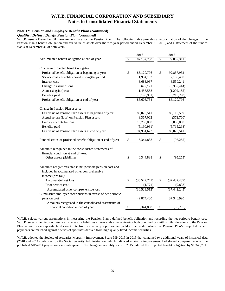### **Note 12: Pension and Employee Benefit Plans (continued)**

### *Qualified Defined Benefit Pension Plan (continued)*

 W.T.B. uses a December 31 measurement date for the Pension Plan. The following table provides a reconciliation of the changes in the Pension Plan's benefit obligation and fair value of assets over the two-year period ended December 31, 2016, and a statement of the funded status at December 31 of both years:

|                                                              | 2016               | 2015                 |
|--------------------------------------------------------------|--------------------|----------------------|
| Accumulated benefit obligation at end of year                | \$<br>82,152,230   | \$<br>79,889,341     |
| Change in projected benefit obligation:                      |                    |                      |
| Projected benefit obligation at beginning of year            | \$<br>86,120,796   | \$<br>92,857,932     |
| Service cost - benefits earned during the period             | 1,904,153          | 2,109,490            |
| Interest cost                                                | 3,688,037          | 3,550,241            |
| Change in assumptions                                        | 629,171            | (5,389,414)          |
| Actuarial gain (loss)                                        | 1,455,558          | (1,292,155)          |
| Benefits paid                                                | (5,190,981)        | (5,715,298)          |
| Projected benefit obligation at end of year                  | 88,606,734         | 86,120,796           |
| Change in Pension Plan assets:                               |                    |                      |
| Fair value of Pension Plan assets at beginning of year       | 86,025,541         | 86,113,599           |
| Actual return (loss) on Pension Plan assets                  | 3,367,062          | (372,760)            |
| Employer contributions                                       | 10,750,000         | 6,000,000            |
| Benefits paid                                                | (5,190,981)        | (5,715,298)          |
| Fair value of Pension Plan assets at end of year             | 94,951,622         | 86,025,541           |
| Funded status of projected benefit obligation at end of year | \$<br>6,344,888    | \$<br>(95, 255)      |
| Amounts recognized in the consolidated statements of         |                    |                      |
| financial condition at end of year:                          |                    |                      |
| Other assets (liabilities)                                   | \$<br>6,344,888    | \$<br>(95, 255)      |
| Amounts not yet reflected in net periodic pension cost and   |                    |                      |
| included in accumulated other comprehensive                  |                    |                      |
| income (pre-tax):                                            |                    |                      |
| Accumulated net loss                                         | \$<br>(36,527,741) | \$<br>(37, 432, 437) |
| Prior service cost                                           | (1,771)            | (9,808)              |
| Accumulated other comprehensive loss                         | (36,529,512)       | (37, 442, 245)       |
| Cumulative employer contributions in excess of net periodic  |                    |                      |
| pension cost                                                 | 42,874,400         | 37,346,990           |
| Amounts recognized in the consolidated statements of         |                    |                      |
| financial condition at end of year                           | \$<br>6,344,888    | \$<br>(95,255)       |

W.T.B. selects various assumptions in measuring the Pension Plan's defined benefit obligation and recording the net periodic benefit cost. W.T.B. selects the discount rate used to measure liabilities at year ends after reviewing both bond indices with similar durations to the Pension Plan as well as a supportable discount rate from an actuary's proprietary yield curve, under which the Pension Plan's projected benefit payments are matched against a series of spot rates derived from high quality fixed income securities.

W.T.B. adopted the Society of Actuaries Mortality Improvement Scale MP-2015 in 2015 that contained two additional years of historical data (2010 and 2011) published by the Social Security Administration, which indicated mortality improvement had slowed compared to what the published MP-2014 projection scale anticipated. The change in mortality scale in 2015 reduced the projected benefit obligation by \$1,345,791.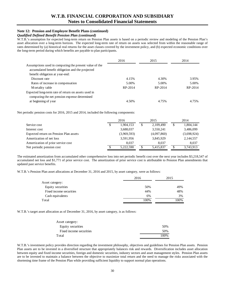### **Note 12: Pension and Employee Benefit Plans (continued)**

### *Qualified Defined Benefit Pension Plan (continued)*

W.T.B.'s assumption for expected long-term return on Pension Plan assets is based on a periodic review and modeling of the Pension Plan's asset allocation over a long-term horizon. The expected long-term rate of return on assets was selected from within the reasonable range of rates determined by (a) historical real returns for the asset classes covered by the investment policy, and (b) expected economic conditions over the long-term period during which benefits are payable to plan participants.

|                                                        | 2016    | 2015    | 2014    |
|--------------------------------------------------------|---------|---------|---------|
| Assumptions used in computing the present value of the |         |         |         |
| accumulated benefit obligation and the projected       |         |         |         |
| benefit obligation at year-end:                        |         |         |         |
| Discount rate                                          | 4.15%   | 4.30%   | 3.95%   |
| Rates of increase in compensation                      | 5.00%   | 5.00%   | 5.00%   |
| Mortality table                                        | RP-2014 | RP-2014 | RP-2014 |
| Expected long-term rate of return on assets used in    |         |         |         |
| computing the net pension expense determined           |         |         |         |
| at beginning of year                                   | 4.50%   | 4.75%   | 4.75%   |

Net periodic pension costs for 2016, 2015 and 2014, included the following components:

|                                        | 2016 |             | 2015            | 2014 |             |
|----------------------------------------|------|-------------|-----------------|------|-------------|
| Service cost                           | S    | 1,904,153   | \$<br>2,109,490 | \$   | 1,804,144   |
| Interest cost                          |      | 3,688,037   | 3,550,241       |      | 3,486,099   |
| Expected return on Pension Plan assets |      | (3,969,593) | (4,097,860)     |      | (3,698,924) |
| Amortization of net loss               |      | 3,591,956   | 3,845,929       |      | 2,144,557   |
| Amortization of prior service cost     |      | 8.037       | 8.037           |      | 8.037       |
| Net periodic pension cost              |      | 5.222.590   | 5,415,837       |      | 3,743,913   |

The estimated amortization from accumulated other comprehensive loss into net periodic benefit cost over the next year includes \$3,218,547 of accumulated net loss and \$1,771 of prior service cost. The amortization of prior service cost is attributable to Pension Plan amendments that updated past service benefits.

W.T.B.'s Pension Plan asset allocations at December 31, 2016 and 2015, by asset category, were as follows:

|                         | 2016 | 2015 |
|-------------------------|------|------|
| Asset category:         |      |      |
| Equity securities       | 50%  | 49%  |
| Fixed income securities | 44%  | 48%  |
| Cash equivalents        | 6%   | 3%   |
| Total                   | 100% | 100% |

W.T.B.'s target asset allocation as of December 31, 2016, by asset category, is as follows:

| Asset category:         |      |
|-------------------------|------|
| Equity securities       | 50%  |
| Fixed income securities | 50%  |
| Total                   | 100% |

W.T.B.'s investment policy provides direction regarding the investment philosophy, objectives and guidelines for Pension Plan assets. Pension Plan assets are to be invested in a diversified structure that appropriately balances risk and rewards. Diversification includes asset allocation between equity and fixed income securities, foreign and domestic securities, industry sectors and asset management styles. Pension Plan assets are to be invested to maintain a balance between the objective to maximize total return and the need to manage the risks associated with the shortening time frame of the Pension Plan while providing sufficient liquidity to support normal plan operations.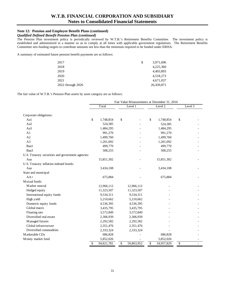# **Note 12: Pension and Employee Benefit Plans (continued)**

### *Qualified Defined Benefit Pension Plan (continued)*

The Pension Plan investment policy is periodically reviewed by W.T.B.'s Retirement Benefits Committee. The investment policy is established and administered in a manner so as to comply at all times with applicable government regulations. The Retirement Benefits Committee sets funding targets to contribute amounts not less than the minimum required to be funded under ERISA.

A summary of estimated future pension benefit payments are as follows:

| 2017              | S | 3,971,696  |
|-------------------|---|------------|
| 2018              |   | 4,225,360  |
| 2019              |   | 4,403,893  |
| 2020              |   | 4,518,273  |
| 2021              |   | 4,671,037  |
| 2022 through 2026 |   | 26,439,871 |

The fair value of W.T.B.'s Pension Plan assets by asset category are as follows:

|                                                   | Fair Value Measurements at December 31, 2016 |            |                          |            |         |            |                          |  |
|---------------------------------------------------|----------------------------------------------|------------|--------------------------|------------|---------|------------|--------------------------|--|
|                                                   |                                              | Total      |                          | Level 1    | Level 2 |            | Level 3                  |  |
| Corporate obligations:                            |                                              |            |                          |            |         |            |                          |  |
| Aal                                               | \$                                           | 1,748,854  | \$                       |            | \$      | 1,748,854  | \$                       |  |
| Aa2                                               |                                              | 524,385    |                          |            |         | 524,385    |                          |  |
| Aa3                                               |                                              | 1,484,295  |                          |            |         | 1,484,295  |                          |  |
| A1                                                |                                              | 991,270    |                          |            |         | 991,270    |                          |  |
| A2                                                |                                              | 1,499,760  |                          |            |         | 1,499,760  |                          |  |
| A <sub>3</sub>                                    |                                              | 1,201,092  |                          |            |         | 1,201,092  |                          |  |
| Baa1                                              |                                              | 499,770    |                          |            |         | 499,770    |                          |  |
| Baa3                                              |                                              | 508,255    |                          |            |         | 508,255    |                          |  |
| U.S. Treasury securities and government agencies: |                                              |            |                          |            |         |            |                          |  |
| Aaa                                               |                                              | 15,851,302 |                          |            |         | 15,851,302 |                          |  |
| U.S. Treasury inflation indexed bonds:            |                                              |            |                          |            |         |            |                          |  |
| Aaa                                               |                                              | 3,434,108  |                          |            |         | 3,434,108  |                          |  |
| State and municipal:                              |                                              |            |                          |            |         |            |                          |  |
| $AA+$                                             |                                              | 675,884    |                          |            |         | 675,884    |                          |  |
| Mutual funds:                                     |                                              |            |                          |            |         |            |                          |  |
| Market neutral                                    |                                              | 12,966,112 |                          | 12,966,112 |         |            |                          |  |
| Hedged equity                                     |                                              | 11,323,507 |                          | 11,323,507 |         |            |                          |  |
| International equity funds                        |                                              | 9,534,311  |                          | 9,534,311  |         |            |                          |  |
| High yield                                        |                                              | 5,210,662  |                          | 5,210,662  |         |            |                          |  |
| Domestic equity funds                             |                                              | 4,536,395  |                          | 4,536,395  |         |            |                          |  |
| Global macro                                      |                                              | 3,435,795  |                          | 3,435,795  |         |            |                          |  |
| Floating rate                                     |                                              | 3,572,849  |                          | 3,572,849  |         |            |                          |  |
| Diversified real estate                           |                                              | 2,306,939  |                          | 2,306,939  |         |            |                          |  |
| Managed futures                                   |                                              | 2,292,582  |                          | 2,292,582  |         |            |                          |  |
| Global infrastructure                             |                                              | 2,351,476  |                          | 2,351,476  |         |            |                          |  |
| Diversified commodities                           |                                              | 2,333,324  |                          | 2,333,324  |         |            |                          |  |
| Marketable CDs                                    |                                              | 686,828    |                          |            |         | 686,828    |                          |  |
| Money market fund                                 |                                              | 5,852,026  |                          |            |         | 5,852,026  |                          |  |
|                                                   | \$                                           | 94,821,781 | $\overline{\mathcal{S}}$ | 59,863,952 | \$      | 34,957,829 | $\overline{\mathcal{S}}$ |  |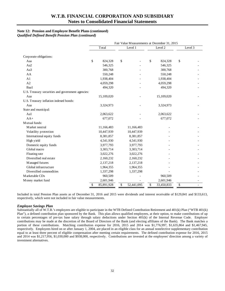# **Note 12: Pension and Employee Benefit Plans (continued)**

*Qualified Defined Benefit Pension Plan (continued)* 

|                                                   | Fair Value Measurements at December 31, 2015 |            |    |            |    |            |    |         |
|---------------------------------------------------|----------------------------------------------|------------|----|------------|----|------------|----|---------|
|                                                   |                                              | Total      |    | Level 1    |    | Level 2    |    | Level 3 |
| Corporate obligations:                            |                                              |            |    |            |    |            |    |         |
| Aaa                                               | \$                                           | 824,328    | \$ |            | \$ | 824,328    | \$ |         |
| Aa2                                               |                                              | 546,325    |    |            |    | 546,325    |    |         |
| Aa3                                               |                                              | 300,768    |    |            |    | 300,768    |    |         |
| AA                                                |                                              | 550,248    |    |            |    | 550,248    |    |         |
| A1                                                |                                              | 1,938,404  |    |            |    | 1,938,404  |    |         |
| A2                                                |                                              | 4,059,298  |    |            |    | 4,059,298  |    |         |
| Baa1                                              |                                              | 494,320    |    |            |    | 494,320    |    |         |
| U.S. Treasury securities and government agencies: |                                              |            |    |            |    |            |    |         |
| Aaa                                               |                                              | 15,109,020 |    |            |    | 15,109,020 |    |         |
| U.S. Treasury inflation indexed bonds:            |                                              |            |    |            |    |            |    |         |
| Aaa                                               |                                              | 3,324,973  |    |            |    | 3,324,973  |    |         |
| State and municipal:                              |                                              |            |    |            |    |            |    |         |
| Aa1                                               |                                              | 2,063,622  |    |            |    | 2,063,622  |    |         |
| $AA+$                                             |                                              | 677,072    |    |            |    | 677,072    |    |         |
| Mutual funds:                                     |                                              |            |    |            |    |            |    |         |
| Market neutral                                    |                                              | 11,166,483 |    | 11,166,483 |    |            |    |         |
| Volatility protection                             |                                              | 10,447,939 |    | 10,447,939 |    |            |    |         |
| International equity funds                        |                                              | 8,381,857  |    | 8,381,857  |    |            |    |         |
| High yield                                        |                                              | 4,541,930  |    | 4,541,930  |    |            |    |         |
| Domestic equity funds                             |                                              | 3,977,793  |    | 3,977,793  |    |            |    |         |
| Global macro                                      |                                              | 3,303,714  |    | 3,303,714  |    |            |    |         |
| Floating rate                                     |                                              | 3,022,276  |    | 3,022,276  |    |            |    |         |
| Diversified real estate                           |                                              | 2,160,232  |    | 2,160,232  |    |            |    |         |
| Managed futures                                   |                                              | 2,137,218  |    | 2,137,218  |    |            |    |         |
| Global infrastructure                             |                                              | 1,964,355  |    | 1,964,355  |    |            |    |         |
| Diversified commodities                           |                                              | 1,337,298  |    | 1,337,298  |    |            |    |         |
| Marketable CDs                                    |                                              | 960,509    |    |            |    | 960,509    |    |         |
| Money market fund                                 |                                              | 2,601,946  |    |            |    | 2,601,946  |    |         |
|                                                   | \$                                           | 85,891,928 | \$ | 52,441,095 | \$ | 33,450,833 | \$ |         |

 respectively, which were not included in fair value measurements. Included in total Pension Plan assets as of December 31, 2016 and 2015 were dividends and interest receivable of \$129,841 and \$133,613,

### *Employee Savings Plan*

Substantially all of W.T.B.'s employees are eligible to participate in the WTB Defined Contribution Retirement and 401(k) Plan ("WTB 401(k) Plan"), a defined contribution plan sponsored by the Bank. This plan allows qualified employees, at their option, to make contributions of up to certain percentages of pre-tax base salary through salary deductions under Section 401(k) of the Internal Revenue Code. Employer contributions may be made at the discretion of the Board of Directors of the Bank (and electing affiliates of the Bank). The Bank matches a portion of these contributions. Matching contribution expense for 2016, 2015 and 2014 was \$1,776,997, \$1,635,864 and \$1,467,945, respectively. Employees hired on or after January 1, 2004, are placed in an eligible class for an annual nonelective supplementary contribution equal to at least three percent of eligible compensation after meeting certain requirements. The defined contribution expense for 2016, 2015 and 2014 was \$1,217,956, \$1,030,000 and \$938,000, respectively. Contributions are invested at the employees' direction among a variety of investment alternatives.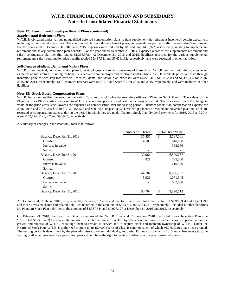### **Note 12: Pension and Employee Benefit Plans (continued)**

#### *Supplemental Retirement Plans*

 including certain retired executives. These unfunded plans are defined benefit plans, and provide for payments after the executive's retirement. W.T.B. is obligated under various nonqualified deferred compensation plans to help supplement the retirement income of certain executives, For the years ended December 31, 2016 and 2015, expenses were reduced by \$87,051 and \$436,972, respectively, relating to supplemental retirement and salary continuation plan benefits. For the year ended December 31, 2014, expenses recorded for supplemental retirement and salary continuation plan benefits totaled \$1,366,978. At December 31, 2016 and 2015, liabilities recorded for the various supplemental retirement and salary continuation plan benefits totaled \$5,437,521 and \$5,638,192, respectively, and were recorded in other liabilities.

#### *Self-Insured Medical, Dental and Vision Plans*

W.T.B. offers medical, dental and vision plans to its employees and self-insures many of these plans. W.T.B. contracts with third-parties to act as claims administrators. Funding for benefits is derived from employer and employee contributions. W.T.B. limits its potential losses through insurance policies with stop-loss carriers. Medical, dental and vision plan expenses were \$4,829,315, \$4,103,268 and \$4,302,335 for 2016, 2015 and 2014, respectively. Self-insurance reserves were \$457,219 and \$499,772 for 2016 and 2015, respectively, and were included in other liabilities.

#### **Note 13: Stock-Based Compensation Plans**

W.T.B. has a nonqualified deferred compensation "phantom stock" plan for executive officers ("Phantom Stock Plan"). The values of the Phantom Stock Plan awards are indexed to W.T.B.'s book value per share and vest over a five-year period. The stock awards and the change in value of the prior years' stock awards are expensed as compensation over the vesting period. Phantom Stock Plan compensation expense for 2016, 2015 and 2014 was \$1,310,517, \$1,156,524 and \$701,555, respectively. Dividend payments on vested and unvested phantom stock are recorded as compensation expense during the period in which they are paid. Phantom Stock Plan dividend payments for 2016, 2015 and 2014 were \$152,124, \$121,807 and \$95,907, respectively.

A summary of changes in the Phantom Stock Plan follows:

|                            | Number of Shares |    | <b>Total Share Value</b> |
|----------------------------|------------------|----|--------------------------|
| Balance, December 31, 2013 | 35,855           | \$ | 5,587,101                |
| Granted                    | 4,106            |    | 640,000                  |
| Increase in value          |                  |    | 363,666                  |
| Settled                    |                  |    |                          |
| Balance, December 31, 2014 | 39,961           |    | 6,590,767                |
| Granted                    | 4,821            |    | 795,000                  |
| Increase in value          |                  |    | 710,370                  |
| Settled                    |                  |    |                          |
| Balance, December 31, 2015 | 44,782           |    | 8,096,137                |
| Granted                    | 5,926            |    | 1,071,345                |
| Increase in value          |                  |    | 652,630                  |
| Settled                    |                  |    |                          |
| Balance, December 31, 2016 | 50,708           | \$ | 9,820,112                |

 and those unvested shares had related liabilities recorded in the amounts of \$503,516 and \$334,281, respectively. Included in other liabilities At December 31, 2016 and 2015, there were 10,255 and 7,762 unvested phantom shares with total share values of \$1,985,984 and \$1,403,292 are Phantom Stock Plan liabilities in the amounts of \$8,337,644 and \$7,027,127 at December 31, 2016 and 2015, respectively.

 Restricted Stock Plan, W.T.B. is authorized to grant up to 150,000 shares of Class B common stock, of which 56,778 shares have been granted. vesting is 20% per year over five years. Recipients do not have the right to receive dividends on unvested restricted shares. On February 23, 2010, the Board of Directors approved the W.T.B. Financial Corporation 2010 Restricted Stock Incentive Plan (the "Restricted Stock Plan") to enhance the long-term shareholder value of W.T.B. by offering opportunities to select persons to participate in the growth and success of W.T.B., encourage them to remain in service and to acquire stock and maintain ownership of W.T.B. Under the The vesting period is determined by the plan administrator on an individual grant basis. For awards granted in 2013 and subsequent years, the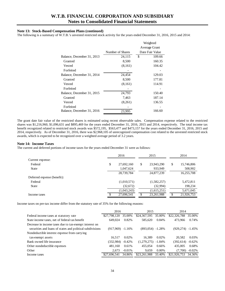#### **Note 13: Stock-Based Compensation Plans (continued)**

The following is a summary of W.T.B.'s unvested restricted stock activity for the years ended December 31, 2016, 2015 and 2014:

|                  | Weighted        |  |  |
|------------------|-----------------|--|--|
|                  | Average Grant   |  |  |
| Number of Shares | Date Fair Value |  |  |
| 24,115           | \$<br>109.66    |  |  |
| 8,500            | 160.35          |  |  |
| (8,161)          | 104.42          |  |  |
|                  |                 |  |  |
| 24,454           | 129.03          |  |  |
| 8,500            | 177.81          |  |  |
| (8,161)          | 114.91          |  |  |
|                  |                 |  |  |
| 24,793           | 150.40          |  |  |
| 7,463            | 187.14          |  |  |
| (8,261)          | 136.55          |  |  |
|                  |                 |  |  |
| 23,995           | 166.60          |  |  |
|                  |                 |  |  |

The grant date fair value of the restricted shares is estimated using recent observable sales. Compensation expense related to the restricted shares was \$1,216,960, \$1,096,631 and \$895,469 for the years ended December 31, 2016, 2015 and 2014, respectively. The total income tax benefit recognized related to restricted stock awards was \$572,195, \$563,477 and \$473,157 for the years ended December 31, 2016, 2015 and 2014, respectively. As of December 31, 2016, there was \$2,968,105 of unrecognized compensation cost related to the unvested restricted stock awards, which is expected to be recognized over a weighted average period of 3.2 years.

#### **Note 14: Income Taxes**

The current and deferred portions of income taxes for the years ended December 31 were as follows:

|                             | 2016 |             | 2015 |             |    | 2014       |
|-----------------------------|------|-------------|------|-------------|----|------------|
| Current expense:            |      |             |      |             |    |            |
| Federal                     | \$   | 27,692,160  | \$   | 23,943,290  | \$ | 15,746,806 |
| State                       |      | 1,047,624   |      | 933,949     |    | 508,902    |
|                             |      | 28,739,784  |      | 24,877,239  |    | 16,255,708 |
| Deferred expense (benefit): |      |             |      |             |    |            |
| Federal                     |      | (1,010,571) |      | (1,582,257) |    | 5,472,811  |
| State                       |      | (32,672)    |      | (32,994)    |    | 198,234    |
|                             |      | (1,043,243) |      | (1,615,251) |    | 5,671,045  |
| Income taxes                |      | 27,696,541  |      | 23,261,988  | S  | 21,926,753 |

Income taxes on pre-tax income differ from the statutory rate of 35% for the following reasons:

|                                                           | 2016               |           | 2015         |           | 2014         |           |
|-----------------------------------------------------------|--------------------|-----------|--------------|-----------|--------------|-----------|
| Federal income taxes at statutory rate                    | \$27,798,120       | 35.00%    | \$24,367,595 | 35.00%    | \$22,326,788 | 35.00%    |
| State income taxes, net of federal tax benefit            | 649,024            | 0.82%     | 585,620      | 0.84%     | 473.966      | 0.74%     |
| Decrease in income taxes due to tax-exempt interest on    |                    |           |              |           |              |           |
| securities and loans of states and political subdivisions | $(917,969)$ -1.16% |           | (893.054)    | $-1.28%$  | (929, 274)   | $-1.45%$  |
| Nondeductible interest expense from carrying              |                    |           |              |           |              |           |
| tax-exempt assets                                         | 16.517             | 0.02%     | 16.389       | 0.02%     | 20.582       | 0.03%     |
| Bank owned life insurance                                 | (332,984)          | $-0.42\%$ | (1,279,275)  | $-1.84\%$ | (392, 614)   | $-0.62%$  |
| Other nondeductible expenses                              | 481.160            | 0.61%     | 455,054      | 0.66%     | 435,005      | 0.68%     |
| Other                                                     | 2.673              | $-0.01\%$ | 9.659        | $0.00\%$  | (7.700)      | $-0.02\%$ |
| Income taxes                                              | \$27,696,541       | 34.86%    | \$23,261,988 | 33.40%    | \$21,926,753 | 34.36%    |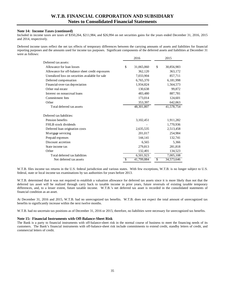#### **Note 14: Income Taxes (continued)**

Included in income taxes are taxes of \$350,264, \$211,984, and \$26,994 on net securities gains for the years ended December 31, 2016, 2015 and 2014, respectively.

Deferred income taxes reflect the net tax effects of temporary differences between the carrying amounts of assets and liabilities for financial reporting purposes and the amounts used for income tax purposes. Significant components of the deferred assets and liabilities at December 31 were as follows:

|                                                  | 2016 |            | 2015             |
|--------------------------------------------------|------|------------|------------------|
| Deferred tax assets:                             |      |            |                  |
| Allowance for loan losses                        | \$   | 31,065,060 | \$<br>30,856,983 |
| Allowance for off-balance sheet credit exposures |      | 362,120    | 363,172          |
| Unrealized loss on securities available for sale |      | 7,033,904  | 857,711          |
| Deferred compensation                            |      | 6,765,370  | 6,181,998        |
| Financial-over-tax depreciation                  |      | 1,934,824  | 1,564,573        |
| Other real estate                                |      | 130,638    | 99,872           |
| Interest on nonaccrual loans                     |      | 483,480    | 887,781          |
| Commitment fees                                  |      | 173,014    | 124,601          |
| Other                                            |      | 353,397    | 642,063          |
| Total deferred tax assets                        |      | 48,301,807 | 41,578,754       |
| Deferred tax liabilities:                        |      |            |                  |
| Pension benefits                                 |      | 3,102,451  | 1,911,282        |
| FHLB stock dividends                             |      |            | 1,770,936        |
| Deferred loan origination costs                  |      | 2,635,535  | 2,513,458        |
| Mortgage servicing                               |      | 201,017    | 254,984          |
| Prepaid expenses                                 |      | 144,141    | 132,741          |
| Discount accretion                               |      | 6,565      | 5,366            |
| State income tax                                 |      | 279,813    | 281,818          |
| Other                                            |      | 132,401    | 134,523          |
| Total deferred tax liabilities                   |      | 6,501,923  | 7,005,108        |
| Net deferred tax assets                          |      | 41,799,884 | \$<br>34,573,646 |

W.T.B. files income tax returns in the U.S. federal jurisdiction and various states. With few exceptions, W.T.B. is no longer subject to U.S. federal, state or local income tax examinations by tax authorities for years before 2013.

W.T.B. determined that it was not required to establish a valuation allowance for deferred tax assets since it is more likely than not that the deferred tax asset will be realized through carry back to taxable income in prior years, future reversals of existing taxable temporary differences, and, to a lesser extent, future taxable income. W.T.B.'s net deferred tax asset is recorded in the consolidated statements of financial condition as an asset.

At December 31, 2016 and 2015, W.T.B. had no unrecognized tax benefits. W.T.B. does not expect the total amount of unrecognized tax benefits to significantly increase within the next twelve months.

W.T.B. had no uncertain tax positions as of December 31, 2016 or 2015; therefore, no liabilities were necessary for unrecognized tax benefits.

### **Note 15: Financial Instruments with Off-Balance-Sheet Risk**

The Bank is a party to financial instruments with off-balance-sheet risk in the normal course of business to meet the financing needs of its customers. The Bank's financial instruments with off-balance-sheet risk include commitments to extend credit, standby letters of credit, and commercial letters of credit.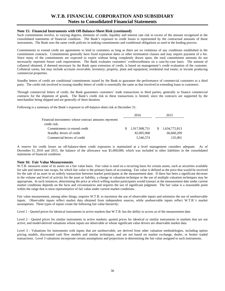#### **Note 15: Financial Instruments with Off-Balance-Sheet Risk (continued)**

Such commitments involve, to varying degrees, elements of credit, liquidity and interest rate risk in excess of the amount recognized in the consolidated statements of financial condition. The Bank's exposure to credit losses is represented by the contractual amounts of those instruments. The Bank uses the same credit policies in making commitments and conditional obligations as used in the lending process.

 necessarily represent future cash requirements. The Bank evaluates customers' creditworthiness on a case-by-case basis. The amount of collateral obtained, if deemed necessary by the Bank upon extension of credit, is based on management's credit evaluation of the customer. Commitments to extend credit are agreements to lend to customers as long as there are no violations of any conditions established in the commitment contracts. Commitments generally have fixed expiration dates or other termination clauses and may require payment of a fee. Since many of the commitments are expected to expire without being completely drawn upon, the total commitment amounts do not Collateral varies, but may include accounts receivable; inventory; property, plant and equipment; residential real estate; or income producing commercial properties.

 party. The credit risk involved in issuing standby letters of credit is essentially the same as that involved in extending loans to customers. Standby letters of credit are conditional commitments issued by the Bank to guarantee the performance of commercial customers to a third

Through commercial letters of credit, the Bank guarantees customers' trade transactions to third parties, generally to finance commercial contracts for the shipment of goods. The Bank's credit risk in these transactions is limited, since the contracts are supported by the merchandise being shipped and are generally of short duration.

Following is a summary of the Bank's exposure to off-balance-sheet risk at December 31:

|                                                        | 2016            | 2015            |  |
|--------------------------------------------------------|-----------------|-----------------|--|
| Financial instruments whose contract amounts represent |                 |                 |  |
| credit risk:                                           |                 |                 |  |
| Commitments to extend credit                           | \$1.917.998.731 | \$1,634,772,813 |  |
| Standby letters of credit                              | 82,005,968      | 66,660,209      |  |
| Commercial letters of credit                           | 5,546,574       | 135,001         |  |

A reserve for credit losses on off-balance-sheet credit exposures is maintained at a level management considers adequate. As of December 31, 2016 and 2015, the balance of the allowance was \$1,000,000, which was included in other liabilities in the consolidated statements of financial condition.

#### **Note 16: Fair Value Measurements**

W.T.B. measures some of its assets on a fair value basis. Fair value is used on a recurring basis for certain assets, such as securities available for sale and interest rate swaps, for which fair value is the primary basis of accounting. Fair value is defined as the price that would be received for the sale of an asset in an orderly transaction between market participants at the measurement date. If there has been a significant decrease in the volume and level of activity for the asset or liability, a change in valuation technique or the use of multiple valuation techniques may be appropriate. In such instances, determining the price at which willing market participants would transact at the measurement date under current market conditions depends on the facts and circumstances and requires the use of significant judgment. The fair value is a reasonable point within the range that is most representative of fair value under current market conditions.

Fair value measurement, among other things, requires W.T.B. to maximize the use of observable inputs and minimize the use of unobservable inputs. Observable inputs reflect market data obtained from independent sources, while unobservable inputs reflect W.T.B.'s market assumptions. Three types of inputs create the following fair value hierarchy:

Level 1 - Quoted prices for identical instruments in active markets that W.T.B. has the ability to access as of the measurement date.

 Level 2 - Quoted prices for similar instruments in active markets; quoted prices for identical or similar instruments in markets that are not active; and model-derived valuations whose inputs are observable or whose significant value drivers are observable market data.

Level 3 - Valuations for instruments with inputs that are unobservable, are derived from other valuation methodologies, including option pricing models, discounted cash flow models and similar techniques, and are not based on market exchange, dealer, or broker traded transactions. Level 3 valuations incorporate certain assumptions and projections in determining the fair value assigned to such instruments.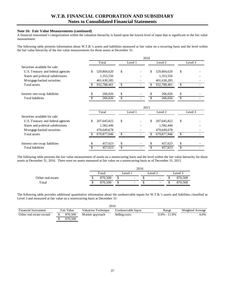#### **Note 16: Fair Value Measurements (continued)**

 A financial instrument's categorization within the valuation hierarchy is based upon the lowest level of input that is significant to the fair value measurement.

The following table presents information about W.T.B.'s assets and liabilities measured at fair value on a recurring basis and the level within the fair value hierarchy of the fair value measurements for those assets at December 31:

|                                    | 2016 |             |    |         |      |               |    |         |
|------------------------------------|------|-------------|----|---------|------|---------------|----|---------|
|                                    |      | Total       |    | Level 1 |      | Level 2       |    | Level 3 |
| Securities available for sale:     |      |             |    |         |      |               |    |         |
| U.S. Treasury and federal agencies | \$   | 529,804,620 | \$ |         | \$   | 529,804,620   | \$ |         |
| States and political subdivisions  |      | 1,353,556   |    |         |      | 1,353,556     |    |         |
| Mortgage-backed securities         |      | 401,630,285 |    |         |      | 401,630,285   |    |         |
| Total assets                       |      | 932,788,461 | \$ |         | \$   | 932,788,461   | \$ |         |
| Interest rate swap liabilities     |      | 266,026     | \$ |         | S    | 266,026       | \$ |         |
| <b>Total liabilities</b>           |      | 266,026     |    |         |      | 266,026       |    |         |
|                                    |      |             |    |         | 2015 |               |    |         |
|                                    |      | Total       |    | Level 1 |      | Level 2       |    | Level 3 |
| Securities available for sale:     |      |             |    |         |      |               |    |         |
| U.S. Treasury and federal agencies | \$   | 207,645,822 | \$ |         | \$   | 207, 645, 822 | \$ |         |
| States and political subdivisions  |      | 1,582,446   |    |         |      | 1,582,446     |    |         |
| M ortgage-backed securities        |      | 470,649,678 |    |         |      | 470,649,678   |    |         |
| Total assets                       |      | 679,877,946 | \$ |         | S    | 679,877,946   | \$ |         |
| Interest rate swap liabilities     |      | 457,623     | \$ |         |      | 457,623       | \$ |         |
| <b>Total liabilities</b>           |      | 457,623     | \$ |         |      | 457,623       | \$ |         |

The following table presents the fair value measurement of assets on a nonrecurring basis and the level within the fair value hierarchy for those assets at December 31, 2016. There were no assets measured at fair value on a nonrecurring basis as of December 31, 2015.

|                   |   | 2016    |   |                          |  |                          |  |         |  |  |
|-------------------|---|---------|---|--------------------------|--|--------------------------|--|---------|--|--|
|                   |   | Total   |   | Level 1                  |  | Level 2                  |  | Level 3 |  |  |
| Other real estate | ◡ | 870,500 |   | $\overline{\phantom{0}}$ |  | $\overline{\phantom{0}}$ |  | 870,500 |  |  |
| Total             | ◡ | 870,500 | ◡ | $\overline{\phantom{0}}$ |  | $\overline{\phantom{0}}$ |  | 870,500 |  |  |

The following table provides additional quantitative information about the unobservable inputs for W.T.B.'s assets and liabilities classified as Level 3 and measured at fair value on a nonrecurring basis at December 31:

| 2016                        |  |            |                            |                    |  |                  |                  |  |
|-----------------------------|--|------------|----------------------------|--------------------|--|------------------|------------------|--|
| <b>Financial Instrument</b> |  | Fair Value | <b>Valuation Technique</b> | Unobservable Input |  | Range            | Weighted Average |  |
| Other real estate owned     |  | 870,500    | Market approach            | Selling costs      |  | $0.0\% - 11.0\%$ | 4.0%             |  |
|                             |  | 870,500    |                            |                    |  |                  |                  |  |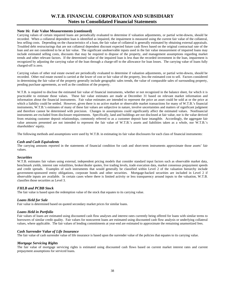#### **Note 16: Fair Value Measurements (continued)**

Carrying values of certain impaired loans are periodically evaluated to determine if valuation adjustments, or partial write-downs, should be recorded. When a collateral dependent loan is identified as impaired, the impairment is measured using the current fair value of the collateral, less selling costs. Depending on the characteristics of a loan, the fair value of collateral is generally estimated by obtaining external appraisals. Troubled debt restructurings that are not collateral dependent discount expected future cash flows based on the original contractual rate of the loan and are not considered to be at fair value. The significant unobservable inputs used in the fair value measurement of impaired loans may include estimated selling costs, discounts that may be required to dispose of the property, and management assumptions regarding market trends and other relevant factors. If the determined value of the impaired loan is less than the recorded investment in the loan, impairment is recognized by adjusting the carrying value of the loan through a charge-off to the allowance for loan losses. The carrying value of loans fully charged-off is zero.

Carrying values of other real estate owned are periodically evaluated to determine if valuation adjustments, or partial write-downs, should be recorded. Other real estate owned is carried at the lower of cost or fair value of the property, less the estimated cost to sell. Factors considered in determining the fair value of the property generally include geographic sales trends, the value of comparable sales of surrounding property, pending purchase agreements, as well as the condition of the property.

W.T.B. is required to disclose the estimated fair value of financial instruments, whether or not recognized in the balance sheet, for which it is practicable to estimate those values. These fair value estimates are made at December 31 based on relevant market information and information about the financial instruments. Fair value estimates are intended to represent the price an asset could be sold at or the price at which a liability could be settled. However, given there is no active market or observable market transactions for many of W.T.B.'s financial instruments, W.T.B.'s estimates of many of these fair values are subjective in nature, involve uncertainties and matters of significant judgment and therefore cannot be determined with precision. Changes in assumptions could significantly affect the estimated values. Nonfinancial instruments are excluded from disclosure requirements. Specifically, land and buildings are not disclosed at fair value, nor is the value derived from retaining customer deposit relationships, commonly referred to as a customer deposit base intangible. Accordingly, the aggregate fair value amounts presented are not intended to represent the fair value of W.T.B.'s assets and liabilities taken as a whole, nor W.T.B.'s shareholders' equity.

The following methods and assumptions were used by W.T.B. in estimating its fair value disclosures for each class of financial instruments:

### *Cash and Cash Equivalents*

The carrying amounts reported in the statements of financial condition for cash and short-term instruments approximate those assets' fair values.

#### *Securities*

 W.T.B. estimates fair values using external, independent pricing models that consider standard input factors such as observable market data, classifies those securities as Level 3. benchmark yields, interest rate volatilities, broker/dealer quotes, live trading levels, trade execution data, market consensus prepayment speeds and credit spreads. Examples of such instruments that would generally be classified within Level 2 of the valuation hierarchy include government-sponsored entity obligations, corporate bonds and other securities. Mortgage-backed securities are included in Level 2 if observable inputs are available. In certain cases where there is limited activity or less transparency around inputs to the valuation, W.T.B.

#### *FHLB and PCBB Stock*

The fair value is based upon the redemption value of the stock that equates to its carrying value.

#### *Loans Held for Sale*

Fair value is determined based on quoted secondary market prices for similar loans.

#### *Loans Held in Portfolio*

Fair values of loans are estimated using discounted cash flow analyses and interest rates currently being offered for loans with similar terms to borrowers of similar credit quality. Fair values for noncurrent loans are estimated using discounted cash flow analysis or underlying collateral values, where applicable. The fair values of lending commitments at year-end are estimated to approximate the remaining unamortized fees.

#### *Cash Surrender Value of Life Insurance*

The fair value of cash surrender value of life insurance is based upon the surrender value of the policies that equates to its carrying value.

#### *Mortgage Servicing Rights*

The fair value of mortgage servicing rights is estimated using discounted cash flows based on current market interest rates and current prepayment assumptions for serviced loans.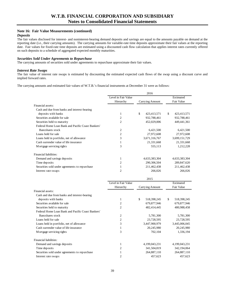### **Note 16: Fair Value Measurements (continued)**

#### *Deposits*

The fair values disclosed for interest- and noninterest-bearing demand deposits and savings are equal to the amounts payable on demand at the reporting date (i.e., their carrying amounts). The carrying amounts for variable-rate time deposits approximate their fair values at the reporting date. Fair values for fixed-rate time deposits are estimated using a discounted cash flow calculation that applies interest rates currently offered on such deposits to a schedule of aggregated expected monthly maturities.

### *Securities Sold Under Agreements to Repurchase*

The carrying amounts of securities sold under agreements to repurchase approximate their fair values.

#### *Interest Rate Swaps*

The fair value of interest rate swaps is estimated by discounting the estimated expected cash flows of the swap using a discount curve and implied forward rates.

The carrying amounts and estimated fair values of W.T.B.'s financial instruments at December 31 were as follows:

|                                                   |                     | 2016              |                   |
|---------------------------------------------------|---------------------|-------------------|-------------------|
|                                                   | Level in Fair Value |                   | Estimated         |
|                                                   | Hierarchy           | Carrying Amount   | Fair Value        |
| Financial assets:                                 |                     |                   |                   |
| Cash and due from banks and interest-bearing      |                     |                   |                   |
| deposits with banks                               | $\mathbf{1}$        | \$<br>423,413,571 | \$<br>423,413,571 |
| Securities available for sale                     | $\overline{c}$      | 932,788,461       | 932,788,461       |
| Securities held to maturity                       | $\overline{2}$      | 452,029,006       | 449,441,361       |
| Federal Home Loan Bank and Pacific Coast Bankers' |                     |                   |                   |
| Bancshares stock                                  | $\overline{c}$      | 6,421,500         | 6,421,500         |
| Loans held for sale                               | $\overline{2}$      | 27,972,608        | 27,972,608        |
| Loans held in portfolio, net of allowance         | 3                   | 3,671,316,767     | 3,699,151,729     |
| Cash surrender value of life insurance            | $\mathbf{1}$        | 21,331,668        | 21,331,668        |
| Mortgage servicing rights                         | 3                   | 555,113           | 1,212,228         |
| Financial liabilities:                            |                     |                   |                   |
| Demand and savings deposits                       | $\mathbf{1}$        | 4,633,383,304     | 4,633,383,304     |
| Time deposits                                     | $\overline{2}$      | 290,306,504       | 289,847,620       |
| Securities sold under agreements to repurchase    | $\mathbf{1}$        | 211,462,438       | 211,462,438       |
| Interest rate swaps                               | $\overline{2}$      | 266,026           | 266,026           |
|                                                   |                     |                   |                   |
|                                                   |                     | 2015              |                   |
|                                                   | Level in Fair Value |                   | Estimated         |
|                                                   | Hierarchy           | Carrying Amount   | Fair Value        |
| Financial assets:                                 |                     |                   |                   |
| Cash and due from banks and interest-bearing      |                     |                   |                   |
| deposits with banks                               | 1                   | \$<br>518,398,245 | \$<br>518,398,245 |
| Securities available for sale                     | $\overline{c}$      | 679,877,946       | 679,877,946       |
| Securities held to maturity                       | $\overline{c}$      | 482,414,445       | 480,988,458       |
| Federal Home Loan Bank and Pacific Coast Bankers' |                     |                   |                   |
| Bancshares stock                                  | $\overline{c}$      | 5,781,300         | 5,781,300         |
| Loans held for sale                               | $\overline{c}$      | 23,728,595        | 23,728,595        |
| Loans held in portfolio, net of allowance         | 3                   | 3,447,900,979     | 3,445,006,045     |
| Cash surrender value of life insurance            | $\mathbf{1}$        | 20,245,980        | 20,245,980        |
| Mortgage servicing rights                         | 3                   | 702,104           | 1,336,194         |
| Financial liabilities:                            |                     |                   |                   |
| Demand and savings deposits                       |                     |                   |                   |
|                                                   | $\mathbf{1}$        | 4,199,043,231     | 4,199,043,231     |
| Time deposits                                     | $\overline{2}$      | 341,504,819       | 342,194,064       |
| Securities sold under agreements to repurchase    | $\mathbf{1}$        | 264,887,110       | 264,887,110       |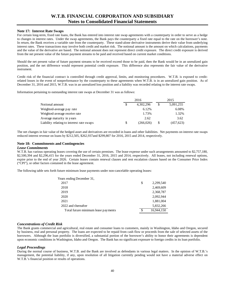#### **Note 17: Interest Rate Swaps**

For certain long-term, fixed rate loans, the Bank has entered into interest rate swap agreements with a counterparty in order to serve as a hedge to changes in interest rates. Under the swap agreements, the Bank pays the counterparty a fixed rate equal to the rate on the borrower's note. In return, the Bank receives a variable rate from the counterparty. These stand-alone derivative instruments derive their value from underlying interest rates. These transactions may involve both credit and market risk. The notional amount is the amount on which calculations, payments and the value of the derivative are based. The notional amount does not represent direct credit exposure. The direct credit exposure is derived from the net present value of the future payment streams to be paid and received based on current market conditions.

Should the net present value of future payment streams to be received exceed those to be paid, then the Bank would be in an unrealized gain position, and the net difference would represent potential credit exposure. This difference also represents the fair value of the derivative instrument.

 Credit risk of the financial contract is controlled through credit approval, limits, and monitoring procedures. W.T.B. is exposed to creditrelated losses in the event of nonperformance by the counterparty to these agreements when W.T.B. is in an unrealized gain position. As of December 31, 2016 and 2015, W.T.B. was in an unrealized loss position and a liability was recorded relating to the interest rate swaps.

Information pertaining to outstanding interest rate swaps at December 31 was as follows:

|                                           |     | 2016       | 2015      |  |  |
|-------------------------------------------|-----|------------|-----------|--|--|
| Notional amount                           | S   | 4,302,296  | 5,091,255 |  |  |
| Weighted-average pay rate                 |     | 6.12%      | 6.08%     |  |  |
| Weighted-average receive rate             |     | 1.73%      | 1.32%     |  |  |
| Average maturity in years                 |     | 2.62       | 3.62      |  |  |
| Liability relating to interest rate swaps | \$. | (266, 026) | (457,623) |  |  |

The net changes in fair value of the hedged asset and derivatives are recorded in loans and other liabilities. Net payments on interest rate swaps reduced interest revenue on loans by \$212,505, \$262,937and \$299,807 for 2016, 2015 and 2014, respectively.

#### **Note 18: Commitments and Contingencies**

#### *Lease Commitments*

W.T.B. has various operating leases covering the use of certain premises. The lease expense under such arrangements amounted to \$2,757,180, \$2,500,394 and \$2,296,415 for the years ended December 31, 2016, 2015 and 2014, respectively. All leases, not including renewal options, expire prior to the end of year 2026. Certain leases contain renewal clauses and rent escalation clauses based on the Consumer Price Index ("CPI"), or other factors contained in the lease agreement.

The following table sets forth future minimum lease payments under non-cancelable operating leases:

| Years ending December 31,           |     |            |
|-------------------------------------|-----|------------|
| 2017                                | \$  | 2,299,540  |
| 2018                                |     | 2,469,609  |
| 2019                                |     | 2,368,787  |
| 2020                                |     | 2.092.944  |
| 2021                                |     | 1,881,004  |
| 2022 and thereafter                 |     | 5,832,266  |
| Total future minimum lease payments | \$. | 16.944.150 |

### *Concentrations of Credit Risk*

 borrowers. Although the loan portfolio is diversified, a substantial portion of the borrower's ability to honor their agreements is dependent The Bank grants commercial and agricultural, real estate and consumer loans to customers, mainly in Washington, Idaho and Oregon, secured by business, real and personal property. The loans are expected to be repaid from cash flow or proceeds from the sale of selected assets of the upon economic conditions in Washington, Idaho and Oregon. The Bank has no significant exposure to foreign credits in its loan portfolio.

#### *Legal Proceedings*

W.T.B.'s financial position or results of operations. 40 During the normal course of business, W.T.B. and the Bank are involved as defendants in various legal matters. In the opinion of W.T.B.'s management, the potential liability, if any, upon resolution of all litigation currently pending would not have a material adverse effect on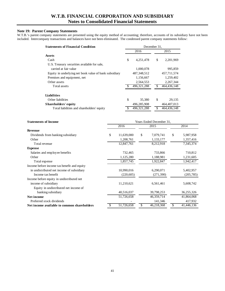### **Note 19: Parent Company Statements**

W.T.B.'s parent company statements are presented using the equity method of accounting; therefore, accounts of its subsidiary have not been included. Intercompany transactions and balances have not been eliminated. The condensed parent company statements follow:

| <b>Statements of Financial Condition</b>               | December 31.  |             |     |               |  |  |  |
|--------------------------------------------------------|---------------|-------------|-----|---------------|--|--|--|
|                                                        |               | 2016        |     | 2015          |  |  |  |
| <b>Assets</b>                                          |               |             |     |               |  |  |  |
| Cash                                                   | \$            | 4,251,478   | \$  | 2,201,969     |  |  |  |
| U.S. Treasury securities available for sale,           |               |             |     |               |  |  |  |
| carried at fair value                                  |               | 1,000,078   |     | 995,859       |  |  |  |
| Equity in underlying net book value of bank subsidiary | 487, 348, 512 |             |     | 457,711,574   |  |  |  |
| Premises and equipment, net                            |               | 1,156,667   |     | 1,259,402     |  |  |  |
| Other assets                                           |               | 2,564,553   |     | 2.267.344     |  |  |  |
| Total assets                                           |               | 496.321.288 |     | 464,436,148   |  |  |  |
|                                                        |               |             |     |               |  |  |  |
| <b>Liabilities</b>                                     |               |             |     |               |  |  |  |
| Other liabilities                                      | \$            | 35,380      | \$  | 29,135        |  |  |  |
| Shareholders' equity                                   |               | 496,285,908 |     | 464, 407, 013 |  |  |  |
| Total liabilities and shareholders' equity             | S.            | 496.321.288 | \$. | 464,436,148   |  |  |  |

| <b>Statements of Income</b><br>Years Ended December 31, |    |            |    |            |      |            |
|---------------------------------------------------------|----|------------|----|------------|------|------------|
|                                                         |    | 2016       |    | 2015       | 2014 |            |
| Revenue                                                 |    |            |    |            |      |            |
| Dividends from banking subsidiary                       | \$ | 11,639,000 | \$ | 7,079,741  | \$   | 5,987,958  |
| Other                                                   |    | 1,208,761  |    | 1,133,177  |      | 1,357,416  |
| Total revenue                                           |    | 12,847,761 |    | 8,212,918  |      | 7,345,374  |
| <b>Expense</b>                                          |    |            |    |            |      |            |
| Salaries and employee benefits                          |    | 732,465    |    | 733,866    |      | 710,812    |
| Other                                                   |    | 1,125,280  |    | 1,188,981  |      | 1,231,605  |
| Total expense                                           |    | 1,857,745  |    | 1,922,847  |      | 1,942,417  |
| Income before income tax benefit and equity             |    |            |    |            |      |            |
| in undistributed net income of subsidiary               |    | 10,990,016 |    | 6,290,071  |      | 5,402,957  |
| Income tax benefit                                      |    | (220, 605) |    | (271,390)  |      | (205, 785) |
| Income before equity in undistributed net               |    |            |    |            |      |            |
| income of subsidiary                                    |    | 11,210,621 |    | 6,561,461  |      | 5,608,742  |
| Equity in undistributed net income of                   |    |            |    |            |      |            |
| banking subsidiary                                      |    | 40,516,037 |    | 39,798,253 |      | 36,255,326 |
| <b>Net income</b>                                       |    | 51,726,658 |    | 46,359,714 |      | 41,864,068 |
| Preferred stock dividends                               |    |            |    | 141,346    |      | 417,932    |
| Net income available to common shareholders             | \$ | 51,726,658 | \$ | 46,218,368 | \$   | 41,446,136 |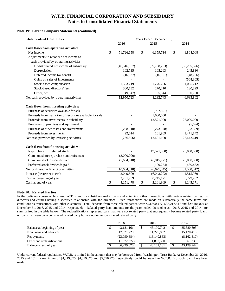### **Note 19: Parent Company Statements (continued)**

| <b>Statements of Cash Flows</b>                           | Years Ended December 31, |                |    |                |                          |                |  |
|-----------------------------------------------------------|--------------------------|----------------|----|----------------|--------------------------|----------------|--|
|                                                           |                          | 2016           |    | 2015           |                          | 2014           |  |
| Cash flows from operating activities:                     |                          |                |    |                |                          |                |  |
| Net income                                                | \$                       | 51,726,658     | \$ | 46,359,714     | \$                       | 41,864,068     |  |
| Adjustments to reconcile net income to                    |                          |                |    |                |                          |                |  |
| cash provided by operating activities:                    |                          |                |    |                |                          |                |  |
| Undistributed net income of subsidiary                    |                          | (40,516,037)   |    | (39,798,253)   |                          | (36, 255, 326) |  |
| Depreciation                                              |                          | 102,735        |    | 105,263        |                          | 245,830        |  |
| Deferred income tax benefit                               |                          | (16,937)       |    | (16,021)       |                          | (48,706)       |  |
| Gains on sales of investments                             |                          |                |    |                |                          | (568, 305)     |  |
| Stock-based compensation                                  |                          | 1,363,219      |    | 1,276,286      |                          | 1,055,212      |  |
| Stock-based directors' fees                               |                          | 300,132        |    | 270,210        |                          | 180,329        |  |
| Other, net                                                |                          | (9,047)        |    | 35,544         |                          | 160,760        |  |
| Net cash provided by operating activities                 |                          | 12,950,723     |    | 8,232,743      |                          | 6,633,862      |  |
| Cash flows from investing activities:                     |                          |                |    |                |                          |                |  |
| Purchase of securities available for sale                 |                          |                |    | (997, 891)     |                          |                |  |
| Proceeds from maturities of securities available for sale |                          |                |    | 1,000,000      |                          |                |  |
| Proceeds from investments in subsidiary                   |                          |                |    | 12,571,000     |                          | 25,000,000     |  |
| Purchases of premises and equipment                       |                          |                |    |                |                          | (5,694)        |  |
| Purchase of other assets and investments                  |                          | (288,910)      |    | (273,978)      |                          | (23,529)       |  |
| Proceeds from investments                                 |                          | 22,014         |    | 101,969        |                          | 1,471,842      |  |
| Net cash provided by investing activities                 |                          | (266, 896)     |    | 12,401,100     |                          | 26,442,619     |  |
| Cash flows from financing activities:                     |                          |                |    |                |                          |                |  |
| Repurchase of preferred stock                             |                          |                |    | (19,571,000)   |                          | (25,000,000)   |  |
| Common share repurchase and retirement                    |                          | (3,000,000)    |    |                |                          |                |  |
| Common stock dividends paid                               |                          | (7,634,318)    |    | (6,915,771)    |                          | (6,080,080)    |  |
| Preferred stock dividends paid                            |                          |                |    | (190, 274)     |                          | (480, 432)     |  |
| Net cash used in financing activities                     |                          | (10, 634, 318) |    | (26, 677, 045) |                          | (31,560,512)   |  |
| Increase (decrease) in cash                               |                          | 2,049,509      |    | (6,043,202)    |                          | 1,515,969      |  |
| Cash at beginning of year                                 |                          | 2,201,969      |    | 8,245,171      |                          | 6,729,202      |  |
| Cash at end of year                                       | \$                       | 4,251,478      | \$ | 2,201,969      | $\overline{\mathcal{S}}$ | 8,245,171      |  |

#### **Note 20: Related Parties**

In the ordinary course of business, W.T.B. and its subsidiary make loans and enter into other transactions with certain related parties, its directors and entities having a specified relationship with the directors. Such transactions are made on substantially the same terms and conditions as transactions with other customers. Total deposits from these related parties were \$43,600,477, \$35,217,517 and \$29,184,804 at December 31, 2016, 2015 and 2014, respectively. Related party loan amounts for the years ended December 31, 2016, 2015 and 2014, are summarized in the table below. The reclassifications represent loans that were not related party that subsequently became related party loans, or loans that were once considered related party but are no longer considered related party.

|                              |   | 2016         | 2015             | 2014        |
|------------------------------|---|--------------|------------------|-------------|
| Balance at beginning of year | S | 43,181,161   | \$<br>43,199,742 | 35,880,803  |
| New loans and advances       |   | 17,521,720   | 11.229.802       | 15,420,416  |
| Repayments                   |   | (23,090,884) | (13, 140, 883)   | (8,162,810) |
| Other and reclassifications  |   | (1,372,377)  | 1.892.500        | 61,333      |
| Balance at end of year       | S | 36,239,620   | 43,181,161       | 43,199,742  |

Under current federal regulations, W.T.B. is limited in the amount that may be borrowed from Washington Trust Bank. At December 31, 2016, 2015 and 2014, a maximum of \$4,319,875, \$4,319,875 and \$5,576,975, respectively, could be loaned to W.T.B. No such loans have been made.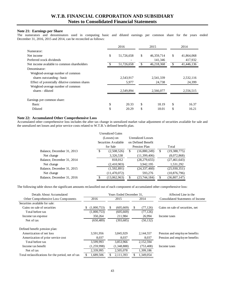### **Note 21: Earnings per Share**

The numerators and denominators used in computing basic and diluted earnings per common share for the years ended December 31, 2016, 2015 and 2014, can be reconciled as follows:

|                                              |    | 2016       |    | 2015       | 2014 |            |
|----------------------------------------------|----|------------|----|------------|------|------------|
| Numerator:                                   |    |            |    |            |      |            |
| Net income                                   | \$ | 51,726,658 | \$ | 46,359,714 | \$   | 41,864,068 |
| Preferred stock dividends                    |    |            |    | 141,346    |      | 417,932    |
| Net income available to common shareholders  |    | 51,726,658 | \$ | 46,218,368 | \$   | 41,446,136 |
| Denominator:                                 |    |            |    |            |      |            |
| Weighted-average number of common            |    |            |    |            |      |            |
| shares outstanding - basic                   |    | 2,543,917  |    | 2,541,339  |      | 2,532,116  |
| Effect of potentially dilutive common shares |    | 5,977      |    | 24,738     |      | 24,399     |
| Weighted-average number of common            |    |            |    |            |      |            |
| shares - diluted                             |    | 2,549,894  |    | 2,566,077  |      | 2,556,515  |
| Earnings per common share:                   |    |            |    |            |      |            |
| Basic                                        | \$ | 20.33      | \$ | 18.19      | \$   | 16.37      |
| Diluted                                      |    | 20.29      | \$ | 18.01      | \$   | 16.21      |

### **Note 22: Accumulated Other Comprehensive Loss**

Accumulated other comprehensive loss includes the after tax change in unrealized market value adjustment of securities available for sale and the unrealized net losses and prior service costs related to W.T.B.'s defined benefit plan.

|                            |                      | <b>Unrealized Gains</b> |                    |                |       |                |
|----------------------------|----------------------|-------------------------|--------------------|----------------|-------|----------------|
|                            | (Losses) on          |                         | Unrealized Losses  |                |       |                |
|                            | Securities Available |                         | on Defined Benefit |                |       |                |
|                            | for Sale             |                         | Pension Plan       |                | Total |                |
| Balance, December 31, 2013 | S                    | (2,508,526)             | S                  | (16,880,249)   | \$    | (19,388,775)   |
| Net change                 |                      | 3,326,538               |                    | (11,399,406)   |       | (8,072,868)    |
| Balance, December 31, 2014 |                      | 818,012                 |                    | (28, 279, 655) |       | (27, 461, 643) |
| Net change                 |                      | (2,410,903)             |                    | 3,942,195      |       | 1,531,292      |
| Balance, December 31, 2015 |                      | (1,592,891)             |                    | (24, 337, 460) |       | (25,930,351)   |
| Net change                 |                      | (11,470,072)            |                    | 593,276        |       | (10, 876, 796) |
| Balance, December 31, 2016 | \$                   | (13,062,963)            | \$                 | (23, 744, 184) | \$    | (36,807,147)   |

The following table shows the significant amounts reclassified out of each component of accumulated other comprehensive loss:

| Details About Accumulated                          |             | Years Ended December 31. | Affected Line in the |                                   |
|----------------------------------------------------|-------------|--------------------------|----------------------|-----------------------------------|
| Other Comprehensive Loss Components                | 2016        | 2015                     | 2014                 | Consolidated Statements of Income |
| Securities available for sale:                     |             |                          |                      |                                   |
| Gains on sale of securities                        | (1,000,753) | (605, 669)<br>S          | \$<br>(77, 126)      | Gains on sale of securities, net  |
| Total before tax                                   | (1,000,753) | (605, 669)               | (77, 126)            |                                   |
| Income tax expense                                 | 350,264     | 211,984                  | 26,994               | Income taxes                      |
| Net of tax                                         | (650, 489)  | (393, 685)               | (50, 132)            |                                   |
| Defined benefit pension plan:                      |             |                          |                      |                                   |
| Amortization of net loss                           | 3,591,956   | 3.845.929                | 2,144,557            | Pension and employee benefits     |
| Amortization of prior service cost                 | 8.037       | 8.037                    | 8,037                | Pension and employee benefits     |
| Total before tax                                   | 3,599,993   | 3,853,966                | 2,152,594            |                                   |
| Income tax benefit                                 | (1,259,998) | (1,348,888)              | (753, 408)           | Income taxes                      |
| Net of tax                                         | 2,339,995   | 2,505,078                | 1,399,186            |                                   |
| Total reclassifications for the period, net of tax | 1,689,506   | 2,111,393                | 1,349,054            |                                   |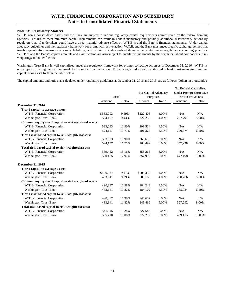### **Note 23: Regulatory Matters**

W.T.B. (on a consolidated basis) and the Bank are subject to various regulatory capital requirements administered by the federal banking agencies. Failure to meet minimum capital requirements can result in certain mandatory and possibly additional discretionary actions by regulators that, if undertaken, could have a direct material adverse effect on W.T.B.'s and the Bank's financial statements. Under capital adequacy guidelines and the regulatory framework for prompt corrective action, W.T.B. and the Bank must meet specific capital guidelines that involve quantitative measures of assets, liabilities, and certain off-balance-sheet items as calculated under regulatory accounting practices. W.T.B.'s and the Bank's capital amounts and classification are also subject to qualitative judgments by the regulators about components, riskweightings and other factors.

Washington Trust Bank is well capitalized under the regulatory framework for prompt corrective action as of December 31, 2016. W.T.B. is not subject to the regulatory framework for prompt corrective action. To be categorized as well capitalized, a bank must maintain minimum capital ratios as set forth in the table below.

The capital amounts and ratios, as calculated under regulatory guidelines at December 31, 2016 and 2015, are as follows (dollars in thousands):

|                                                       | Actual    |        | For Capital Adequacy<br>Purposes |       | To Be Well Capitalized<br><b>Under Prompt Corrective</b><br><b>Action Provisions</b> |        |
|-------------------------------------------------------|-----------|--------|----------------------------------|-------|--------------------------------------------------------------------------------------|--------|
|                                                       | Amount    | Ratio  | Amount                           | Ratio | Amount                                                                               | Ratio  |
| <b>December 31, 2016</b>                              |           |        |                                  |       |                                                                                      |        |
| Tier 1 capital to average assets:                     |           |        |                                  |       |                                                                                      |        |
| W.T.B. Financial Corporation                          | \$533,093 | 9.59%  | \$222,408                        | 4.00% | N/A                                                                                  | N/A    |
| <b>Washington Trust Bank</b>                          | 524,157   | 9.43%  | 222,238                          | 4.00% | 277,797                                                                              | 5.00%  |
| Common equity tier 1 capital to risk-weighted assets: |           |        |                                  |       |                                                                                      |        |
| W.T.B. Financial Corporation                          | 533,093   | 11.90% | 201,524                          | 4.50% | N/A                                                                                  | N/A    |
| <b>Washington Trust Bank</b>                          | 524,157   | 11.71% | 201,374                          | 4.50% | 290,874                                                                              | 6.50%  |
| Tier 1 risk-based capital to risk-weighted assets:    |           |        |                                  |       |                                                                                      |        |
| W.T.B. Financial Corporation                          | 533,093   | 11.90% | 268,699                          | 6.00% | N/A                                                                                  | N/A    |
| <b>Washington Trust Bank</b>                          | 524,157   | 11.71% | 268,499                          | 6.00% | 357,998                                                                              | 8.00%  |
| Total risk-based capital to risk-weighted assets:     |           |        |                                  |       |                                                                                      |        |
| W.T.B. Financial Corporation                          | 589,452   | 13.16% | 358,265                          | 8.00% | N/A                                                                                  | N/A    |
| <b>Washington Trust Bank</b>                          | 580,475   | 12.97% | 357,998                          | 8.00% | 447,498                                                                              | 10.00% |
| <b>December 31, 2015</b>                              |           |        |                                  |       |                                                                                      |        |
| Tier 1 capital to average assets:                     |           |        |                                  |       |                                                                                      |        |
| W.T.B. Financial Corporation                          | \$490,337 | 9.41%  | \$208,330                        | 4.00% | N/A                                                                                  | N/A    |
| <b>Washington Trust Bank</b>                          | 483,641   | 9.29%  | 208,165                          | 4.00% | 260,206                                                                              | 5.00%  |
| Common equity tier 1 capital to risk-weighted assets: |           |        |                                  |       |                                                                                      |        |
| W.T.B. Financial Corporation                          | 490,337   | 11.98% | 184,243                          | 4.50% | N/A                                                                                  | N/A    |
| <b>Washington Trust Bank</b>                          | 483,641   | 11.82% | 184,102                          | 4.50% | 265,924                                                                              | 6.50%  |
| Tier 1 risk-based capital to risk-weighted assets:    |           |        |                                  |       |                                                                                      |        |
| W.T.B. Financial Corporation                          | 490,337   | 11.98% | 245,657                          | 6.00% | N/A                                                                                  | N/A    |
| <b>Washington Trust Bank</b>                          | 483,641   | 11.82% | 245,469                          | 6.00% | 327,292                                                                              | 8.00%  |
| Total risk-based capital to risk-weighted assets:     |           |        |                                  |       |                                                                                      |        |
| W.T.B. Financial Corporation                          | 541,945   | 13.24% | 327,543                          | 8.00% | N/A                                                                                  | N/A    |
| <b>Washington Trust Bank</b>                          | 535,210   | 13.08% | 327,292                          | 8.00% | 409,115                                                                              | 10.00% |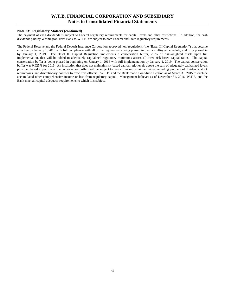### **Note 23: Regulatory Matters (continued)**

The payment of cash dividends is subject to Federal regulatory requirements for capital levels and other restrictions. In addition, the cash dividends paid by Washington Trust Bank to W.T.B. are subject to both Federal and State regulatory requirements.

The Federal Reserve and the Federal Deposit Insurance Corporation approved new regulations (the "Basel III Capital Regulation") that became effective on January 1, 2015 with full compliance with all of the requirements being phased in over a multi-year schedule, and fully phased in by January 1, 2019. The Basel III Capital Regulation implements a conservation buffer, 2.5% of risk-weighted assets upon full implementation, that will be added to adequately capitalized regulatory minimums across all three risk-based capital ratios. The capital conservation buffer is being phased in beginning on January 1, 2016 with full implementation by January 1, 2019. The capital conservation buffer was 0.625% for 2016. An institution that does not maintain risk-based capital ratio levels above the sum of adequately capitalized levels plus the phased in portion of the conservation buffer, will be subject to restrictions on certain activities including payment of dividends, stock repurchases, and discretionary bonuses to executive officers. W.T.B. and the Bank made a one-time election as of March 31, 2015 to exclude accumulated other comprehensive income or loss from regulatory capital. Management believes as of December 31, 2016, W.T.B. and the Bank meet all capital adequacy requirements to which it is subject.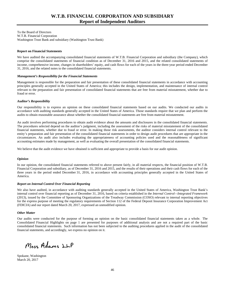To the Board of Directors W.T.B. Financial Corporation Washington Trust Bank and subsidiary (Washington Trust Bank)

#### **Report on Financial Statements**

We have audited the accompanying consolidated financial statements of W.T.B. Financial Corporation and subsidiary (the Company), which comprise the consolidated statements of financial condition as of December 31, 2016 and 2015, and the related consolidated statements of income, comprehensive income, changes in shareholders' equity, and cash flows for each of the years in the three-year period ended December 31, 2016, and the related notes to the consolidated financial statements.

#### *Management's Responsibility for the Financial Statements*

Management is responsible for the preparation and fair presentation of these consolidated financial statements in accordance with accounting principles generally accepted in the United States of America; this includes the design, implementation, and maintenance of internal control relevant to the preparation and fair presentation of consolidated financial statements that are free from material misstatement, whether due to fraud or error.

#### *Auditor's Responsibility*

Our responsibility is to express an opinion on these consolidated financial statements based on our audits. We conducted our audits in accordance with auditing standards generally accepted in the United States of America. Those standards require that we plan and perform the audits to obtain reasonable assurance about whether the consolidated financial statements are free from material misstatement.

An audit involves performing procedures to obtain audit evidence about the amounts and disclosures in the consolidated financial statements. The procedures selected depend on the auditor's judgment, including the assessment of the risks of material misstatement of the consolidated financial statements, whether due to fraud or error. In making those risk assessments, the auditor considers internal control relevant to the entity's preparation and fair presentation of the consolidated financial statements in order to design audit procedures that are appropriate in the circumstances. An audit also includes evaluating the appropriateness of accounting policies used and the reasonableness of significant accounting estimates made by management, as well as evaluating the overall presentation of the consolidated financial statements.

We believe that the audit evidence we have obtained is sufficient and appropriate to provide a basis for our audit opinion.

#### *Opinion*

In our opinion, the consolidated financial statements referred to above present fairly, in all material respects, the financial position of W.T.B. Financial Corporation and subsidiary, as of December 31, 2016 and 2015, and the results of their operations and their cash flows for each of the three years in the period ended December 31, 2016, in accordance with accounting principles generally accepted in the United States of America.

#### *Report on Internal Control Over Financial Reporting*

We also have audited, in accordance with auditing standards generally accepted in the United States of America, Washington Trust Bank's internal control over financial reporting as of December 31, 2016, based on criteria established in the *Internal Control—Integrated Framework*  (2013), issued by the Committee of Sponsoring Organizations of the Treadway Commission (COSO) relevant to internal reporting objectives for the express purpose of meeting the regulatory requirements of Section 112 of the Federal Deposit Insurance Corporation Improvement Act (FDICIA) and our report dated March 20, 2017, expressed an unmodified opinion.

#### *Other Matter*

Our audits were conducted for the purpose of forming an opinion on the basic consolidated financial statements taken as a whole. The Consolidated Financial Highlights on page 1 are presented for purposes of additional analysis and are not a required part of the basic consolidated financial statements. Such information has not been subjected to the auditing procedures applied in the audit of the consolidated financial statements, and accordingly, we express no opinion on it.

Moss Adams LLP

Spokane, Washington March 20, 2017